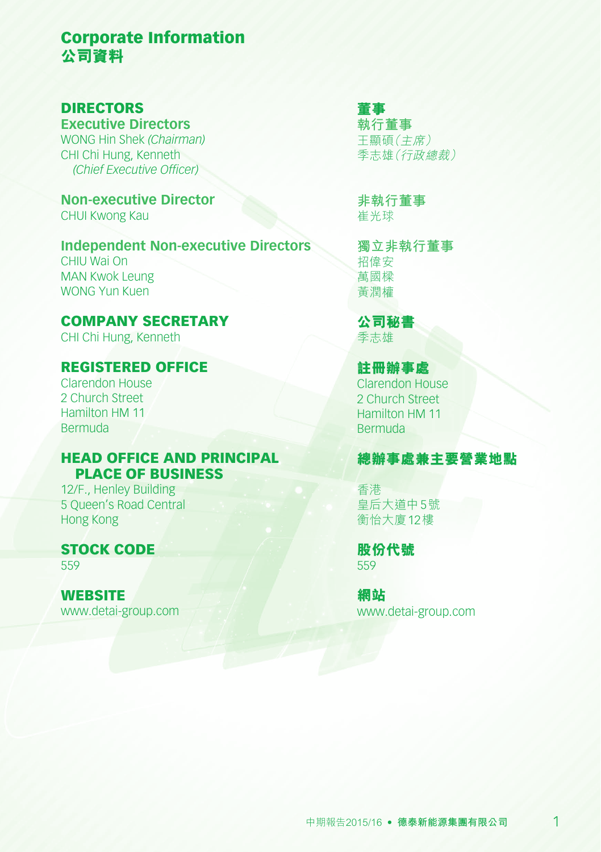# Corporate Information **公司資料**

### DIRECTORS

**Executive Directors** WONG Hin Shek *(Chairman)* CHI Chi Hung, Kenneth *(Chief Executive Officer)*

**Non-executive Director** CHUI Kwong Kau

**Independent Non-executive Directors** CHIU Wai On MAN Kwok Leung WONG Yun Kuen

COMPANY SECRETARY CHI Chi Hung, Kenneth

### REGISTERED OFFICE

Clarendon House 2 Church Street Hamilton HM 11 Bermuda

#### HEAD OFFICE AND PRINCIPAL PLACE OF BUSINESS

12/F., Henley Building 5 Queen's Road Central Hong Kong

STOCK CODE 559

**WEBSITE** www.detai-group.com

### **董事 執行董事**

王顯碩(主席) 季志雄(行政總裁)

**非執行董事** 崔光球

**獨立非執行董事** 招偉安 萬國樑 黃潤權

**公司秘書** 季志雄

#### **註冊辦事處**

Clarendon House 2 Church Street Hamilton HM 11 Bermuda

### **總辦事處兼主要營業地點**

香港 皇后大道中5號 衡怡大廈12樓

**股份代號** 559

**網站** www.detai-group.com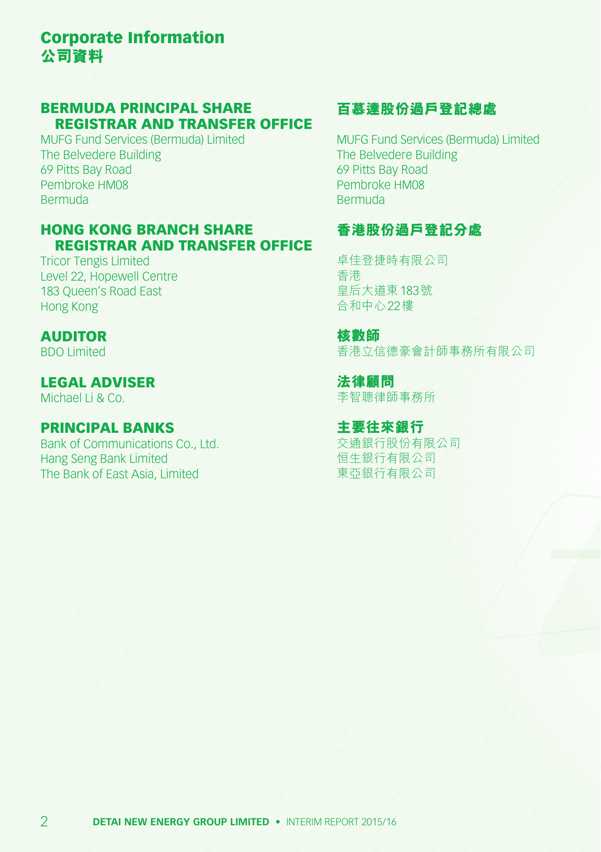# Corporate Information **公司資料**

#### BERMUDA PRINCIPAL SHARE REGISTRAR AND TRANSFER OFFICE

MUFG Fund Services (Bermuda) Limited The Belvedere Building 69 Pitts Bay Road Pembroke HM08 Bermuda

#### HONG KONG BRANCH SHARE REGISTRAR AND TRANSFER OFFICE

Tricor Tengis Limited Level 22, Hopewell Centre 183 Queen's Road East Hong Kong

#### AUDITOR

BDO Limited

### LEGAL ADVISER

Michael Li & Co.

### PRINCIPAL BANKS

Bank of Communications Co., Ltd. Hang Seng Bank Limited The Bank of East Asia, Limited

### **百慕達股份過戶登記總處**

MUFG Fund Services (Bermuda) Limited The Belvedere Building 69 Pitts Bay Road Pembroke HM08 Bermuda

### **香港股份過戶登記分處**

卓佳登捷時有限公司 香港 皇后大道東183號 合和中心22樓

**核數師** 香港立信德豪會計師事務所有限公司

**法律顧問** 李智聰律師事務所

**主要往來銀行** 交通銀行股份有限公司 恒生銀行有限公司 東亞銀行有限公司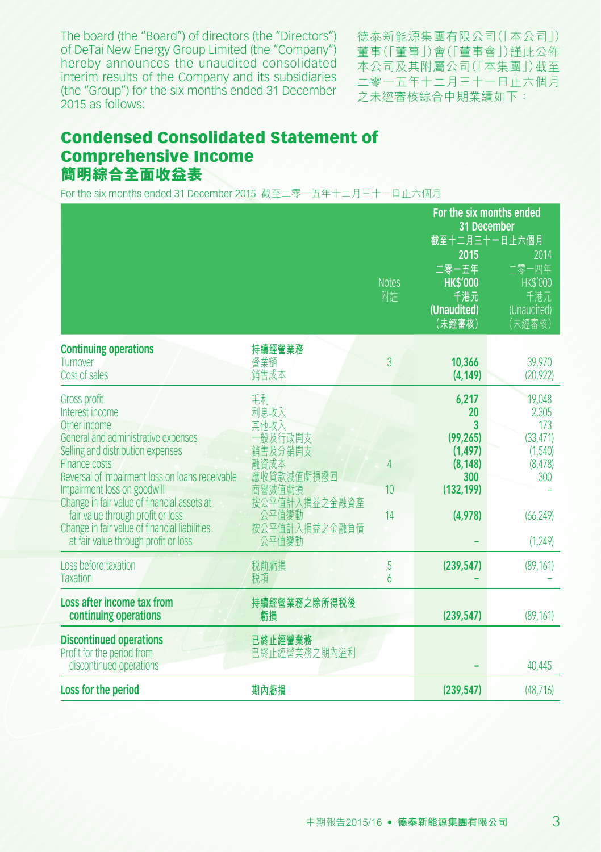The board (the "Board") of directors (the "Directors") of DeTai New Energy Group Limited (the "Company") hereby announces the unaudited consolidated interim results of the Company and its subsidiaries (the "Group") for the six months ended 31 December 2015 as follows:

德泰新能源集團有限公司(「本公司」) 董事(「董事」)會(「董事會」)謹此公佈 本公司及其附屬公司(「本集團」)截至 二零一五年十二月三十一日止六個月 之未經審核綜合中期業績如下:

## Condensed Consolidated Statement of Comprehensive Income **簡明綜合全面收益表**

For the six months ended 31 December 2015 截至二零一五年十二月三十一日止六個月

|                                                                                                                                                                                                                                                                                                                                                                                                                    |                                                                                                                              | For the six months ended<br>31 December |                                                                                       |                                                                                           |
|--------------------------------------------------------------------------------------------------------------------------------------------------------------------------------------------------------------------------------------------------------------------------------------------------------------------------------------------------------------------------------------------------------------------|------------------------------------------------------------------------------------------------------------------------------|-----------------------------------------|---------------------------------------------------------------------------------------|-------------------------------------------------------------------------------------------|
|                                                                                                                                                                                                                                                                                                                                                                                                                    |                                                                                                                              | <b>Notes</b><br>附註                      | 截至十二月三十一日止六個月<br>2015<br>二零一五年<br><b>HK\$'000</b><br>千港元<br>(Unaudited)<br>(未經審核)     | 2014<br>二零一四年<br><b>HK\$'000</b><br>千港元<br>(Unaudited)<br>(未經審核)                          |
| <b>Continuing operations</b><br>Turnover<br>Cost of sales                                                                                                                                                                                                                                                                                                                                                          | 持續經營業務<br>營業額<br>銷售成本                                                                                                        | 3                                       | 10,366<br>(4, 149)                                                                    | 39,970<br>(20, 922)                                                                       |
| <b>Gross profit</b><br>Interest income<br>Other income<br>General and administrative expenses<br>Selling and distribution expenses<br>Finance costs<br>Reversal of impairment loss on loans receivable<br>Impairment loss on goodwill<br>Change in fair value of financial assets at<br>fair value through profit or loss<br>Change in fair value of financial liabilities<br>at fair value through profit or loss | 毛利<br>利息收入<br>其他收入<br>一般及行政開支<br>銷售及分銷開支<br>融資成本<br>應收貸款減值虧損撥回<br>商譽減值虧損<br>按公平值計入損益之金融資產<br>公平值變動<br>按公平值計入損益之金融負債<br>公平值變動 | 4<br>10<br>14                           | 6,217<br>20<br>3<br>(99, 265)<br>(1, 497)<br>(8, 148)<br>300<br>(132, 199)<br>(4,978) | 19,048<br>2,305<br>173<br>(33, 471)<br>(1,540)<br>(8, 478)<br>300<br>(66, 249)<br>(1,249) |
| Loss before taxation<br><b>Taxation</b>                                                                                                                                                                                                                                                                                                                                                                            | 税前虧損<br>税項                                                                                                                   | 5<br>6                                  | (239, 547)                                                                            | (89, 161)                                                                                 |
| Loss after income tax from<br>continuing operations                                                                                                                                                                                                                                                                                                                                                                | 持續經營業務之除所得税後<br>虧損                                                                                                           |                                         | (239, 547)                                                                            | (89, 161)                                                                                 |
| <b>Discontinued operations</b><br>Profit for the period from<br>discontinued operations                                                                                                                                                                                                                                                                                                                            | 已終止經營業務<br>已終止經營業務之期內溢利                                                                                                      |                                         |                                                                                       | 40,445                                                                                    |
| Loss for the period                                                                                                                                                                                                                                                                                                                                                                                                | 期內虧損                                                                                                                         |                                         | (239, 547)                                                                            | (48, 716)                                                                                 |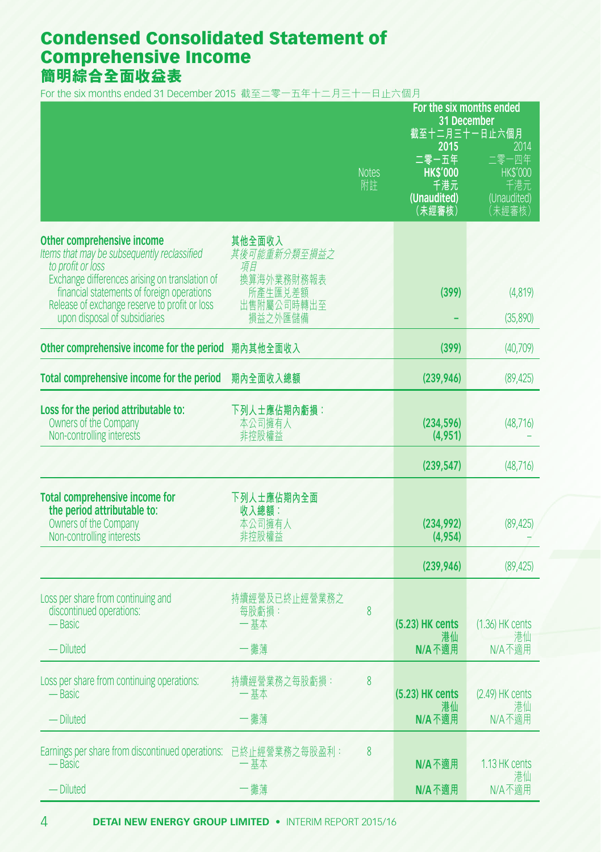## Condensed Consolidated Statement of Comprehensive Income **簡明綜合全面收益表**

For the six months ended 31 December 2015 截至二零一五年十二月三十一日止六個月

|                                                                                                                                                                                                                                                                                  |                                                                                | For the six months ended<br>31 December<br>截至十二月三十一日止六個月 |                                                                  |                                                                  |  |  |
|----------------------------------------------------------------------------------------------------------------------------------------------------------------------------------------------------------------------------------------------------------------------------------|--------------------------------------------------------------------------------|----------------------------------------------------------|------------------------------------------------------------------|------------------------------------------------------------------|--|--|
|                                                                                                                                                                                                                                                                                  |                                                                                | <b>Notes</b><br>附註                                       | 2015<br>二零一五年<br><b>HK\$'000</b><br>千港元<br>(Unaudited)<br>(未經審核) | 2014<br>二零一四年<br><b>HK\$'000</b><br>千港元<br>(Unaudited)<br>(未經審核) |  |  |
| Other comprehensive income<br>Items that may be subsequently reclassified<br>to profit or loss<br>Exchange differences arising on translation of<br>financial statements of foreign operations<br>Release of exchange reserve to profit or loss<br>upon disposal of subsidiaries | 其他全面收入<br>其後可能重新分類至損益之<br>項目<br>換算海外業務財務報表<br>所產生匯兑差額<br>出售附屬公司時轉出至<br>損益之外匯儲備 |                                                          | (399)                                                            | (4, 819)<br>(35,890)                                             |  |  |
| Other comprehensive income for the period                                                                                                                                                                                                                                        | 期內其他全面收入                                                                       |                                                          | (399)                                                            | (40,709)                                                         |  |  |
| Total comprehensive income for the period                                                                                                                                                                                                                                        | 期內全面收入總額                                                                       |                                                          | (239, 946)                                                       | (89, 425)                                                        |  |  |
| Loss for the period attributable to:<br>Owners of the Company<br>Non-controlling interests                                                                                                                                                                                       | 下列人士應佔期內虧損:<br>本公司擁有人<br>非控股權益                                                 |                                                          | (234, 596)<br>(4, 951)                                           | (48, 716)                                                        |  |  |
|                                                                                                                                                                                                                                                                                  |                                                                                |                                                          | (239, 547)                                                       | (48, 716)                                                        |  |  |
| Total comprehensive income for<br>the period attributable to:<br>Owners of the Company<br>Non-controlling interests                                                                                                                                                              | 下列人士應佔期內全面<br>收入總額:<br>本公司擁有人<br>非控股權益                                         |                                                          | (234, 992)<br>(4, 954)                                           | (89, 425)                                                        |  |  |
|                                                                                                                                                                                                                                                                                  |                                                                                |                                                          | (239, 946)                                                       | (89, 425)                                                        |  |  |
| Loss per share from continuing and<br>discontinued operations:<br>— Basic<br>— Diluted                                                                                                                                                                                           | 持續經營及已終止經營業務之<br>每股虧損:<br>一基本<br>一攤薄                                           | 8                                                        | (5.23) HK cents<br>港仙<br>$N/A$ 不適用                               | (1.36) HK cents<br>溝仙<br>N/A不適用                                  |  |  |
| Loss per share from continuing operations:<br>— Basic<br>- Diluted                                                                                                                                                                                                               | 持續經營業務之每股虧損:<br>基本<br>一攤薄                                                      | 8                                                        | $(5.23)$ HK cents<br>港仙<br>N/A 不適用                               | $(2.49)$ HK cents<br>港仙<br>N/A不適用                                |  |  |
| Earnings per share from discontinued operations: 已終止經營業務之每股盈利:<br>— Basic                                                                                                                                                                                                        | 一基本                                                                            | 8                                                        | N/A 不適用                                                          | 1.13 HK cents<br>溝仙                                              |  |  |
| — Diluted                                                                                                                                                                                                                                                                        | -攤薄                                                                            |                                                          | N/A不適用                                                           | N/A不適用                                                           |  |  |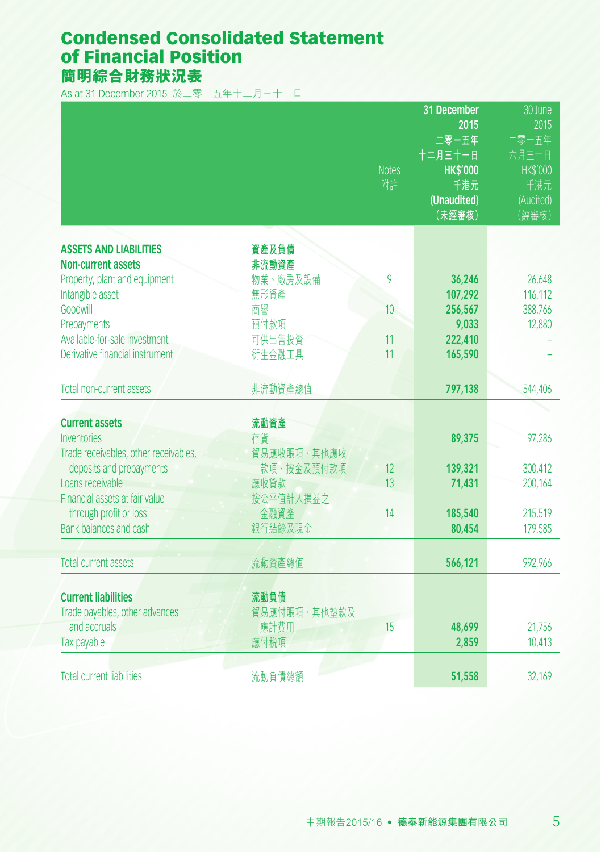## Condensed Consolidated Statement of Financial Position **簡明綜合財務狀況表**

As at 31 December 2015 於二零一五年十二月三十一日

|                                                |              | <b>Notes</b><br>附註 | 31 December<br>2015<br>二零一五年<br>十二月三十一日<br><b>HK\$'000</b><br>千港元<br>(Unaudited)<br>(未經審核) | 30 June<br>2015<br>二零一五年<br>六月三十日<br><b>HK\$'000</b><br>千港元<br>(Audited)<br>(經審核) |
|------------------------------------------------|--------------|--------------------|--------------------------------------------------------------------------------------------|-----------------------------------------------------------------------------------|
| <b>ASSETS AND LIABILITIES</b>                  | 資產及負債        |                    |                                                                                            |                                                                                   |
| <b>Non-current assets</b>                      | 非流動資產        |                    |                                                                                            |                                                                                   |
| Property, plant and equipment                  | 物業、廠房及設備     | 9                  | 36,246                                                                                     | 26,648                                                                            |
| Intangible asset                               | 無形資產         |                    | 107,292                                                                                    | 116,112                                                                           |
| Goodwill                                       | 商譽           | 10                 | 256,567                                                                                    | 388,766                                                                           |
| Prepayments                                    | 預付款項         |                    | 9,033                                                                                      | 12,880                                                                            |
| Available-for-sale investment                  | 可供出售投資       | 11                 | 222,410                                                                                    |                                                                                   |
| Derivative financial instrument                | 衍生金融工具       | 11                 | 165,590                                                                                    |                                                                                   |
|                                                |              |                    |                                                                                            |                                                                                   |
| Total non-current assets                       | 非流動資產總值      |                    | 797,138                                                                                    | 544,406                                                                           |
|                                                |              |                    |                                                                                            |                                                                                   |
| <b>Current assets</b>                          | 流動資產         |                    |                                                                                            |                                                                                   |
| <b>Inventories</b>                             | 存貨           |                    | 89,375                                                                                     | 97,286                                                                            |
| Trade receivables, other receivables,          | 貿易應收賬項、其他應收  |                    |                                                                                            |                                                                                   |
| deposits and prepayments                       | 款項、按金及預付款項   | 12                 | 139,321                                                                                    | 300,412                                                                           |
| Loans receivable                               | 應收貸款         | 13                 | 71,431                                                                                     | 200,164                                                                           |
| Financial assets at fair value                 | 按公平值計入損益之    |                    |                                                                                            |                                                                                   |
| through profit or loss                         | 金融資產         | 14                 | 185,540                                                                                    | 215,519                                                                           |
| Bank balances and cash                         | 銀行結餘及現金      |                    | 80,454                                                                                     | 179,585                                                                           |
|                                                |              |                    |                                                                                            |                                                                                   |
| <b>Total current assets</b>                    | 流動資產總值       |                    | 566,121                                                                                    | 992,966                                                                           |
|                                                |              |                    |                                                                                            |                                                                                   |
| <b>Current liabilities</b>                     | 流動負債         |                    |                                                                                            |                                                                                   |
| Trade payables, other advances<br>and accruals | 貿易應付賬項、其他墊款及 |                    |                                                                                            |                                                                                   |
|                                                | 應計費用         | 15                 | 48,699<br>2,859                                                                            | 21,756                                                                            |
| Tax payable                                    | 應付税項         |                    |                                                                                            | 10,413                                                                            |
| <b>Total current liabilities</b>               |              |                    |                                                                                            |                                                                                   |
|                                                | 流動負債總額       |                    | 51,558                                                                                     | 32,169                                                                            |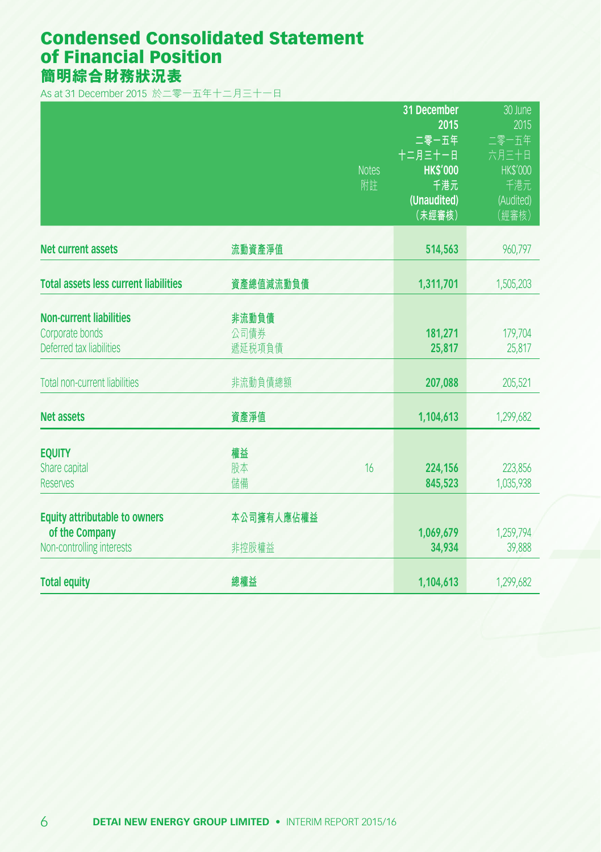## Condensed Consolidated Statement of Financial Position **簡明綜合財務狀況表**

As at 31 December 2015 於二零一五年十二月三十一日

|                                                                                     |                         | <b>Notes</b><br>附註 | 31 December<br>2015<br>二零一五年<br>十二月三十一日<br><b>HK\$'000</b><br>千港元<br>(Unaudited)<br>(未經審核) | 30 June<br>2015<br>二零一五年<br>六月三十日<br><b>HK\$'000</b><br>千港元<br>(Audited)<br>(經審核) |
|-------------------------------------------------------------------------------------|-------------------------|--------------------|--------------------------------------------------------------------------------------------|-----------------------------------------------------------------------------------|
| <b>Net current assets</b>                                                           | 流動資產淨值                  |                    | 514,563                                                                                    | 960,797                                                                           |
| <b>Total assets less current liabilities</b>                                        | 資產總值減流動負債               |                    | 1,311,701                                                                                  | 1,505,203                                                                         |
| <b>Non-current liabilities</b><br>Corporate bonds<br>Deferred tax liabilities       | 非流動負債<br>公司債券<br>遞延税項負債 |                    | 181,271<br>25,817                                                                          | 179,704<br>25,817                                                                 |
| <b>Total non-current liabilities</b>                                                | 非流動負債總額                 |                    | 207,088                                                                                    | 205,521                                                                           |
| <b>Net assets</b>                                                                   | 資產淨值                    |                    | 1,104,613                                                                                  | 1,299,682                                                                         |
| <b>EQUITY</b><br>Share capital<br><b>Reserves</b>                                   | 權益<br>股本<br>儲備          | 16                 | 224,156<br>845,523                                                                         | 223.856<br>1,035,938                                                              |
| <b>Equity attributable to owners</b><br>of the Company<br>Non-controlling interests | 本公司擁有人應佔權益<br>非控股權益     |                    | 1,069,679<br>34,934                                                                        | 1,259,794<br>39,888                                                               |
| <b>Total equity</b>                                                                 | 總權益                     |                    | 1,104,613                                                                                  | 1,299,682                                                                         |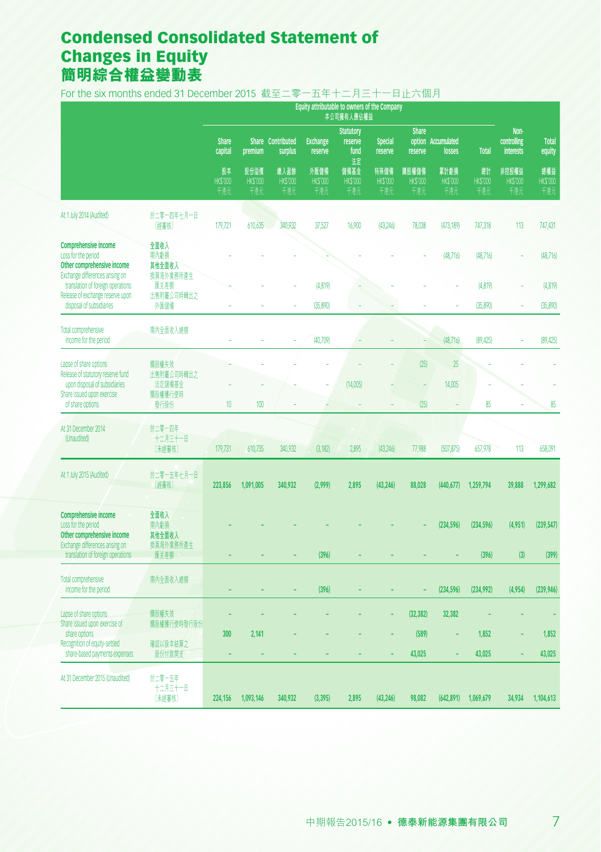# Condensed Consolidated Statement of Changes in Equity **簡明綜合權益變動表**

For the six months ended 31 December 2015 截至二零一五年十二月三十一日止六個月

|                                                                                                                     |                                     | Equity attributable to owners of the Company<br>本公司擁有人應佔權益 |                               |                               |                               |                                           |                               |                                |                               |                             |                                         |                              |
|---------------------------------------------------------------------------------------------------------------------|-------------------------------------|------------------------------------------------------------|-------------------------------|-------------------------------|-------------------------------|-------------------------------------------|-------------------------------|--------------------------------|-------------------------------|-----------------------------|-----------------------------------------|------------------------------|
|                                                                                                                     |                                     | <b>Share</b><br>capital                                    | premium                       | Share Contributed<br>surplus  | <b>Exchange</b><br>reserve    | <b>Statutory</b><br>reserve<br>fund<br>法定 | <b>Special</b><br>reserve     | <b>Share</b><br>reserve        | option Accumulated<br>losses  | <b>Total</b>                | Non-<br>controlling<br><b>interests</b> | <b>Total</b><br>equity       |
|                                                                                                                     |                                     | 股本<br><b>HKS'000</b><br>千港元                                | 股份溢價<br><b>HKS'000</b><br>千港元 | 缴入盈餘<br><b>HKS'000</b><br>千港元 | 外匯儲備<br><b>HKS'000</b><br>千港元 | 儲備基金<br><b>HKS'000</b><br>千港元             | 特殊儲備<br><b>HKS'000</b><br>千港元 | 購股權儲備<br><b>HKS'000</b><br>千港元 | 累計虧損<br><b>HKS'000</b><br>千港元 | 總計<br><b>HKS'000</b><br>千港元 | 非控股權益<br><b>HKS'000</b><br>千港元          | 總權益<br><b>HKS'000</b><br>千港元 |
| At 1 July 2014 (Audited)                                                                                            | 於二零一四年七月一日<br>(經審核)                 | 179,721                                                    | 610,635                       | 340,932                       | 37,527                        | 16,900                                    | (43, 246)                     | 78,038                         | (473, 189)                    | 747,318                     | 113                                     | 747,431                      |
| <b>Comprehensive income</b><br>Loss for the period<br>Other comprehensive income<br>Exchange differences arising on | 全面收入<br>期內虧損<br>其他全面收入<br>換算海外業務所產生 |                                                            |                               |                               |                               |                                           |                               |                                | (48,716)                      | (48, 716)                   |                                         | (48, 716)                    |
| translation of foreign operations<br>Release of exchange reserve upon<br>disposal of subsidiaries                   | 匯兑差額<br>出售附屬公司時轉出之<br>外匯儲備          |                                                            |                               |                               | (4, 819)<br>(35,890)          |                                           |                               |                                |                               | (4,819)<br>(35,890)         |                                         | (4, 819)<br>(35, 890)        |
| Total comprehensive<br>income for the period                                                                        | 期内全面收入總額                            |                                                            |                               |                               | (40, 709)                     |                                           |                               |                                | (48,716)                      | (89, 425)                   |                                         | (89, 425)                    |
| Lapse of share options<br>Release of statutory reserve fund<br>upon disposal of subsidiaries                        | 購股權失效<br>出售附屬公司時轉出之<br>法定儲備基金       |                                                            |                               |                               |                               | (14,005)                                  |                               | (25)<br>÷,                     | 25<br>14,005                  |                             |                                         |                              |
| Share issued upon exercise<br>of share options                                                                      | 購股權獲行使時<br>發行股份                     | 10                                                         | 100                           |                               |                               |                                           |                               | (25)                           |                               | 85                          |                                         | 85                           |
| At 31 December 2014<br>(Unaudited)                                                                                  | 於二零一四年<br>十二月三十一日<br>(未經審核)         | 179,731                                                    | 610,735                       | 340,932                       | (3,182)                       | 2,895                                     | (43, 246)                     | 77,988                         | (507, 875)                    | 657,978                     | 113                                     | 658,091                      |
| At 1 July 2015 (Audited)                                                                                            | 於二零一五年七月一日<br>(經審核)                 | 223,856                                                    | 1,091,005                     | 340.932                       | (2.999)                       | 2.895                                     | (43.246)                      | 88.028                         | (440, 677)                    | 1,259,794                   | 39.888                                  | 1.299.682                    |
| <b>Comprehensive income</b><br>Loss for the period<br>Other comprehensive income                                    | 全面收入<br>期內虧損<br>其他全面收入              |                                                            |                               |                               |                               |                                           |                               |                                | (234, 596)                    | (234, 596)                  | (4,951)                                 | (239, 547)                   |
| Exchange differences arising on<br>translation of foreign operations                                                | 換算海外業務所產生<br>匯兑差額                   |                                                            |                               |                               | (396)                         |                                           |                               |                                |                               | (396)                       | (3)                                     | (399)                        |
| <b>Total comprehensive</b><br>income for the period                                                                 | 期內全面收入總額                            |                                                            |                               |                               | (396)                         |                                           |                               |                                | (234, 596)                    | (234, 992)                  | (4,954)                                 | (239, 946)                   |
| Lapse of share options<br>Share issued upon exercise of                                                             | 購股權失效<br>購股權獲行使時發行股份                |                                                            |                               |                               |                               |                                           |                               | (32, 382)                      | 32,382                        |                             |                                         |                              |
| share options<br>Recognition of equity-settled<br>share-based payments expenses                                     | 確認以股本結算之<br>股份付款開支                  | 300                                                        | 2,141                         |                               |                               |                                           |                               | (589)<br>43,025                |                               | 1,852<br>43,025             |                                         | 1,852<br>43,025              |
| At 31 December 2015 (Unaudited)                                                                                     | 於二零一五年<br>十二月三十一日<br>(未經審核)         | 224,156                                                    | 1,093,146                     | 340,932                       | (3, 395)                      | 2.895                                     | (43, 246)                     | 98.082                         | (642, 891)                    | 1,069,679                   | 34.934                                  | 1,104,613                    |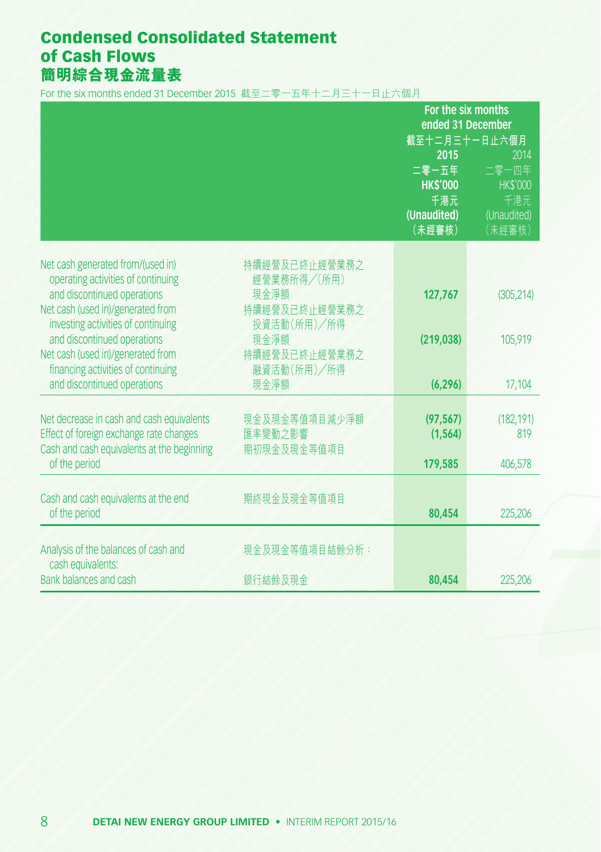## Condensed Consolidated Statement of Cash Flows **簡明綜合現金流量表**

For the six months ended 31 December 2015 截至二零一五年十二月三十一日止六個月

|                                                                                                                                    |                                         | For the six months<br>ended 31 December<br>截至十二月三十一日止六個月<br>2015<br>2014 |                                                |  |
|------------------------------------------------------------------------------------------------------------------------------------|-----------------------------------------|--------------------------------------------------------------------------|------------------------------------------------|--|
|                                                                                                                                    |                                         | 二零一五年<br><b>HK\$'000</b><br>千港元<br>(Unaudited)                           | 二零一四年<br><b>HK\$'000</b><br>千港元<br>(Unaudited) |  |
|                                                                                                                                    |                                         | (未經審核)                                                                   | (未經審核)                                         |  |
| Net cash generated from/(used in)<br>operating activities of continuing                                                            | 持續經營及已終止經營業務之<br>經營業務所得/(所用)            |                                                                          |                                                |  |
| and discontinued operations<br>Net cash (used in)/generated from<br>investing activities of continuing                             | 現金淨額<br>持續經營及已終止經營業務之<br>投資活動(所用)/所得    | 127,767                                                                  | (305, 214)                                     |  |
| and discontinued operations<br>Net cash (used in)/generated from<br>financing activities of continuing                             | 現金淨額<br>持續經營及已終止經營業務之<br>融資活動(所用)/所得    | (219, 038)                                                               | 105,919                                        |  |
| and discontinued operations                                                                                                        | 現金淨額                                    | (6, 296)                                                                 | 17,104                                         |  |
| Net decrease in cash and cash equivalents<br>Effect of foreign exchange rate changes<br>Cash and cash equivalents at the beginning | 現金及現金等值項目減少淨額<br>匯率變動之影響<br>期初現金及現金等值項目 | (97, 567)<br>(1, 564)                                                    | (182, 191)<br>819                              |  |
| of the period                                                                                                                      |                                         | 179,585                                                                  | 406,578                                        |  |
| Cash and cash equivalents at the end<br>of the period                                                                              | 期終現金及現金等值項目                             | 80,454                                                                   | 225,206                                        |  |
|                                                                                                                                    |                                         |                                                                          |                                                |  |
| Analysis of the balances of cash and<br>cash equivalents:                                                                          | 現金及現金等值項目結餘分析:                          |                                                                          |                                                |  |
| Bank balances and cash                                                                                                             | 銀行結餘及現金                                 | 80,454                                                                   | 225,206                                        |  |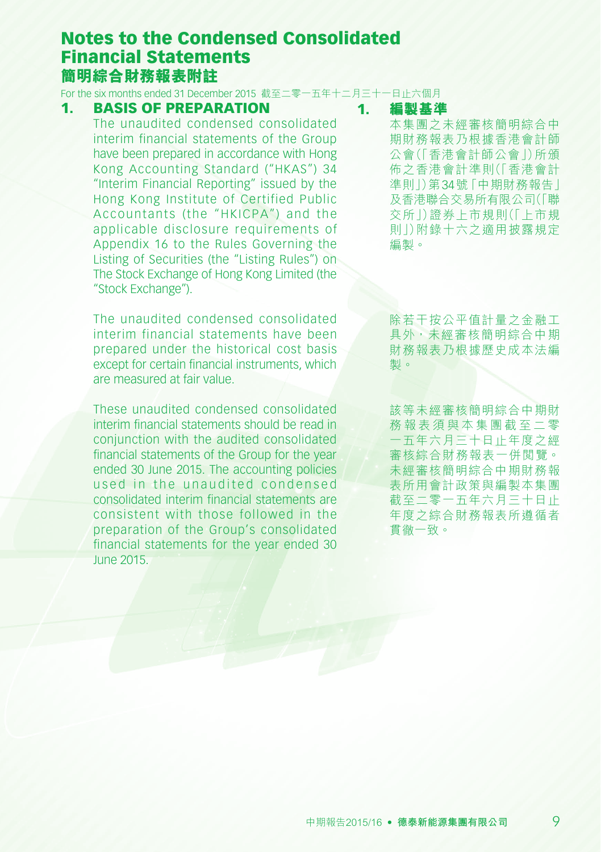For the six months ended 31 December 2015 截至二零一五年十二月三十一日止六個月

#### 1. BASIS OF PREPARATION

The unaudited condensed consolidated interim financial statements of the Group have been prepared in accordance with Hong Kong Accounting Standard ("HKAS") 34 "Interim Financial Reporting" issued by the Hong Kong Institute of Certified Public Accountants (the "HKICPA") and the applicable disclosure requirements of Appendix 16 to the Rules Governing the Listing of Securities (the "Listing Rules") on The Stock Exchange of Hong Kong Limited (the "Stock Exchange").

The unaudited condensed consolidated interim financial statements have been prepared under the historical cost basis except for certain financial instruments, which are measured at fair value.

These unaudited condensed consolidated interim financial statements should be read in conjunction with the audited consolidated financial statements of the Group for the year ended 30 June 2015. The accounting policies used in the unaudited condensed consolidated interim financial statements are consistent with those followed in the preparation of the Group's consolidated financial statements for the year ended 30 June 2015.

#### 1. **編製基準**

本集團之未經審核簡明綜合中 期財務報表乃根據香港會計師 公會(「香港會計師公會」)所頒 佈之香港會計準則(「香港會計 準則」)第34號「中期財務報告」 及香港聯合交易所有限公司(「聯 交所」)證券上市規則(「上市規 則」)附錄十六之適用披露規定 編製。

除若干按公平值計量之金融工 具外,未經審核簡明綜合中期 財務報表乃根據歷史成本法編 製。

該等未經審核簡明綜合中期財 務 報 表 須 與 本 集 團 截 至 二 零 一五年六月三十日止年度之經 審核綜合財務報表一併閱覽。 未經審核簡明綜合中期財務報 表所用會計政策與編製本集團 截至二零一五年六月三十日止 年度之綜合財務報表所遵循者 貫徹一致。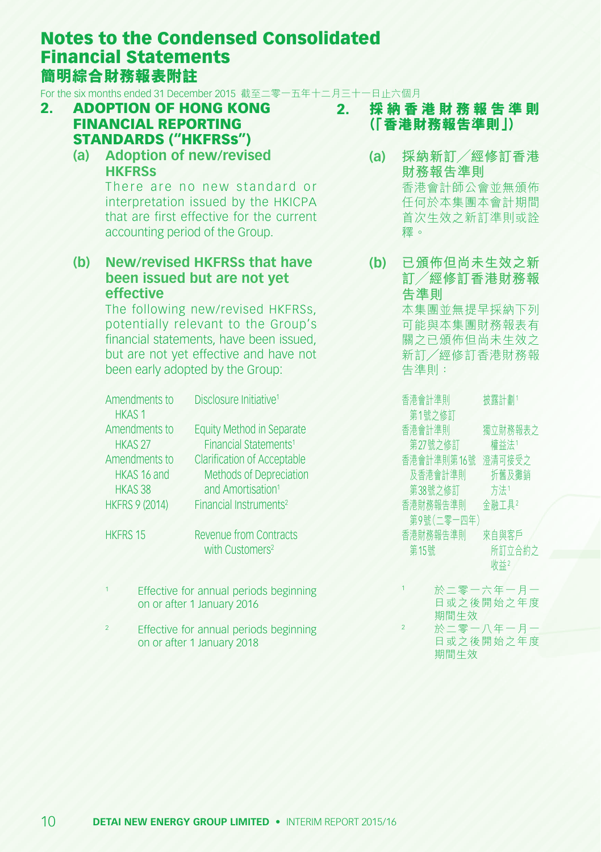For the six months ended 31 December 2015 截至二零一五年十二月三十一日止六個月

- 2. ADOPTION OF HONG KONG FINANCIAL REPORTING STANDARDS ("HKFRSs")
	- **(a) Adoption of new/revised HKFRSs**

There are no new standard or interpretation issued by the HKICPA that are first effective for the current accounting period of the Group.

#### **(b) New/revised HKFRSs that have been issued but are not yet effective**

The following new/revised HKFRSs, potentially relevant to the Group's financial statements, have been issued but are not yet effective and have not been early adopted by the Group:

| Amendments to<br><b>HKAS1</b>                                                             | Disclosure Initiative <sup>1</sup>                                                                                                                                             |
|-------------------------------------------------------------------------------------------|--------------------------------------------------------------------------------------------------------------------------------------------------------------------------------|
| Amendments to<br>HKAS <sub>27</sub><br>Amendments to<br>HKAS 16 and<br>HKAS <sub>38</sub> | <b>Equity Method in Separate</b><br>Financial Statements <sup>1</sup><br><b>Clarification of Acceptable</b><br><b>Methods of Depreciation</b><br>and Amortisation <sup>1</sup> |
| <b>HKFRS 9 (2014)</b>                                                                     | Financial Instruments <sup>2</sup>                                                                                                                                             |

HKFRS 15 Revenue from Contracts with Customers<sup>2</sup>

- Effective for annual periods beginning on or after 1 January 2016
- Effective for annual periods beginning on or after 1 January 2018

### 2. **採 納 香 港 財 務 報 告 準 則 (「香港財務報告準則」)**

- **(a) 採納新訂╱經修訂香港 財務報告準則** 香港會計師公會並無頒佈 任何於本集團本會計期間 首次生效之新訂準則或詮 釋。
- **(b) 已頒佈但尚未生效之新 訂╱經修訂香港財務報 告準則** 本集團並無提早採納下列 可能與本集團財務報表有 關之已頒佈但尚未生效之 新訂╱經修訂香港財務報 告準則:

香港會計準則 第1號之修訂 披露計劃<sup>1</sup> 香港會計準則 第27號之修訂 獨立財務報表之 權益法<sup>1</sup> 合港曾訂凖則弟16號 澄清可按又∠ 及香港會計準則 折舊及攤銷 第38號之修訂 方法1 香港財務報告準則 第9號(二零一四年) 金融工具<sup>2</sup> 香港財務報告準則 第15號 來自與客戶 所訂立合約之 收益2

<sup>1</sup> 於二零一六年一月一 日或之後開始之年度 期間生效 <sup>2</sup> 於二零一八年一月一 日或之後開始之年度 期間生效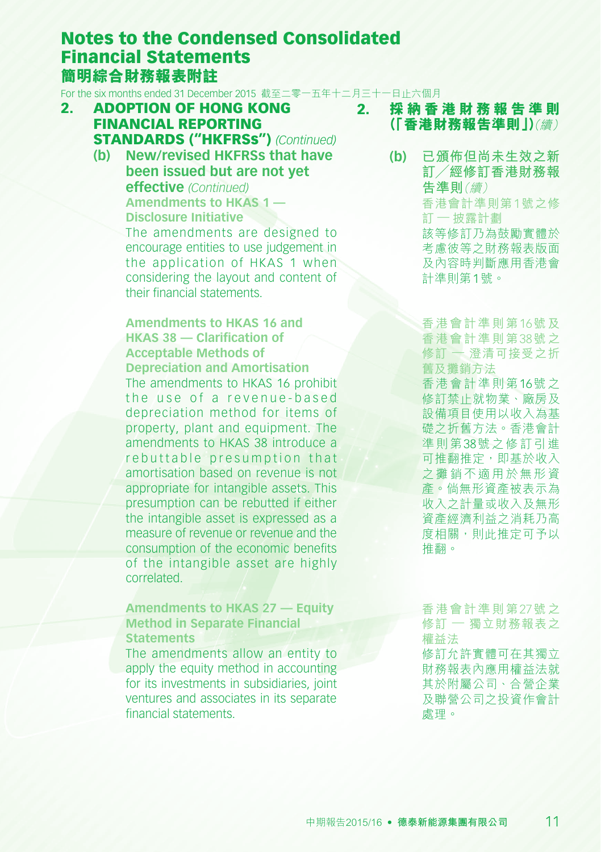For the six months ended 31 December 2015 截至二零一五年十二月三十一日止六個月

- 2. ADOPTION OF HONG KONG FINANCIAL REPORTING STANDARDS ("HKFRSs") *(Continued)*
	- **(b) New/revised HKFRSs that have been issued but are not yet effective** *(Continued)* **Amendments to HKAS 1 — Disclosure Initiative** The amendments are designed to encourage entities to use judgement in the application of HKAS 1 when considering the layout and content of their financial statements.

**Amendments to HKAS 16 and HKAS 38 — Clarification of Acceptable Methods of Depreciation and Amortisation** The amendments to HKAS 16 prohibit the use of a revenue-based depreciation method for items of property, plant and equipment. The amendments to HKAS 38 introduce a rebuttable presumption that amortisation based on revenue is not appropriate for intangible assets. This presumption can be rebutted if either the intangible asset is expressed as a measure of revenue or revenue and the consumption of the economic benefits of the intangible asset are highly correlated.

#### **Amendments to HKAS 27 — Equity Method in Separate Financial Statements**

The amendments allow an entity to apply the equity method in accounting for its investments in subsidiaries, joint ventures and associates in its separate financial statements.

- 2. **採 納 香 港 財 務 報 告 準 則 (「香港財務報告準則」)**(續)
	- **(b) 已頒佈但尚未生效之新 訂╱經修訂香港財務報 告準則**(續) 香港會計準則第1號之修 訂 — 披露計劃 該等修訂乃為鼓勵實體於 考慮彼等之財務報表版面 及內容時判斷應用香港會 計準則第1號。

香港會計準則第16號及 香港會計準則第38號之 修訂 — 澄清可接受之折 舊及攤銷方法

香港會計準則第16號之 修訂禁止就物業、廠房及 設備項目使用以收入為基 礎之折舊方法。香港會計 準則第38號之修訂引進 **可推翻推定,即基於收入** 之攤銷不適用於無形資 產。倘無形資產被表示為 收入之計量或收入及無形 資產經濟利益之消耗乃高 度相關,則此推定可予以 推翻。

香港會計準則第27號之 修訂 — 獨立財務報表之 權益法

修訂允許實體可在其獨立 財務報表內應用權益法就 其於附屬公司、合營企業 及聯營公司之投資作會計 處理。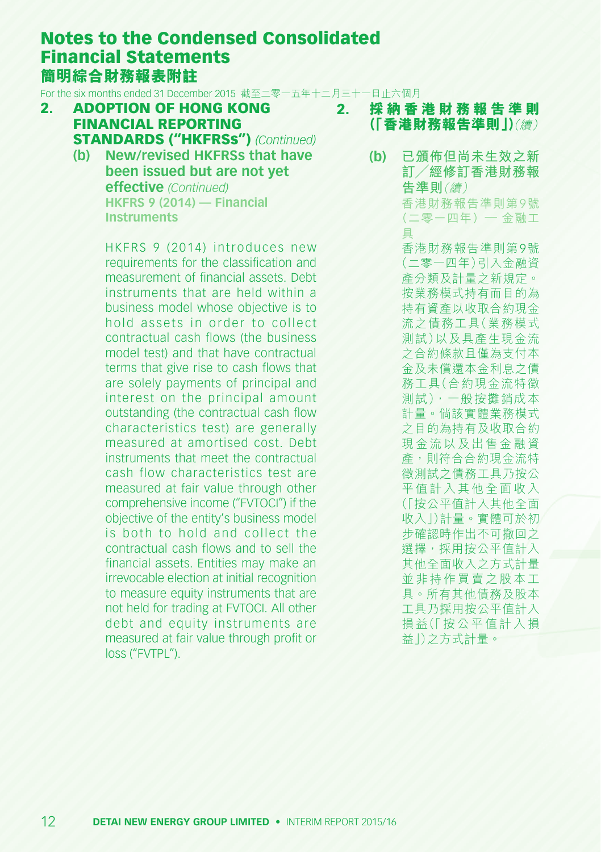For the six months ended 31 December 2015 截至二零一五年十二月三十一日止六個月

- 2. ADOPTION OF HONG KONG FINANCIAL REPORTING STANDARDS ("HKFRSs") *(Continued)*
	- **(b) New/revised HKFRSs that have been issued but are not yet effective** *(Continued)* **HKFRS 9 (2014) — Financial Instruments**

HKFRS 9 (2014) introduces new requirements for the classification and measurement of financial assets. Debt instruments that are held within a business model whose objective is to hold assets in order to collect contractual cash flows (the business model test) and that have contractual terms that give rise to cash flows that are solely payments of principal and interest on the principal amount outstanding (the contractual cash flow characteristics test) are generally measured at amortised cost. Debt instruments that meet the contractual cash flow characteristics test are measured at fair value through other comprehensive income ("FVTOCI") if the objective of the entity's business model is both to hold and collect the contractual cash flows and to sell the financial assets. Entities may make an irrevocable election at initial recognition to measure equity instruments that are not held for trading at FVTOCI. All other debt and equity instruments are measured at fair value through profit or loss ("FVTPL").

- 2. **採 納 香 港 財 務 報 告 準 則 (「香港財務報告準則」)**(續)
	- **(b) 已頒佈但尚未生效之新 訂╱經修訂香港財務報 告準則**(續) 香港財務報告準則第9號 (二零一四年)— 金融工 具

香港財務報告準則第9號 (二零一四年)引入金融資 產分類及計量之新規定。 按業務模式持有而目的為 持有資產以收取合約現金 流之債務工具(業務模式 測試)以及具產生現金流 之合約條款且僅為支付本 金及未償還本金利息之債 務工具(合約現金流特徵 測試),一般按攤銷成本 計量。倘該實體業務模式 之目的為持有及收取合約 現金流以及出售金融資 產,則符合合約現金流特 徵測試之債務工具乃按公 平值計入其他全面收入 (「按公平值計入其他全面 收入」)計量。實體可於初 步確認時作出不可撤回之 選擇,採用按公平值計入 其他全面收入之方式計量 並非持作買賣之股本工 具。所有其他債務及股本 工具乃採用按公平值計入 損益(「按公平值計入損 益」)之方式計量。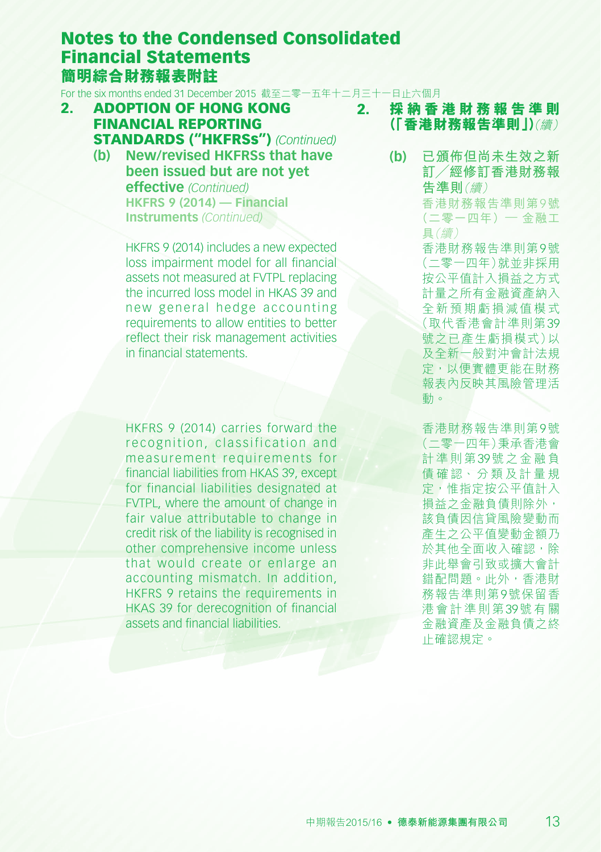For the six months ended 31 December 2015 截至二零一五年十二月三十一日止六個月

- 2. ADOPTION OF HONG KONG FINANCIAL REPORTING STANDARDS ("HKFRSs") *(Continued)*
	- **(b) New/revised HKFRSs that have been issued but are not yet effective** *(Continued)* **HKFRS 9 (2014) — Financial Instruments** *(Continued)*

HKFRS 9 (2014) includes a new expected loss impairment model for all financial assets not measured at FVTPL replacing the incurred loss model in HKAS 39 and new general hedge accounting requirements to allow entities to better reflect their risk management activities in financial statements.

HKFRS 9 (2014) carries forward the recognition, classification and measurement requirements for financial liabilities from HKAS 39, except for financial liabilities designated at FVTPL, where the amount of change in fair value attributable to change in credit risk of the liability is recognised in other comprehensive income unless that would create or enlarge an accounting mismatch. In addition, HKFRS 9 retains the requirements in HKAS 39 for derecognition of financial assets and financial liabilities.

- 2. **採 納 香 港 財 務 報 告 準 則 (「香港財務報告準則」)**(續)
	- **(b) 已頒佈但尚未生效之新 訂╱經修訂香港財務報 告準則**(續)

香港財務報告準則第9號 (二零一四年)— 金融工 具(續)

香港財務報告準則第9號 (二零一四年)就並非採用 按公平值計入損益之方式 計量之所有金融資產納入 全新預期虧損減值模式 (取代香港會計準則第39 號之已產生虧損模式)以 及全新一般對沖會計法規 定,以便實體更能在財務 報表內反映其風險管理活 動。

香港財務報告準則第9號 (二零一四年)秉承香港會 計準則第39號之金融負 債 確 認、分 類 及 計 量 規 定,惟指定按公平值計入 損益之金融負債則除外, 該負債因信貸風險變動而 產生之公平值變動金額乃 於其他全面收入確認,除 非此舉會引致或擴大會計 錯配問題。此外,香港財 務報告準則第9號保留香 港會計準則第39號有關 金融資產及金融負債之終 止確認規定。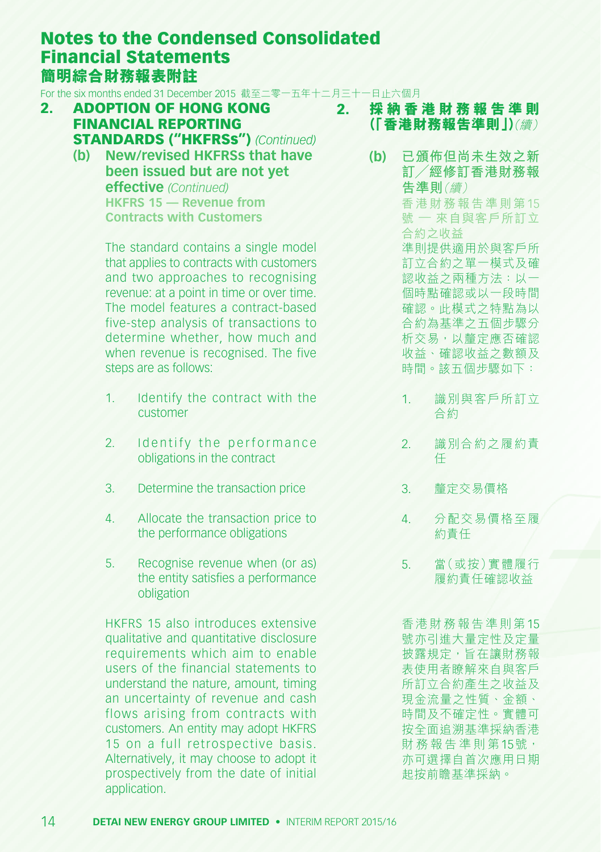For the six months ended 31 December 2015 截至二零一五年十二月三十一日止六個月

- 2. ADOPTION OF HONG KONG FINANCIAL REPORTING STANDARDS ("HKFRSs") *(Continued)*
	- **(b) New/revised HKFRSs that have been issued but are not yet effective** *(Continued)* **HKFRS 15 — Revenue from**

**Contracts with Customers**

The standard contains a single model that applies to contracts with customers and two approaches to recognising revenue: at a point in time or over time. The model features a contract-based five-step analysis of transactions to determine whether, how much and when revenue is recognised. The five steps are as follows:

- 1. Identify the contract with the customer
- 2. Identify the performance obligations in the contract
- 3. Determine the transaction price
- 4. Allocate the transaction price to the performance obligations
- 5. Recognise revenue when (or as) the entity satisfies a performance obligation

HKFRS 15 also introduces extensive qualitative and quantitative disclosure requirements which aim to enable users of the financial statements to understand the nature, amount, timing an uncertainty of revenue and cash flows arising from contracts with customers. An entity may adopt HKFRS 15 on a full retrospective basis. Alternatively, it may choose to adopt it prospectively from the date of initial application.

- 2. **採 納 香 港 財 務 報 告 準 則 (「香港財務報告準則」)**(續)
	- **(b) 已頒佈但尚未生效之新 訂╱經修訂香港財務報 告準則**(續) 香港財務報告準則第15 號 — 來自與客戶所訂立 合約之收益 準則提供適用於與客戶所 訂立合約之單一模式及確 認收益之兩種方法:以一 個時點確認或以一段時間 確認。此模式之特點為以 合約為基準之五個步驟分 析交易,以釐定應否確認 收益、確認收益之數額及 時間。該五個步驟如下:
		- 1. 識別與客戶所訂立 合約
		- 2. 識別合約之履約責 任
		- 3. 釐定交易價格
		- 4. 分配交易價格至履 約責任
		- 5. 當(或按)實體履行 履約責任確認收益

香港財務報告準則第15 號亦引進大量定性及定量 披露規定,旨在讓財務報 表使用者瞭解來自與客戶 所訂立合約產生之收益及 現金流量之性質、金額、 時間及不確定性。實體可 按全面追溯基準採納香港 財務報告準則第15號, 亦可選擇自首次應用日期 起按前瞻基準採納。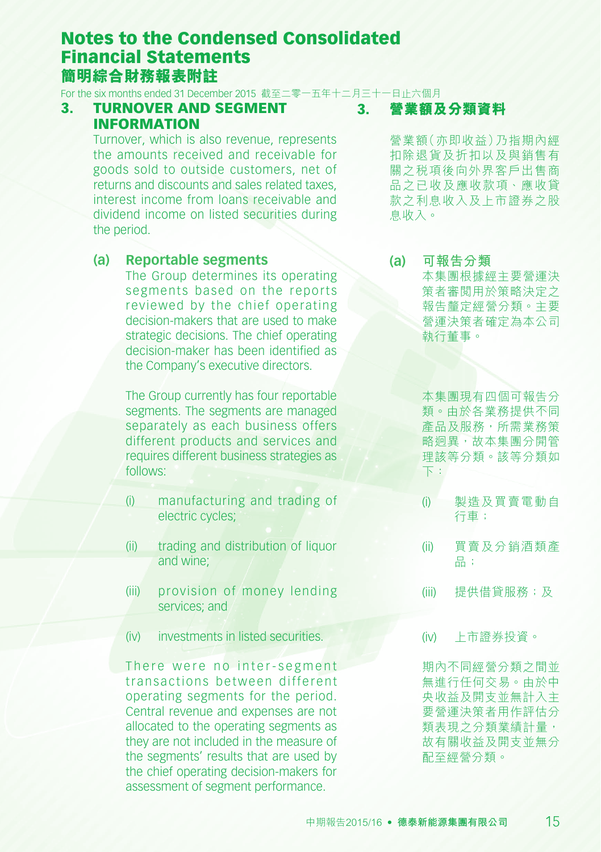For the six months ended 31 December 2015 截至二零一五年十二月三十一日止六個月

#### 3. TURNOVER AND SEGMENT INFORMATION

Turnover, which is also revenue, represents the amounts received and receivable for goods sold to outside customers, net of returns and discounts and sales related taxes, interest income from loans receivable and dividend income on listed securities during the period.

#### **(a) Reportable segments**

The Group determines its operating segments based on the reports reviewed by the chief operating decision-makers that are used to make strategic decisions. The chief operating decision-maker has been identified as the Company's executive directors.

The Group currently has four reportable segments. The segments are managed separately as each business offers different products and services and requires different business strategies as follows:

- (i) manufacturing and trading of electric cycles;
- (ii) trading and distribution of liquor and wine;
- (iii) provision of money lending services; and
- (iv) investments in listed securities.

There were no inter-segment transactions between different operating segments for the period. Central revenue and expenses are not allocated to the operating segments as they are not included in the measure of the segments' results that are used by the chief operating decision-makers for assessment of segment performance.

3. **營業額及分類資料**

營業額(亦即收益)乃指期內經 扣除退貨及折扣以及與銷售有 關之稅項後向外界客戶出售商 品之已收及應收款項、應收貸 款之利息收入及上市證券之股 息收入。

**(a) 可報告分類** 本集團根據經主要營運決 策者審閱用於策略決定之 報告釐定經營分類。主要 營運決策者確定為本公司 執行董事。

> 本集團現有四個可報告分 類。由於各業務提供不同 產品及服務,所需業務策 略迥異,故本集團分開管 理該等分類。該等分類如 下:

- (i) 製造及買賣電動自 行車;
- (ii) 買賣及分銷酒類產 品;
- (iii) 提供借貸服務;及
- (iv) 上市證券投資。

期內不同經營分類之間並 無進行任何交易。由於中 央收益及開支並無計入主 要營運決策者用作評估分 類表現之分類業績計量, 故有關收益及開支並無分 配至經營分類。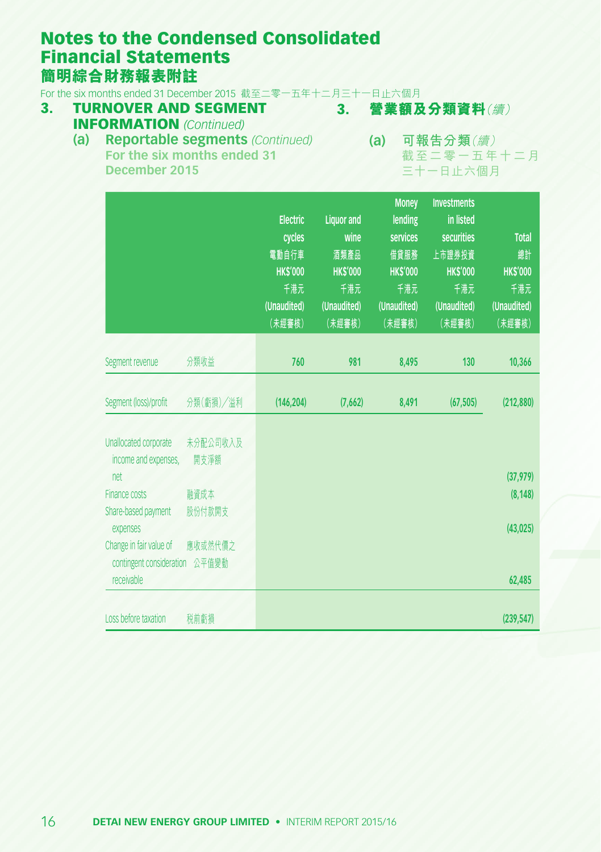For the six months ended 31 December 2015 截至二零一五年十二月三十一日止六個月<br>3. TURNOVER AND SEGMENT 3. 營業額及

#### 3. TURNOVER AND SEGMENT INFORMATION *(Continued)*

3. **營業額及分類資料**(續)

### **(a) 可報告分類**(續) **(a) Reportable segments** *(Continued)* **For the six months ended 31 December 2015**

截至二零一五年十二月 三十一日止六個月

|                                                                   |                  | <b>Electric</b><br>cycles<br>電動自行車<br><b>HK\$'000</b><br>千港元<br>(Unaudited)<br>(未經審核) | <b>Liquor and</b><br>wine<br>酒類產品<br><b>HK\$'000</b><br>千港元<br>(Unaudited)<br>(未經審核) | <b>Money</b><br>lending<br>services<br>借貸服務<br><b>HKS'000</b><br>千港元<br>(Unaudited)<br>(未經審核) | <b>Investments</b><br>in listed<br><b>securities</b><br>上市證券投資<br><b>HKS'000</b><br>千港元<br>(Unaudited)<br>(未經審核) | <b>Total</b><br>總計<br><b>HKS'000</b><br>千港元<br>(Unaudited)<br>(未經審核) |
|-------------------------------------------------------------------|------------------|---------------------------------------------------------------------------------------|--------------------------------------------------------------------------------------|-----------------------------------------------------------------------------------------------|------------------------------------------------------------------------------------------------------------------|----------------------------------------------------------------------|
| Segment revenue                                                   | 分類收益             | 760                                                                                   | 981                                                                                  | 8,495                                                                                         | 130                                                                                                              | 10,366                                                               |
|                                                                   |                  |                                                                                       |                                                                                      |                                                                                               |                                                                                                                  |                                                                      |
| Segment (loss)/profit                                             | 分類(虧損)/溢利        | (146, 204)                                                                            | (7,662)                                                                              | 8,491                                                                                         | (67, 505)                                                                                                        | (212, 880)                                                           |
| Unallocated corporate<br>income and expenses,                     | 未分配公司收入及<br>開支淨額 |                                                                                       |                                                                                      |                                                                                               |                                                                                                                  |                                                                      |
| net<br>Finance costs                                              |                  |                                                                                       |                                                                                      |                                                                                               |                                                                                                                  | (37, 979)                                                            |
| Share-based payment<br>expenses                                   | 融資成本<br>股份付款開支   |                                                                                       |                                                                                      |                                                                                               |                                                                                                                  | (8, 148)<br>(43, 025)                                                |
| Change in fair value of<br>contingent consideration<br>receivable | 應收或然代價之<br>公平值變動 |                                                                                       |                                                                                      |                                                                                               |                                                                                                                  | 62,485                                                               |
|                                                                   |                  |                                                                                       |                                                                                      |                                                                                               |                                                                                                                  |                                                                      |
| Loss before taxation                                              | 税前虧損             |                                                                                       |                                                                                      |                                                                                               |                                                                                                                  | (239, 547)                                                           |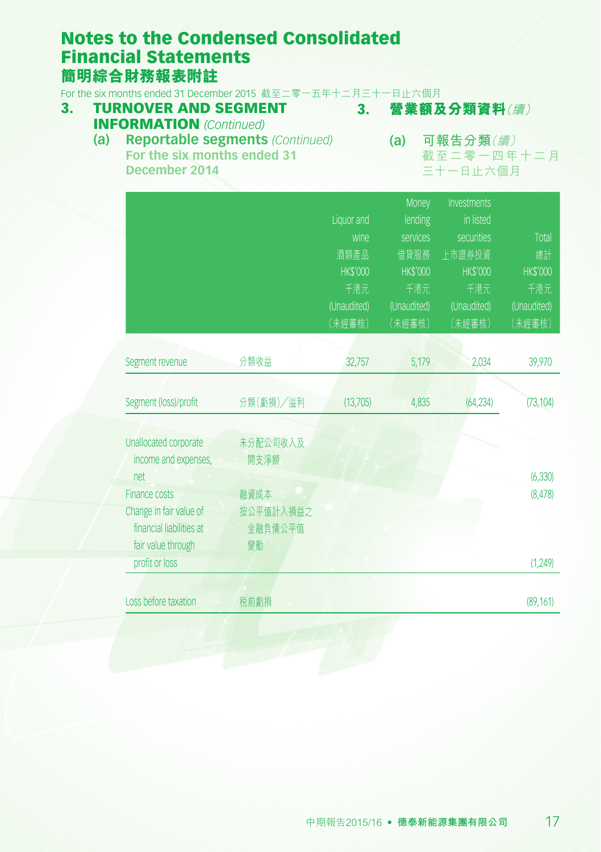For the six months ended 31 December 2015 截至二零一五年十二月三十一日止六個月

#### 3. **營業額及分類資料**(續) 3. TURNOVER AND SEGMENT INFORMATION *(Continued)*

#### **(a) Reportable segments** *(Continued)* **For the six months ended 31 December 2014**

**(a) 可報告分類**(續) 截至二零一四年十二月 三十一日止六個月

|                          |           |                 | Money           | Investments     |                |
|--------------------------|-----------|-----------------|-----------------|-----------------|----------------|
|                          |           | Liquor and      | lending         | in listed       |                |
|                          |           | wine            | services        | securities      | Total          |
|                          |           | 酒類產品            | 借貸服務            | 上市證券投資          | 總計             |
|                          |           | <b>HK\$'000</b> | <b>HK\$'000</b> | <b>HK\$'000</b> | <b>HKS'000</b> |
|                          |           | 千港元             | 千港元             | 千港元             | 千港元            |
|                          |           | (Unaudited)     | (Unaudited)     | (Unaudited)     | (Unaudited)    |
|                          |           | (未經審核)          | (未經審核)          | (未經審核)          | (未經審核)         |
|                          |           |                 |                 |                 |                |
| Segment revenue          | 分類收益      | 32,757          | 5,179           | 2,034           | 39,970         |
|                          |           |                 |                 |                 |                |
| Segment (loss)/profit    | 分類(虧損)/溢利 | (13,705)        | 4,835           | (64, 234)       | (73, 104)      |
|                          |           |                 |                 |                 |                |
| Unallocated corporate    | 未分配公司收入及  |                 |                 |                 |                |
| income and expenses,     | 開支淨額      |                 |                 |                 |                |
| net                      |           |                 |                 |                 | (6, 330)       |
| Finance costs            | 融資成本      |                 |                 |                 | (8, 478)       |
| Change in fair value of  | 按公平值計入損益之 |                 |                 |                 |                |
| financial liabilities at | 金融負債公平值   |                 |                 |                 |                |
| fair value through       | 變動        |                 |                 |                 |                |
| profit or loss           |           |                 |                 |                 | (1, 249)       |
|                          |           |                 |                 |                 |                |
| Loss before taxation     | 税前虧損      |                 |                 |                 | (89, 161)      |
|                          |           |                 |                 |                 |                |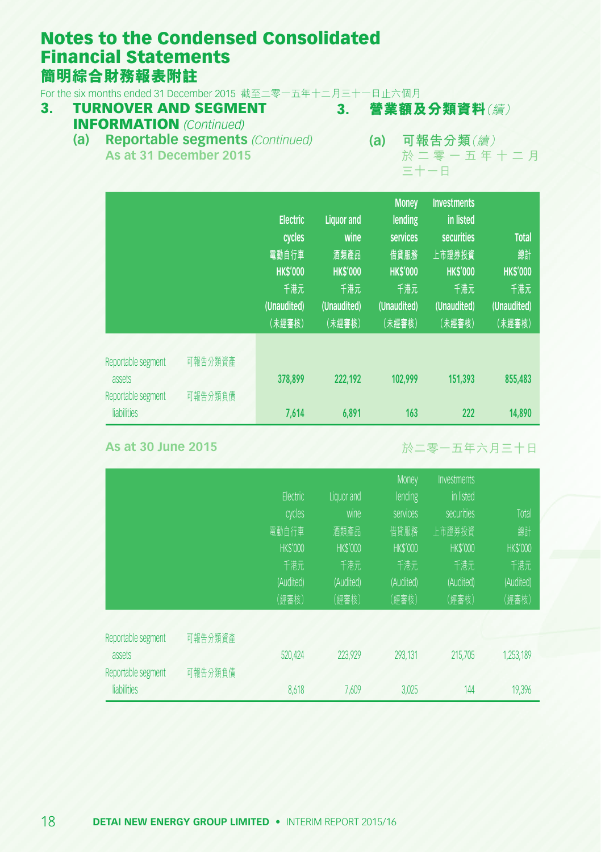For the six months ended 31 December 2015 截至二零一五年十二月三十一日止六個月<br>3. TURNOVER AND SEGMENT 3. 營業額及

#### 3. TURNOVER AND SEGMENT INFORMATION *(Continued)*

- 3. **營業額及分類資料**(續)
- **(a) 可報告分類**(續) **(a) Reportable segments** *(Continued)* **As at 31 December 2015**

於 二 零 一 五 年 十 二 月 三十一日

|                                                                   |                    | <b>Electric</b><br>cycles<br>電動自行車<br><b>HK\$'000</b><br>千港元<br>(Unaudited)<br>(未經審核) | <b>Liquor</b> and<br>wine<br>酒類產品<br><b>HK\$'000</b><br>千港元<br>(Unaudited)<br>(未經審核) | <b>Money</b><br>lending<br>services<br>借貸服務<br><b>HKS'000</b><br>千港元<br>(Unaudited)<br>(未經審核) | <b>Investments</b><br>in listed<br>securities<br>上市證券投資<br><b>HKS'000</b><br>千港元<br>(Unaudited)<br>(未經審核) | <b>Total</b><br>總計<br><b>HKS'000</b><br>千港元<br>(Unaudited)<br>(未經審核) |
|-------------------------------------------------------------------|--------------------|---------------------------------------------------------------------------------------|--------------------------------------------------------------------------------------|-----------------------------------------------------------------------------------------------|-----------------------------------------------------------------------------------------------------------|----------------------------------------------------------------------|
| Reportable segment<br>assets<br>Reportable segment<br>liabilities | 可報告分類資產<br>可報告分類負債 | 378,899<br>7,614                                                                      | 222.192<br>6,891                                                                     | 102.999<br>163                                                                                | 151,393<br>222                                                                                            | 855,483<br>14,890                                                    |

**As at 30 June 2015**

於二零一五年六月三十日

|                    |         |                |                | Money          | <b>Investments</b> |                 |
|--------------------|---------|----------------|----------------|----------------|--------------------|-----------------|
|                    |         | Electric       | Liquor and     | lending        | in listed          |                 |
|                    |         | cycles         | wine           | services       | securities         | Total           |
|                    |         | 電動自行車          | 酒類產品           | 借貸服務           | 上市證券投資             | 總計              |
|                    |         | <b>HKS'000</b> | <b>HKS'000</b> | <b>HKS'000</b> | <b>HKS'000</b>     | <b>HK\$'000</b> |
|                    |         | 千港元            | 千港元            | 千港元            | 千港元                | 千港元             |
|                    |         | (Audited)      | (Audited)      | (Audited)      | (Audited)          | (Audited)       |
|                    |         | (經審核)          | (經審核)          | (經審核)          | (經審核)              | (經審核)           |
| Reportable segment | 可報告分類資產 |                |                |                |                    |                 |
| assets             |         | 520,424        | 223,929        | 293,131        | 215.705            | 1,253,189       |
| Reportable segment | 可報告分類負債 |                |                |                |                    |                 |
| liabilities        |         | 8,618          | 7.609          | 3,025          | 144                | 19,396          |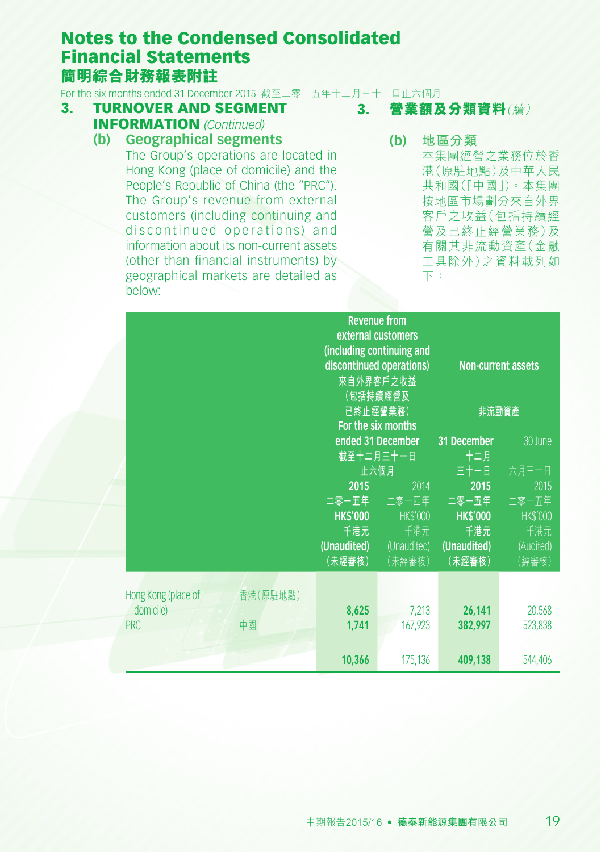For the six months ended 31 December 2015 截至二零一五年十二月三十一日止六個月

- 3. TURNOVER AND SEGMENT INFORMATION *(Continued)*
	- **(b) Geographical segments**

The Group's operations are located in Hong Kong (place of domicile) and the People's Republic of China (the "PRC"). The Group's revenue from external customers (including continuing and discontinued operations) and information about its non-current assets (other than financial instruments) by geographical markets are detailed as below:

3. **營業額及分類資料**(續)

**(b) 地區分類** 本集團經營之業務位於香 港(原駐地點)及中華人民 共和國(「中國」)。本集團 按地區市場劃分來自外界 客戶之收益(包括持續經 營及已終止經營業務)及 有關其非流動資產(金融 工具除外)之資料載列如 下:

|                                                                  |                                                         | <b>Revenue from</b><br>external customers<br>(including continuing and<br>discontinued operations)<br>來自外界客戶之收益<br>(包括持續經營及<br>已終止經營業務)<br>For the six months |                                                                                               | <b>Non-current assets</b><br>非流動資產                                                |
|------------------------------------------------------------------|---------------------------------------------------------|---------------------------------------------------------------------------------------------------------------------------------------------------------------|-----------------------------------------------------------------------------------------------|-----------------------------------------------------------------------------------|
|                                                                  | 2015<br><b>HK\$'000</b><br>千港元<br>(Unaudited)<br>(未經審核) | ended 31 December<br>截至十二月三十一日<br>止六個月<br>2014<br>二零一五年 二零一四年<br><b>HKS'000</b><br>千港元<br>(Unaudited)<br>(未經審核)                                               | 31 December<br>十二月<br>三十一日<br>2015<br>二零一五年<br><b>HKS'000</b><br>千港元<br>(Unaudited)<br>(未經審核) | 30 June<br>六月三十日<br>2015<br>二零一五年<br><b>HK\$'000</b><br>千港元<br>(Audited)<br>(經審核) |
| Hong Kong (place of<br>香港(原駐地點)<br>domicile)<br>中國<br><b>PRC</b> | 8,625<br>1,741<br>10,366                                | 7,213<br>167,923<br>175,136                                                                                                                                   | 26,141<br>382,997<br>409,138                                                                  | 20,568<br>523,838<br>544,406                                                      |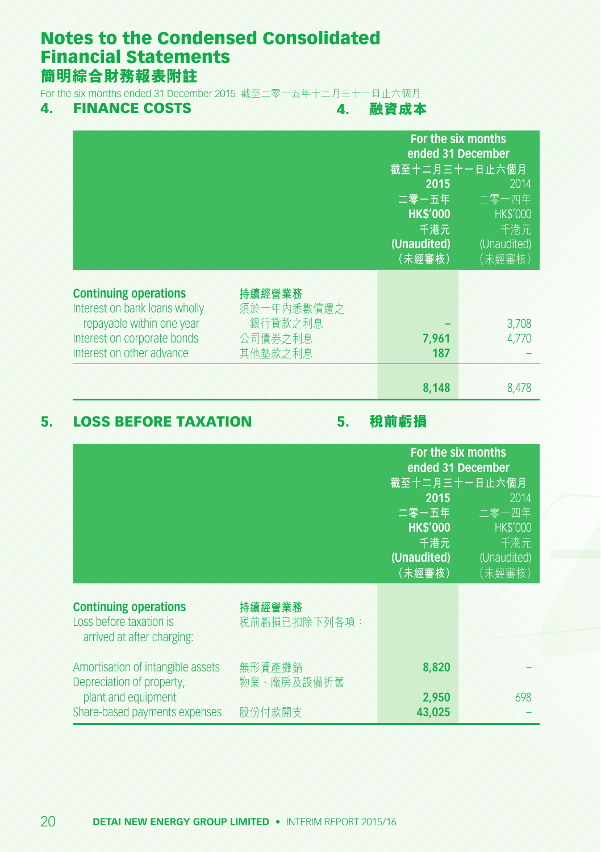For the six months ended 31 December 2015 截至二零一五年十二月三十一日止六個月

### 4. FINANCE COSTS

4. **融資成本**

|                                                                                                                                                        |                                                       | For the six months<br>ended 31 December<br>截至十二月三十一日止六個月<br>2015<br>二零一五年<br><b>HK\$'000</b><br>千港元<br>(Unaudited)<br>(未經審核) | 2014<br>二零一四年<br><b>HK\$'000</b><br>千港元<br>(Unaudited)<br>(未經審核) |
|--------------------------------------------------------------------------------------------------------------------------------------------------------|-------------------------------------------------------|------------------------------------------------------------------------------------------------------------------------------|------------------------------------------------------------------|
| <b>Continuing operations</b><br>Interest on bank loans wholly<br>repayable within one year<br>Interest on corporate bonds<br>Interest on other advance | 持續經營業務<br>須於一年內悉數償還之<br>銀行貸款之利息<br>公司債券之利息<br>其他墊款之利息 | 7,961<br>187<br>8,148                                                                                                        | 3,708<br>4.770<br>8,478                                          |

# 5. LOSS BEFORE TAXATION

5. **稅前虧損**

|                                                                                                                        |                                | For the six months<br>ended 31 December<br>截至十二月三十一日止六個月<br>2015<br>2014<br>二零一五年<br>二零一四年<br><b>HK\$'000</b><br><b>HK\$'000</b><br>千港元<br>千港元<br>(Unaudited)<br>(Unaudited)<br>(未經審核)<br>(未經審核) |     |
|------------------------------------------------------------------------------------------------------------------------|--------------------------------|--------------------------------------------------------------------------------------------------------------------------------------------------------------------------------------------------|-----|
| <b>Continuing operations</b><br>Loss before taxation is<br>arrived at after charging:                                  | 持續經營業務<br>税前虧損已扣除下列各項:         |                                                                                                                                                                                                  |     |
| Amortisation of intangible assets<br>Depreciation of property,<br>plant and equipment<br>Share-based payments expenses | 無形資產攤銷<br>物業、廠房及設備折舊<br>股份付款開支 | 8,820<br>2,950<br>43.025                                                                                                                                                                         | 698 |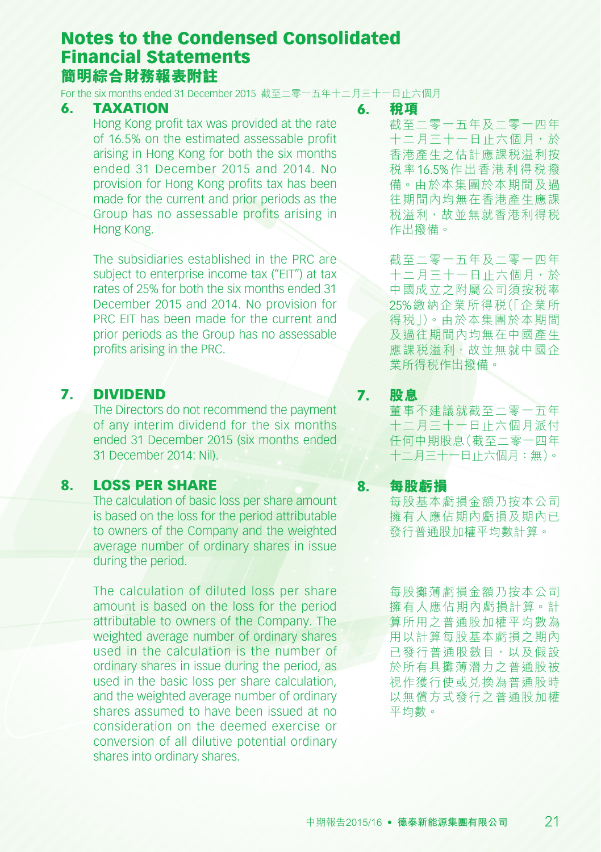For the six months ended 31 December 2015 截至二零一五年十二月三十一日止六個月

#### 6. TAXATION

Hong Kong profit tax was provided at the rate of 16.5% on the estimated assessable profit arising in Hong Kong for both the six months ended 31 December 2015 and 2014. No provision for Hong Kong profits tax has been made for the current and prior periods as the Group has no assessable profits arising in Hong Kong.

The subsidiaries established in the PRC are subject to enterprise income tax ("EIT") at tax rates of 25% for both the six months ended 31 December 2015 and 2014. No provision for PRC EIT has been made for the current and prior periods as the Group has no assessable profits arising in the PRC.

#### 7. DIVIDEND

The Directors do not recommend the payment of any interim dividend for the six months ended 31 December 2015 (six months ended 31 December 2014: Nil).

### 8. LOSS PER SHARE

The calculation of basic loss per share amount is based on the loss for the period attributable to owners of the Company and the weighted average number of ordinary shares in issue during the period.

The calculation of diluted loss per share amount is based on the loss for the period attributable to owners of the Company. The weighted average number of ordinary shares used in the calculation is the number of ordinary shares in issue during the period, as used in the basic loss per share calculation, and the weighted average number of ordinary shares assumed to have been issued at no consideration on the deemed exercise or conversion of all dilutive potential ordinary shares into ordinary shares.

#### 6. **稅項**

截至二零一五年及二零一四年 十二月三十一日止六個月,於 香港產生之估計應課稅溢利按 稅率16.5%作出香港利得稅撥 備。由於本集團於本期間及過 往期間內均無在香港產生應課 稅溢利,故並無就香港利得稅 作出撥備。

截至二零一五年及二零一四年 十二月三十一日止六個月,於 中國成立之附屬公司須按稅率 25%繳納企業所得稅(「企業所 得稅」)。由於本集團於本期間 及過往期間內均無在中國產生 應課税溢利,故並無就中國企 業所得稅作出撥備。

7. **股息** 董事不建議就截至二零一五年 十二月三十一日止六個月派付 任何中期股息(截至二零一四年 十二月三十一日止六個月:無)。

8. **每股虧損** 每股基本虧損金額乃按本公司 擁有人應佔期內虧損及期內已 發行普通股加權平均數計算。

> 每股攤薄虧損金額乃按本公司 擁有人應佔期內虧損計算。計 算所用之普通股加權平均數為 用以計算每股基本虧損之期內 已發行普通股數目,以及假設 於所有具攤薄潛力之普通股被 視作獲行使或兑換為普通股時 以無償方式發行之普通股加權 平均數。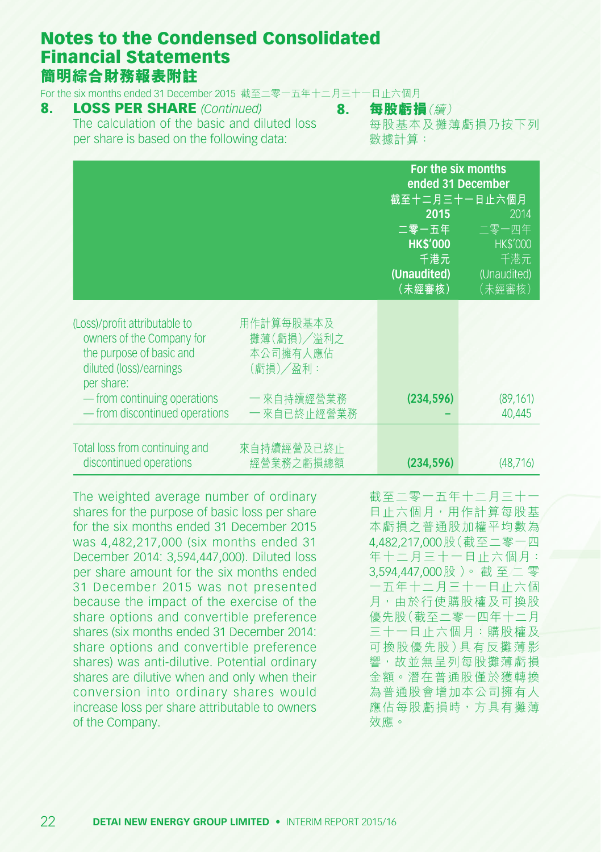For the six months ended 31 December 2015 截至二零一五年十二月三十一日止六個月

- 8. LOSS PER SHARE *(Continued)* The calculation of the basic and diluted loss per share is based on the following data:
- 8. **每股虧損**(續) 每股基本及攤薄虧損乃按下列 數據計算:

|                                                                                                                                 |                                                 | For the six months<br>ended 31 December<br>截至十二月三十一日止六個月         |                                                                  |
|---------------------------------------------------------------------------------------------------------------------------------|-------------------------------------------------|------------------------------------------------------------------|------------------------------------------------------------------|
|                                                                                                                                 |                                                 | 2015<br>二零一五年<br><b>HK\$'000</b><br>千港元<br>(Unaudited)<br>(未經審核) | 2014<br>二零一四年<br><b>HK\$'000</b><br>千港元<br>(Unaudited)<br>(未經審核) |
| (Loss)/profit attributable to<br>owners of the Company for<br>the purpose of basic and<br>diluted (loss)/earnings<br>per share: | 用作計算每股基本及<br>攤薄(虧損)/溢利之<br>本公司擁有人應佔<br>(虧損)/盈利: |                                                                  |                                                                  |
| — from continuing operations<br>- from discontinued operations                                                                  | — 來自持續經營業務<br>— 來自已終止經營業務                       | (234, 596)                                                       | (89, 161)<br>40,445                                              |
| Total loss from continuing and<br>discontinued operations                                                                       | 來自持續經營及已終止<br>經營業務之虧損總額                         | (234, 596)                                                       | (48.716)                                                         |

The weighted average number of ordinary shares for the purpose of basic loss per share for the six months ended 31 December 2015 was 4,482,217,000 (six months ended 31 December 2014: 3,594,447,000). Diluted loss per share amount for the six months ended 31 December 2015 was not presented because the impact of the exercise of the share options and convertible preference shares (six months ended 31 December 2014: share options and convertible preference shares) was anti-dilutive. Potential ordinary shares are dilutive when and only when their conversion into ordinary shares would increase loss per share attributable to owners of the Company.

截至二零一五年十二月三十一 日止六個月,用作計算每股基 本虧損之普通股加權平均數為 4,482,217,000股(截至二零一四 年十二月三十一日止六個月: 3,594,447,000股 )。 截 至 二 零 一五年十二月三十一日止六個 月,由於行使購股權及可換股 優先股(截至二零一四年十二月 三十一日止六個月:購股權及 可換股優先股)具有反攤薄影 響,故並無呈列每股攤薄虧損 金額。潛在普通股僅於獲轉換 為普通股會增加本公司擁有人 應佔每股虧損時,方具有攤薄 效應。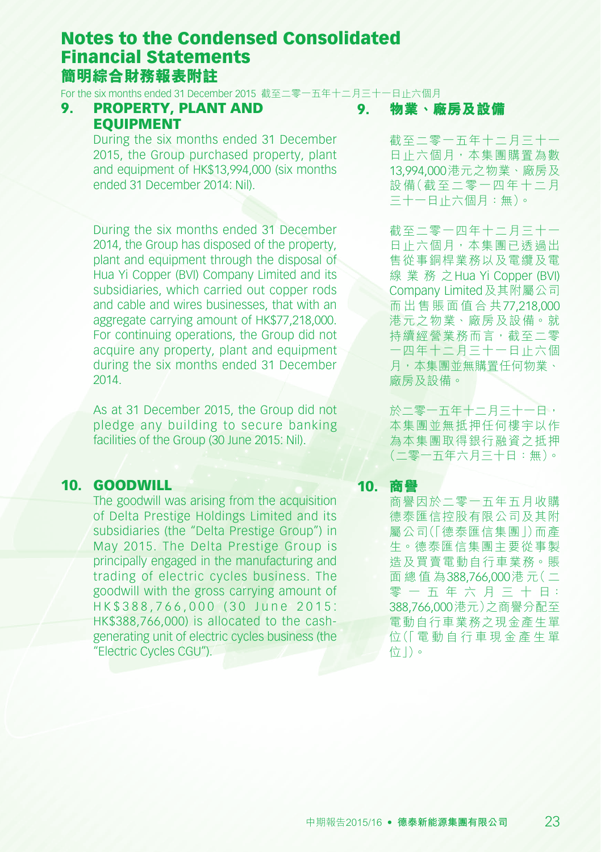For the six months ended 31 December 2015 截至二零一五年十二月三十一日止六個月

#### 9. PROPERTY, PLANT AND EQUIPMENT

During the six months ended 31 December 2015, the Group purchased property, plant and equipment of HK\$13,994,000 (six months) ended 31 December 2014: Nil).

During the six months ended 31 December 2014, the Group has disposed of the property plant and equipment through the disposal of Hua Yi Copper (BVI) Company Limited and its subsidiaries, which carried out copper rods and cable and wires businesses, that with an aggregate carrying amount of HK\$77,218,000. For continuing operations, the Group did not acquire any property, plant and equipment during the six months ended 31 December 2014.

As at 31 December 2015, the Group did not pledge any building to secure banking facilities of the Group (30 June 2015; Nil).

### 10. GOODWILL

The goodwill was arising from the acquisition of Delta Prestige Holdings Limited and its subsidiaries (the "Delta Prestige Group") in May 2015. The Delta Prestige Group is principally engaged in the manufacturing and trading of electric cycles business. The goodwill with the gross carrying amount of HK\$388,766,000 (30 June 2015: HK\$388,766,000) is allocated to the cashgenerating unit of electric cycles business (the "Electric Cycles CGU").

9. **物業、廠房及設備**

截至二零一五年十二月三十一 日止六個月,本集團購置為數 13,994,000港元之物業、廠房及 設備(截至二零一四年十二月 三十一日止六個月:無)。

截至二零一四年十二月三十一 日止六個月,本集團已透過出 售從事銅桿業務以及電纜及電 線 業 務 之Hua Yi Copper (BVI) Company Limited及其附屬公司 而 出 售 賬 面 值 合 共77,218,000 港元之物業、廠房及設備。就 持續經營業務而言,截至二零 一四年十二月三十一日止六個 月,本集團並無購置任何物業、 廠房及設備。

於二零一五年十二月三十一日, 本集團並無抵押任何樓宇以作 為本集團取得銀行融資之抵押 (二零一五年六月三十日:無)。

#### 10. **商譽**

商譽因於二零一五年五月收購 德泰匯信控股有限公司及其附 屬公司(「德泰匯信集團」)而產 生。德泰匯信集團主要從事製 造及買賣電動自行車業務。賬 面 總 值 為388,766,000港 元( 二 零 一 五 年 六 月 三 十 日: 388,766,000港元)之商譽分配至 電動自行車業務之現金產生單 位(「 電 動 自 行 車 現 金 產 生 單 位」)。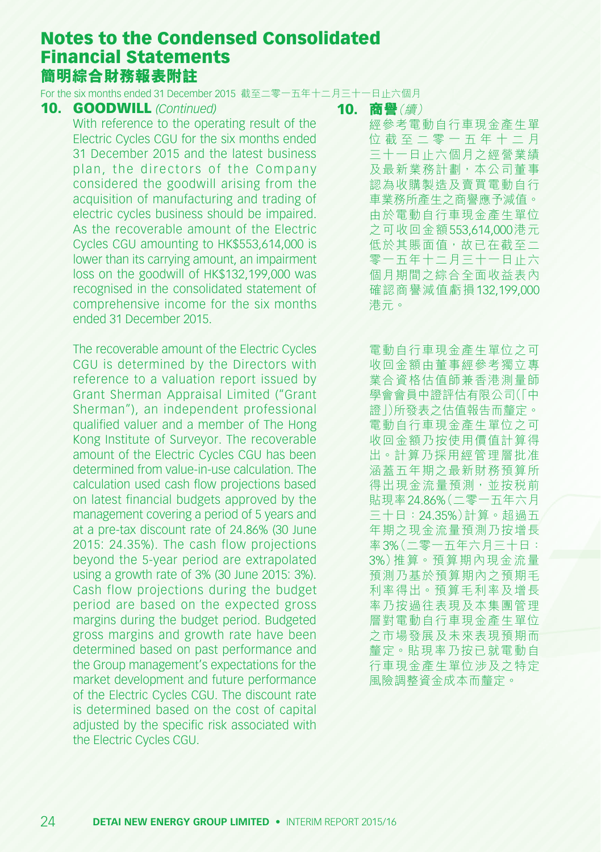For the six months ended 31 December 2015 截至二零一五年十二月三十一日止六個月

#### 10. GOODWILL *(Continued)*

With reference to the operating result of the Electric Cycles CGU for the six months ended 31 December 2015 and the latest business plan, the directors of the Company considered the goodwill arising from the acquisition of manufacturing and trading of electric cycles business should be impaired. As the recoverable amount of the Electric Cycles CGU amounting to HK\$553,614,000 is lower than its carrying amount, an impairment loss on the goodwill of HK\$132,199,000 was recognised in the consolidated statement of comprehensive income for the six months ended 31 December 2015.

The recoverable amount of the Electric Cycles CGU is determined by the Directors with reference to a valuation report issued by Grant Sherman Appraisal Limited ("Grant Sherman"), an independent professional qualified valuer and a member of The Hong Kong Institute of Surveyor. The recoverable amount of the Electric Cycles CGU has been determined from value-in-use calculation. The calculation used cash flow projections based on latest financial budgets approved by the management covering a period of 5 years and at a pre-tax discount rate of 24.86% (30 June 2015: 24.35%). The cash flow projections beyond the 5-year period are extrapolated using a growth rate of 3% (30 June 2015: 3%). Cash flow projections during the budget period are based on the expected gross margins during the budget period. Budgeted gross margins and growth rate have been determined based on past performance and the Group management's expectations for the market development and future performance of the Electric Cycles CGU. The discount rate is determined based on the cost of capital adjusted by the specific risk associated with the Electric Cycles CGU.

#### 10. **商譽**(續)

經參考電動自行車現金產生單 位 截 至 二 零 一 五 年 十 二 月 三十一日止六個月之經營業績 及最新業務計劃,本公司董事 認為收購製造及賣買電動自行 車業務所產生之商譽應予減值。 由於電動自行車現金產生單位 之可收回金額553,614,000港元 低於其賬面值,故已在截至二 零一五年十二月三十一日止六 個月期間之綜合全面收益表內 確認商譽減值虧損132,199,000 港元。

電動自行車現金產生單位之可 收回金額由董事經參考獨立專 業合資格估值師兼香港測量師 學會會員中證評估有限公司(「中 證」)所發表之估值報告而釐定。 電動自行車現金產生單位之可 收回金額乃按使用價值計算得 出。計算乃採用經管理層批准 涵蓋五年期之最新財務預算所 得出現金流量預測,並按稅前 貼現率24.86%(二零一五年六月 三十日:24.35%)計算。超過五 年期之現金流量預測乃按增長 率3%(二零一五年六月三十日: 3%)推算。預算期內現金流量 預測乃基於預算期內之預期毛 利率得出。預算毛利率及增長 率乃按過往表現及本集團管理 層對電動自行車現金產生單位 之市場發展及未來表現預期而 釐定。貼現率乃按已就電動自 行車現金產生單位涉及之特定 風險調整資金成本而釐定。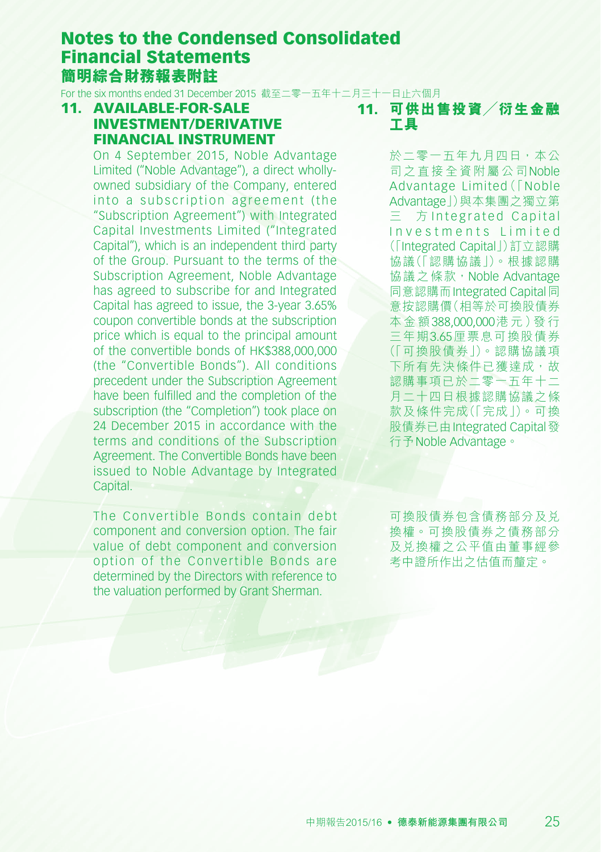For the six months ended 31 December 2015 截至二零一五年十二月三十一日止六個月

11. AVAILABLE-FOR-SALE INVESTMENT/DERIVATIVE FINANCIAL INSTRUMENT

On 4 September 2015, Noble Advantage Limited ("Noble Advantage"), a direct whollyowned subsidiary of the Company, entered into a subscription agreement (the "Subscription Agreement") with Integrated Capital Investments Limited ("Integrated Capital"), which is an independent third party of the Group. Pursuant to the terms of the Subscription Agreement, Noble Advantage has agreed to subscribe for and Integrated Capital has agreed to issue, the 3-year 3.65% coupon convertible bonds at the subscription price which is equal to the principal amount of the convertible bonds of HK\$388,000,000 (the "Convertible Bonds"). All conditions precedent under the Subscription Agreement have been fulfilled and the completion of the subscription (the "Completion") took place on 24 December 2015 in accordance with the terms and conditions of the Subscription Agreement. The Convertible Bonds have been issued to Noble Advantage by Integrated Capital.

The Convertible Bonds contain debt component and conversion option. The fair value of debt component and conversion option of the Convertible Bonds are determined by the Directors with reference to the valuation performed by Grant Sherman.

11. **可供出售投資╱衍生金融 工具**

> 於二零一五年九月四日,本公 司之直接全資附屬公司Noble Advantage Limited(「Noble Advantage」)與本集團之獨立第 方 Integrated Capital Investments Limited (「Integrated Capital」)訂立認購 協議(「認購協議」)。根據認購 協議之條款, Noble Advantage 同意認購而Integrated Capital同 意按認購價(相等於可換股債券 本 金 額388,000,000港 元)發 行 三年期3.65厘票息可換股債券 (「可換股債券」)。認購協議項 下所有先決條件已獲達成,故 認購事項已於二零一五年十二 月二十四日根據認購協議之條 款及條件完成(「完成」)。可換 股債券已由Integrated Capital發 行予Noble Advantage。

可換股債券包含債務部分及兌 換權。可換股債券之債務部分 及兌換權之公平值由董事經參 考中證所作出之估值而釐定。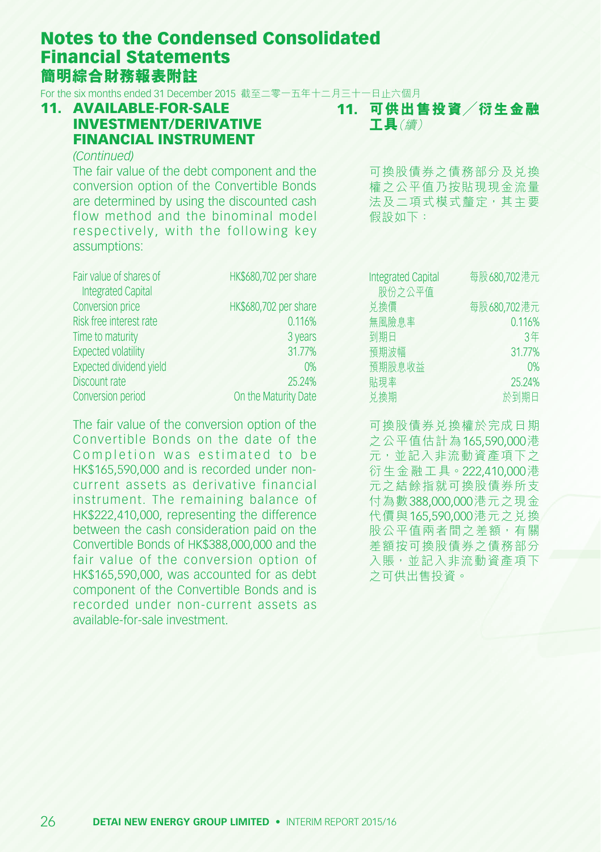For the six months ended 31 December 2015 截至二零一五年十二月三十一日止六個月

### 11. AVAILABLE-FOR-SALE INVESTMENT/DERIVATIVE FINANCIAL INSTRUMENT

# 11. **可供出售投資╱衍生金融**

**工具**(續)

*(Continued)* The fair value of the debt component and the conversion option of the Convertible Bonds are determined by using the discounted cash flow method and the binominal model respectively, with the following key assumptions:

| Fair value of shares of        | HK\$680,702 per share |
|--------------------------------|-----------------------|
| <b>Integrated Capital</b>      |                       |
| Conversion price               | HK\$680,702 per share |
| Risk free interest rate        | 0.116%                |
| Time to maturity               | 3 years               |
| <b>Expected volatility</b>     | 31.77%                |
| <b>Expected dividend yield</b> | 0%                    |
| Discount rate                  | 25.24%                |
| Conversion period              | On the Maturity Date  |
|                                |                       |

The fair value of the conversion option of the Convertible Bonds on the date of the Completion was estimated to be HK\$165,590,000 and is recorded under noncurrent assets as derivative financial instrument. The remaining balance of HK\$222,410,000, representing the difference between the cash consideration paid on the Convertible Bonds of HK\$388,000,000 and the fair value of the conversion option of HK\$165,590,000, was accounted for as debt component of the Convertible Bonds and is recorded under non-current assets as available-for-sale investment.

可換股債券之債務部分及兌換 權之公平值乃按貼現現金流量 法及二項式模式釐定,其主要 假設如下:

| <b>Integrated Capital</b><br>股份之公平值 | 每股680,702港元 |
|-------------------------------------|-------------|
| 兑换價                                 | 每股680,702港元 |
| 無風險息率                               | 0.116%      |
| 到期日                                 | 3年          |
| 預期波幅                                | 31.77%      |
| 預期股息收益                              | 0%          |
| 貼現率                                 | 25.24%      |
| 兑换期                                 | 日脚假分        |

可換股債券兌換權於完成日期 之公平值估計為165,590,000港 元,並記入非流動資產項下之 衍生金融工具。222,410,000港 元之結餘指就可換股債券所支 付為數388,000,000港元之現金 代價與165,590,000港元之兌換 股公平值兩者間之差額,有關 差額按可換股債券之債務部分 入賬,並記入非流動資產項下 之可供出售投資。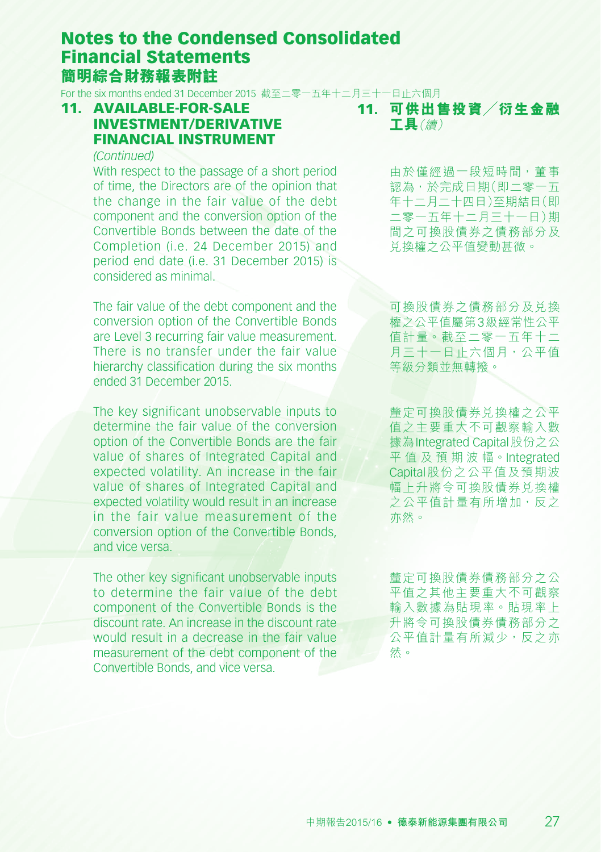For the six months ended 31 December 2015 截至二零一五年十二月三十一日止六個月

### 11. AVAILABLE-FOR-SALE INVESTMENT/DERIVATIVE FINANCIAL INSTRUMENT

#### *(Continued)*

With respect to the passage of a short period of time, the Directors are of the opinion that the change in the fair value of the debt component and the conversion option of the Convertible Bonds between the date of the Completion (i.e. 24 December 2015) and period end date (i.e. 31 December 2015) is considered as minimal.

The fair value of the debt component and the conversion option of the Convertible Bonds are Level 3 recurring fair value measurement. There is no transfer under the fair value hierarchy classification during the six months ended 31 December 2015.

The key significant unobservable inputs to determine the fair value of the conversion option of the Convertible Bonds are the fair value of shares of Integrated Capital and expected volatility. An increase in the fair value of shares of Integrated Capital and expected volatility would result in an increase in the fair value measurement of the conversion option of the Convertible Bonds, and vice versa.

The other key significant unobservable inputs to determine the fair value of the debt component of the Convertible Bonds is the discount rate. An increase in the discount rate would result in a decrease in the fair value measurement of the debt component of the Convertible Bonds, and vice versa.

11. **可供出售投資╱衍生金融 工具**(續)

> 由於僅經過一段短時間,董事 認為,於完成日期(即二零一五 年十二月二十四日)至期結日(即 二零一五年十二月三十一日)期 間之可換股債券之債務部分及 兌換權之公平值變動甚微。

> 可換股債券之債務部分及兌換 權之公平值屬第3級經常性公平 值計量。截至二零一五年十二 月三十一日止六個月,公平值 等級分類並無轉撥。

> 釐定可換股債券兑換權之公平 值之主要重大不可觀察輸入數 據為Integrated Capital股份之公 平 值 及 預 期 波 幅。Integrated Capital股份之公平值及預期波 幅上升將令可換股債券兌換權 之公平值計量有所增加,反之 亦然。

> 釐定可換股債券債務部分之公 平值之其他主要重大不可觀察 輸入數據為貼現率。貼現率上 升將令可換股債券債務部分之 公平值計量有所減少,反之亦 然。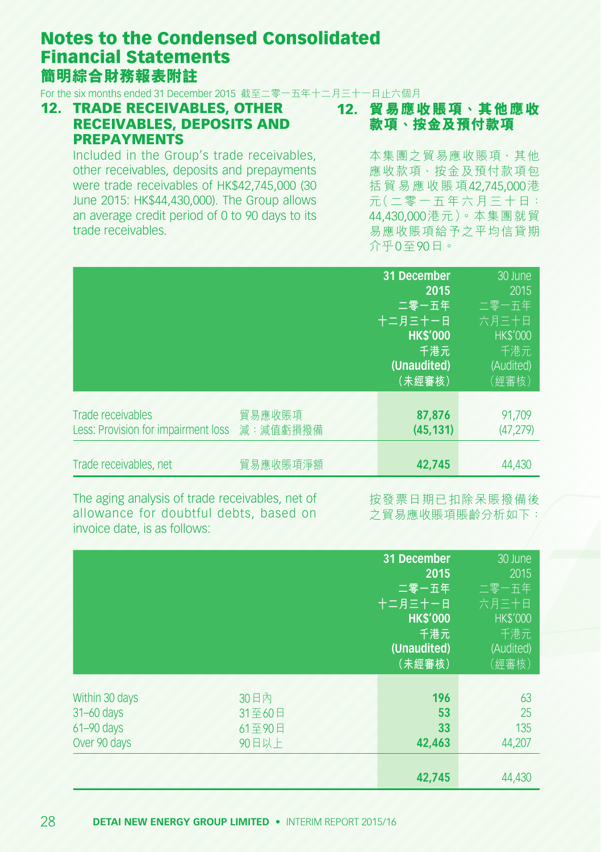For the six months ended 31 December 2015 截至二零一五年十二月三十一日止六個月

12. TRADE RECEIVABLES, OTHER RECEIVABLES, DEPOSITS AND PREPAYMENTS

12. **貿易應收賬項、其他應收 款項、按金及預付款項**

Included in the Group's trade receivables, other receivables, deposits and prepayments were trade receivables of HK\$42,745,000 (30 June 2015: HK\$44,430,000). The Group allows an average credit period of 0 to 90 days to its trade receivables.

本集團之貿易應收賬項、其他 應收款項、按金及預付款項包 括 貿 易 應 收 賬 項42,745,000港 元(二 零 一 五 年 六 月 三 十 日: 44,430,000港元)。本集團就貿 易應收賬項給予之平均信貸期 介乎0至90日。

|                                     |          | 31 December     | 30 June         |
|-------------------------------------|----------|-----------------|-----------------|
|                                     |          | 2015            | 2015            |
|                                     |          | 二零一五年           | 二零一五年           |
|                                     |          | 十二月三十一日         | 六月三十日           |
|                                     |          | <b>HK\$'000</b> | <b>HK\$'000</b> |
|                                     |          | 千港元             | 千港元             |
|                                     |          | (Unaudited)     | (Audited)       |
|                                     |          | (未經審核)          | (經審核)           |
|                                     |          |                 |                 |
| Trade receivables                   | 貿易應收賬項   | 87.876          | 91.709          |
| Less: Provision for impairment loss | 減:減值虧損撥備 | (45.131)        | (47, 279)       |
|                                     |          |                 |                 |
| Trade receivables, net              | 貿易應收賬項淨額 | 42.745          | 44.430          |
|                                     |          |                 |                 |

The aging analysis of trade receivables, net of allowance for doubtful debts, based on invoice date, is as follows:

按發票日期已扣除呆賬撥備後 之貿易應收賬項賬齡分析如下:

|                                                                |                                   | 31 December<br>2015<br>二零一五年<br>十二月三十一日<br><b>HK\$'000</b><br>千港元<br>(Unaudited)<br>(未經審核) | $30$ June<br>2015<br>二零一五年<br>六月三十日<br><b>HK\$'000</b><br>千港元<br>(Audited)<br>(經審核) |
|----------------------------------------------------------------|-----------------------------------|--------------------------------------------------------------------------------------------|-------------------------------------------------------------------------------------|
| Within 30 days<br>31-60 days<br>$61 - 90$ days<br>Over 90 days | 30日内<br>31至60日<br>61至90日<br>90日以上 | 196<br>53<br>33<br>42,463<br>42.745                                                        | 63<br>25<br>135<br>44,207<br>44,430                                                 |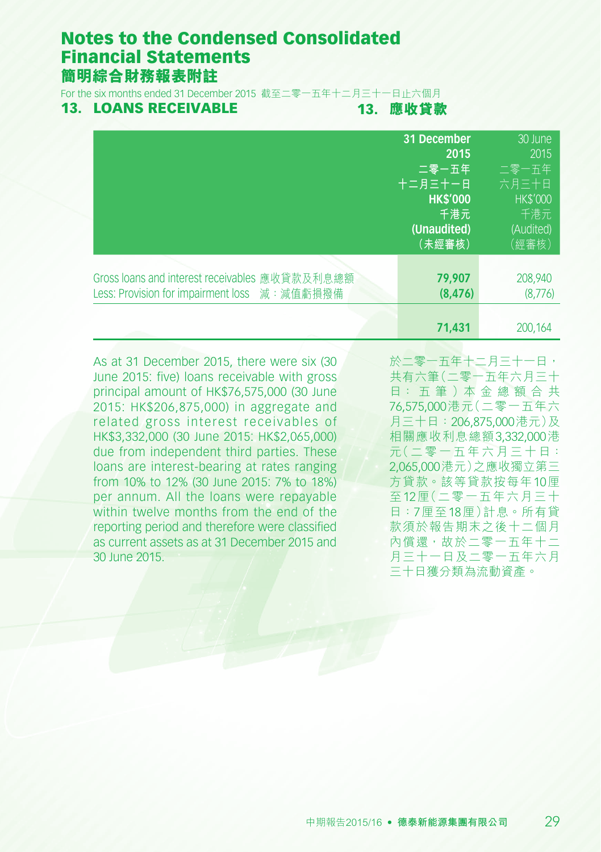**簡明綜合財務報表附註** 

For the six months ended 31 December 2015 截至二零一五年十二月三十一日止六個月

#### 13. LOANS RECEIVABLE

13. **應收貸款**

|                                                | 31 December     | 30 June        |
|------------------------------------------------|-----------------|----------------|
|                                                | 2015            | 2015           |
|                                                | 二零一五年           | 二零一五年          |
|                                                | 十二月三十一日         | 六月三十日          |
|                                                | <b>HK\$'000</b> | <b>HKS'000</b> |
|                                                | 千港元             | 千港元            |
|                                                | (Unaudited)     | (Audited)      |
|                                                | (未經審核)          | (經審核)          |
| Gross loans and interest receivables 應收貸款及利息總額 | 79.907          | 208,940        |
| Less: Provision for impairment loss 減: 減值虧損撥備  | (8, 476)        | (8,776)        |
|                                                |                 |                |
|                                                | 71,431          | 200.164        |

As at 31 December 2015, there were six (30 June 2015: five) loans receivable with gross principal amount of HK\$76,575,000 (30 June 2015: HK\$206,875,000) in aggregate and related gross interest receivables of HK\$3,332,000 (30 June 2015: HK\$2,065,000) due from independent third parties. These loans are interest-bearing at rates ranging from 10% to 12% (30 June 2015: 7% to 18%) per annum. All the loans were repayable within twelve months from the end of the reporting period and therefore were classified as current assets as at 31 December 2015 and 30 June 2015.

於二零一五年十二月三十一日, 共有六筆(二零一五年六月三十 日: 五 筆 )本 金 總 額 合 共 76,575,000港元(二零一五年六 月三十日:206,875,000港元)及 相關應收利息總額3,332,000港 元(二 零 一 五 年 六 月 三 十 日: 2,065,000港元)之應收獨立第三 方貸款。該等貸款按每年10厘 至12厘(二零一五年六月三十 日:7厘至18厘)計息。所有貸 款須於報告期末之後十二個月 內償還,故於二零一五年十二 月三十一日及二零一五年六月 三十日獲分類為流動資產。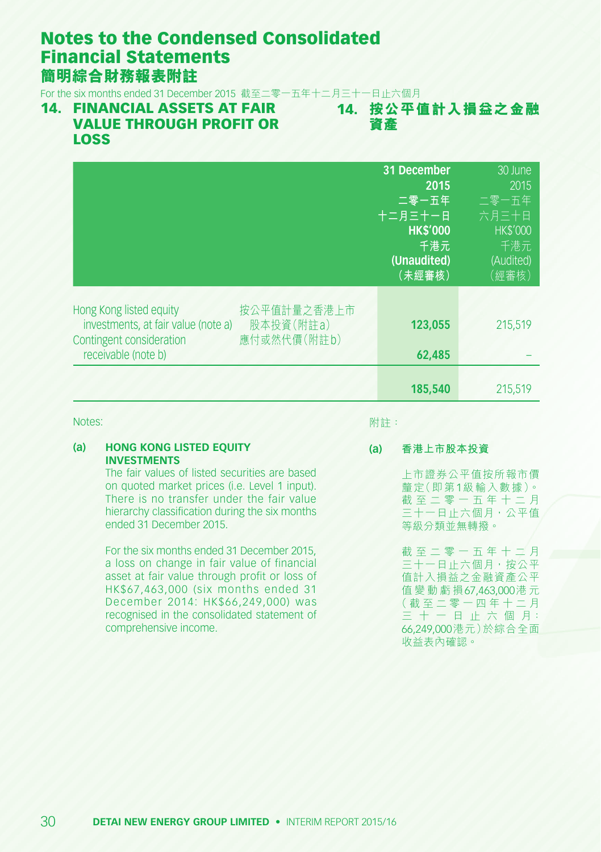For the six months ended 31 December 2015 截至二零一五年十二月三十一日止六個月

#### 14. FINANCIAL ASSETS AT FAIR VALUE THROUGH PROFIT OR LOSS

14. **按公平值計入損益之金融 資產**

|                                                                                                                                                              | 31 December<br>2015<br>二零一五年<br>十二月三十一日<br><b>HK\$'000</b><br>千港元<br>(Unaudited)<br>(未經審核) | 30 June<br>2015<br>二零一五年<br>六月三十日<br><b>HK\$'000</b><br>千港元<br>(Audited)<br>(經審核) |
|--------------------------------------------------------------------------------------------------------------------------------------------------------------|--------------------------------------------------------------------------------------------|-----------------------------------------------------------------------------------|
| Hong Kong listed equity<br>按公平值計量之香港上市<br>investments, at fair value (note a)<br>股本投資(附註a)<br>Contingent consideration<br>應付或然代價(附註b)<br>receivable (note b) | 123.055<br>62,485                                                                          | 215,519                                                                           |
|                                                                                                                                                              | 185,540                                                                                    | 215.519                                                                           |

Notes:

附註:

#### **(a) HONG KONG LISTED EQUITY INVESTMENTS**

The fair values of listed securities are based on quoted market prices (i.e. Level 1 input). There is no transfer under the fair value hierarchy classification during the six months ended 31 December 2015.

For the six months ended 31 December 2015, a loss on change in fair value of financial asset at fair value through profit or loss of HK\$67,463,000 (six months ended 31 December 2014: HK\$66,249,000) was recognised in the consolidated statement of comprehensive income.

**(a) 香港上市股本投資**

上市證券公平值按所報市價 釐定(即第1級輸入數據)。 截 至 二 零 一 五 年 十 二 月 三十一日止六個月,公平值 等級分類並無轉撥。

截 至 二 零 一 五 年 十 二 月 三十一日止六個月,按公平 值計入損益之金融資產公平 值 變 動 虧 損67,463,000港 元 ( 截 至 二 零 一 四 年 十 二 月 三 十 一 日 止 六 個 月: 66,249,000港元)於綜合全面 收益表內確認。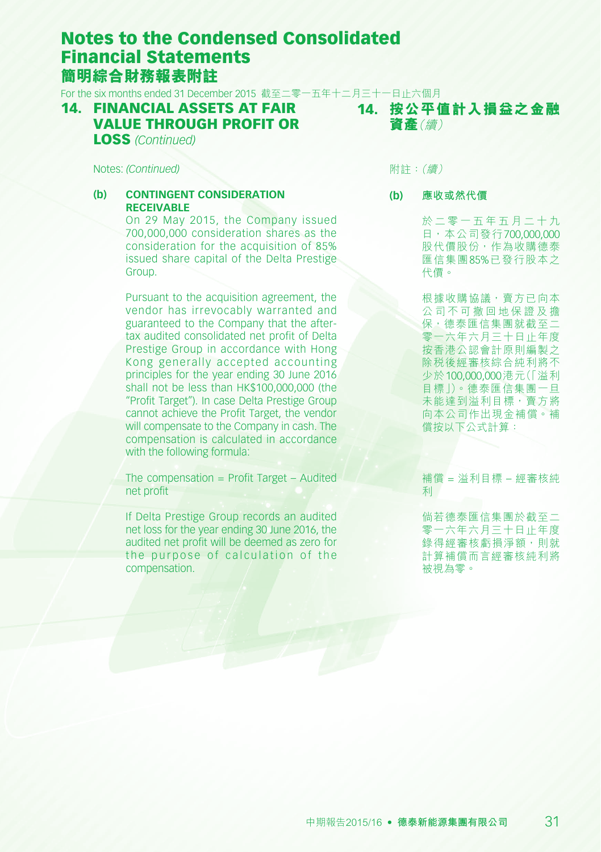For the six months ended 31 December 2015 截至二零一五年十二月三十一日止六個月 14. **按公平值計入損益之金融**

#### 14. FINANCIAL ASSETS AT FAIR VALUE THROUGH PROFIT OR LOSS *(Continued)*

**資產**(續)

Notes: *(Continued)*

#### **(b) CONTINGENT CONSIDERATION RECEIVABLE**

On 29 May 2015, the Company issued 700,000,000 consideration shares as the consideration for the acquisition of 85% issued share capital of the Delta Prestige Group.

Pursuant to the acquisition agreement, the vendor has irrevocably warranted and guaranteed to the Company that the aftertax audited consolidated net profit of Delta Prestige Group in accordance with Hong Kong generally accepted accounting principles for the year ending 30 June 2016 shall not be less than HK\$100,000,000 (the "Profit Target"). In case Delta Prestige Group cannot achieve the Profit Target, the vendor will compensate to the Company in cash. The compensation is calculated in accordance with the following formula:

The compensation  $=$  Profit Target  $-$  Audited net profit

If Delta Prestige Group records an audited net loss for the year ending 30 June 2016, the audited net profit will be deemed as zero for the purpose of calculation of the compensation.

附註:(續)

**(b) 應收或然代價**

於 二 零 一 五 年 五 月 二 十 九 日,本公司發行700,000,000 股代價股份,作為收購德泰 匯信集團85%已發行股本之 代價。

根據收購協議,賣方已向本 公 司 不 可 撤 回 地 保 證 及 擔 保,德泰匯信集團就截至二 零一六年六月三十日止年度 按香港公認會計原則編製之 除稅後經審核綜合純利將不 少於100,000,000港元(「溢利 目標」)。德泰匯信集團一旦 未能達到溢利目標,賣方將 向本公司作出現金補償。補 償按以下公式計算:

補償 = 溢利目標 – 經審核純 利

倘若德泰匯信集團於截至二 零一六年六月三十日止年度 錄得經審核虧損淨額,則就 計算補償而言經審核純利將 被視為零。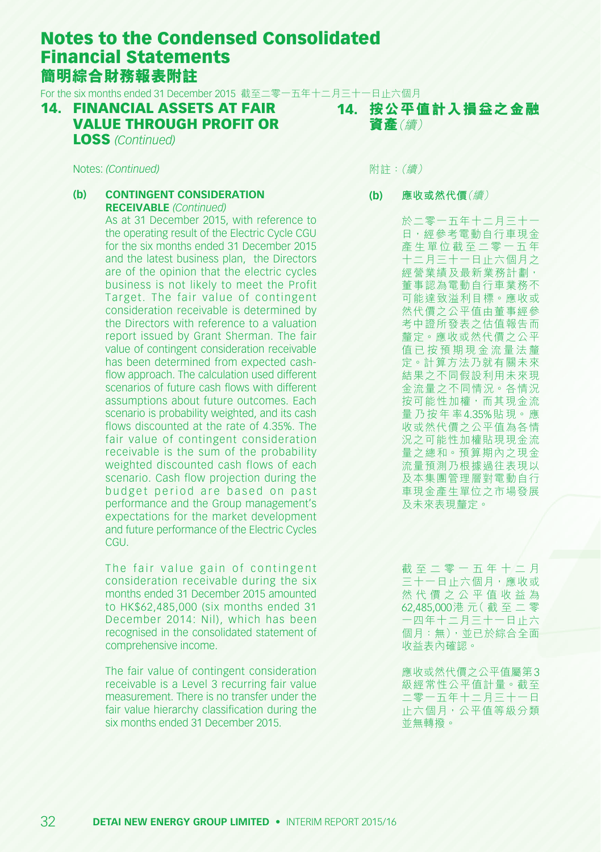For the six months ended 31 December 2015 截至二零一五年十二月三十一日止六個月 14. **按公平值計入損益之金融**

14. FINANCIAL ASSETS AT FAIR VALUE THROUGH PROFIT OR

LOSS *(Continued)*

Notes: *(Continued)*

#### **(b) CONTINGENT CONSIDERATION RECEIVABLE** *(Continued)*

As at 31 December 2015, with reference to the operating result of the Electric Cycle CGU for the six months ended 31 December 2015 and the latest business plan, the Directors are of the opinion that the electric cycles business is not likely to meet the Profit Target. The fair value of contingent consideration receivable is determined by the Directors with reference to a valuation report issued by Grant Sherman. The fair value of contingent consideration receivable has been determined from expected cashflow approach. The calculation used different scenarios of future cash flows with different assumptions about future outcomes. Each scenario is probability weighted, and its cash flows discounted at the rate of 4.35%. The fair value of contingent consideration receivable is the sum of the probability weighted discounted cash flows of each scenario. Cash flow projection during the budget period are based on past performance and the Group management's expectations for the market development and future performance of the Electric Cycles CGU.

The fair value gain of contingent consideration receivable during the six months ended 31 December 2015 amounted to HK\$62,485,000 (six months ended 31 December 2014: Nil), which has been recognised in the consolidated statement of comprehensive income.

The fair value of contingent consideration receivable is a Level 3 recurring fair value measurement. There is no transfer under the fair value hierarchy classification during the six months ended 31 December 2015.

附註:(續)

**資產**(續)

**(b) 應收或然代價**(續)

於二零一五年十二月三十一 日,經參考電動自行車現金 產 生 單 位 截 至 二 零 一 五 年 十二月三十一日止六個月之 經營業績及最新業務計劃, 董事認為電動自行車業務不 可能達致溢利目標。應收或 然代價之公平值由董事經參 考中證所發表之估值報告而 釐定。應收或然代價之公平 值 已 按 預 期 現 金 流 量 法 釐 定。計算方法乃就有關未來 結果之不同假設利用未來現 金流量之不同情況。各情況 按可能性加權,而其現金流 量 乃 按 年 率4.35%貼 現。應 收或然代價之公平值為各情 況之可能性加權貼現現金流 量之總和。預算期內之現金 流量預測乃根據過往表現以 及本集團管理層對電動自行 車現金產生單位之市場發展 及未來表現釐定。

截 至 二 零 一 五 年 十 二 月 ー<br><sub>ニ</sub>十一日止六個月,應收或 然 代 價 之 公 平 值 收 益 為 62,485,000港 元( 截 至 二 零 一四年十二月三十一日止六 個月:無),並已於綜合全面 收益表內確認。

應收或然代價之公平值屬第3 級經常性公平值計量。截至 二零一五年十二月三十一日 止六個月,公平值等級分類 並無轉撥。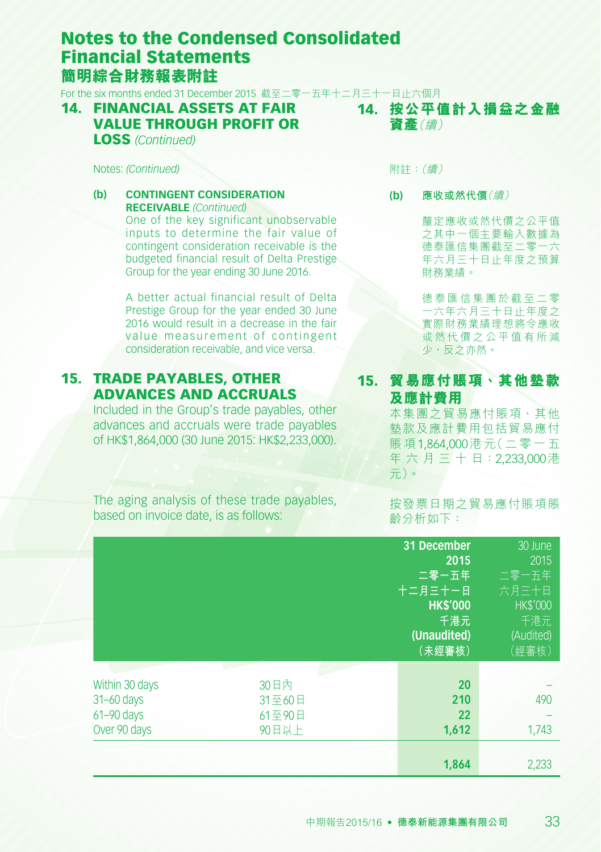For the six months ended 31 December 2015 截至二零一五年十二月三十一日止六個月 14. **按公平值計入損益之金融**

#### 14. FINANCIAL ASSETS AT FAIR VALUE THROUGH PROFIT OR LOSS *(Continued)*

Notes: *(Continued)*

#### **(b) CONTINGENT CONSIDERATION RECEIVABLE** *(Continued)* One of the key significant unobservable inputs to determine the fair value of contingent consideration receivable is the budgeted financial result of Delta Prestige Group for the year ending 30 June 2016.

A better actual financial result of Delta Prestige Group for the year ended 30 June 2016 would result in a decrease in the fair value measurement of contingent consideration receivable, and vice versa.

### 15. TRADE PAYABLES, OTHER ADVANCES AND ACCRUALS

Included in the Group's trade payables, other advances and accruals were trade payables of HK\$1,864,000 (30 June 2015: HK\$2,233,000). 附註:(續)

**資產**(續)

**(b) 應收或然代價**(續)

釐定應收或然代價之公平值 之其中一個主要輸入數據為 德泰匯信集團截至二零一六 年六月三十日止年度之預算 財務業績。

德 泰 匯 信 集 團 於 截 至 二 零 一六年六月三十日止年度之 實際財務業績理想將令應收 或 然 代 價 之 公 平 值 有 所 減 少,反之亦然。

#### 15. **貿易應付賬項、其他墊款 及應計費用**

本集團之貿易應付賬項、其他 墊款及應計費用包括貿易應付 賬 項1,864,000港 元(二 零 一 五 年 六 月 三 十 日:2,233,000港 元)。

The aging analysis of these trade payables, based on invoice date, is as follows:

按發票日期之貿易應付賬項賬 齡分析如下:

|                                                                    |                                   | 31 December<br>2015<br>二零一五年<br>十二月三十一日<br><b>HK\$'000</b><br>千港元<br>(Unaudited)<br>(未經審核) | 30 June<br>2015<br>二零一五年<br>六月三十日<br><b>HK\$'000</b><br>千港元<br>(Audited)<br>(經審核) |
|--------------------------------------------------------------------|-----------------------------------|--------------------------------------------------------------------------------------------|-----------------------------------------------------------------------------------|
| Within 30 days<br>$31 - 60$ days<br>$61 - 90$ days<br>Over 90 days | 30日内<br>31至60日<br>61至90日<br>90日以上 | 20<br>210<br>22<br>1,612<br>1,864                                                          | 490<br>1,743<br>2,233                                                             |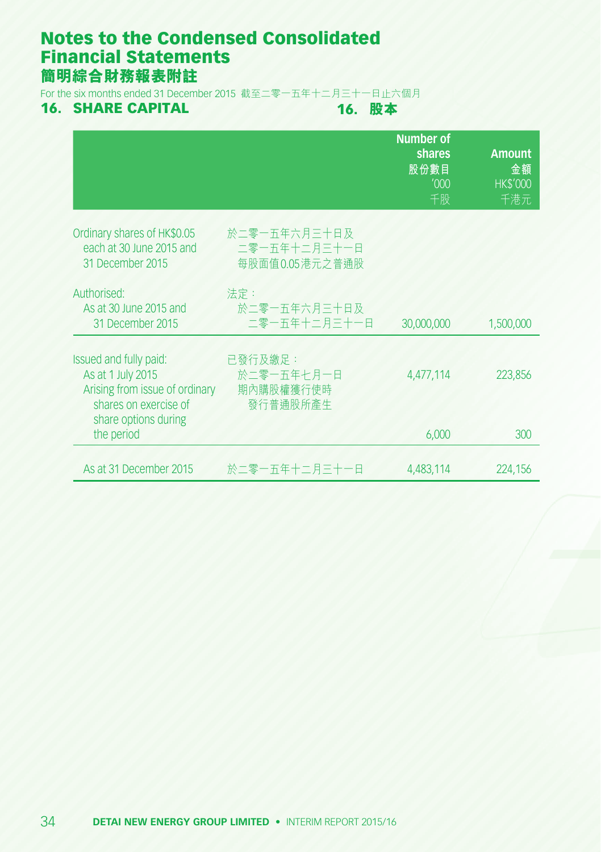For the six months ended 31 December 2015 截至二零一五年十二月三十一日止六個月<br>16. SHARE CAPITAL 16. 股本

### **16. SHARE CAPITAL**

|                                                                                                        |                                                 | <b>Number of</b><br>shares<br>股份數目<br>'000<br>千股 | <b>Amount</b><br>金額<br><b>HK\$'000</b><br>千港元 |
|--------------------------------------------------------------------------------------------------------|-------------------------------------------------|--------------------------------------------------|-----------------------------------------------|
| Ordinary shares of HK\$0.05<br>each at 30 June 2015 and<br>31 December 2015                            | 於二零一五年六月三十日及<br>二零一五年十二月三十一日<br>每股面值0.05 港元之普通股 |                                                  |                                               |
| Authorised:<br>As at 30 June 2015 and<br>31 December 2015                                              | 法定:<br>於二零一五年六月三十日及<br>二零一五年十二月三十一日             | 30,000,000                                       | 1,500,000                                     |
| Issued and fully paid:<br>As at 1 July 2015<br>Arising from issue of ordinary<br>shares on exercise of | 已發行及繳足:<br>於二零一五年十月一日<br>期內購股權獲行使時<br>發行普通股所產生  | 4,477,114                                        | 223,856                                       |
| share options during<br>the period                                                                     |                                                 | 6,000                                            | 300                                           |
| As at 31 December 2015                                                                                 | 於二零一五年十二月三十一日                                   | 4,483,114                                        | 224,156                                       |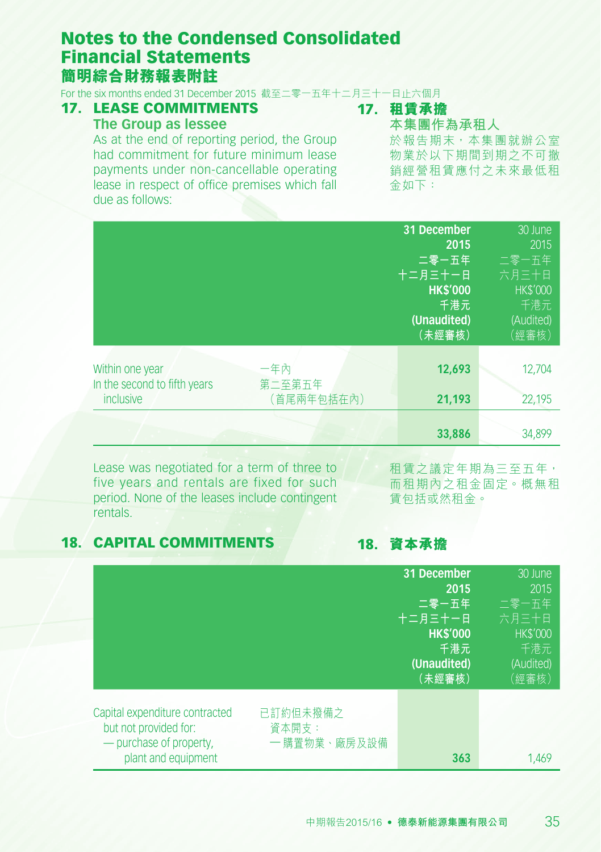For the six months ended 31 December 2015 截至二零一五年十二月三十一日止六個月

#### 17. LEASE COMMITMENTS **The Group as lessee**

# 17. **租賃承擔**

**本集團作為承租人**

As at the end of reporting period, the Group had commitment for future minimum lease payments under non-cancellable operating lease in respect of office premises which fall due as follows:

於報告期末,本集團就辦公室 物業於以下期間到期之不可撤 銷經營租賃應付之未來最低租 金如下:

|                              |            | 31 December     | 30 June         |
|------------------------------|------------|-----------------|-----------------|
|                              |            | 2015            | 2015            |
|                              |            | 二零一五年           | 二零一五年           |
|                              |            | 十二月三十一日         | 六月三十日           |
|                              |            | <b>HK\$'000</b> | <b>HK\$'000</b> |
|                              |            | 千港元             | 千港元             |
|                              |            | (Unaudited)     | (Audited)       |
|                              |            | (未經審核)          | (經審核)           |
|                              |            |                 |                 |
| Within one year              | 一年內        | 12,693          | 12,704          |
| In the second to fifth years | 第二至第五年     |                 |                 |
| inclusive                    | (首尾兩年包括在內) | 21,193          | 22,195          |
|                              |            |                 |                 |
|                              |            | 33,886          | 34,899          |

Lease was negotiated for a term of three to five years and rentals are fixed for such period. None of the leases include contingent rentals.

租賃之議定年期為三至五年, 而租期內之租金固定。概無租 賃包括或然租金。

### 18. CAPITAL COMMITMENTS

18. **資本承擔**

|                                                                                                           |                                   | 31 December<br>2015<br>二零一五年<br>十二月三十一日<br><b>HK\$'000</b><br>千港元<br>(Unaudited)<br>(未經審核) | $30 \text{ June}$<br>2015<br>二零一五年<br>六月三十日<br><b>HK\$'000</b><br>千港元<br>(Audited)<br>(經審核) |
|-----------------------------------------------------------------------------------------------------------|-----------------------------------|--------------------------------------------------------------------------------------------|---------------------------------------------------------------------------------------------|
| Capital expenditure contracted<br>but not provided for:<br>- purchase of property,<br>plant and equipment | 已訂約但未撥備之<br>資本開支:<br>一 購置物業、廠房及設備 | 363                                                                                        | 1.469                                                                                       |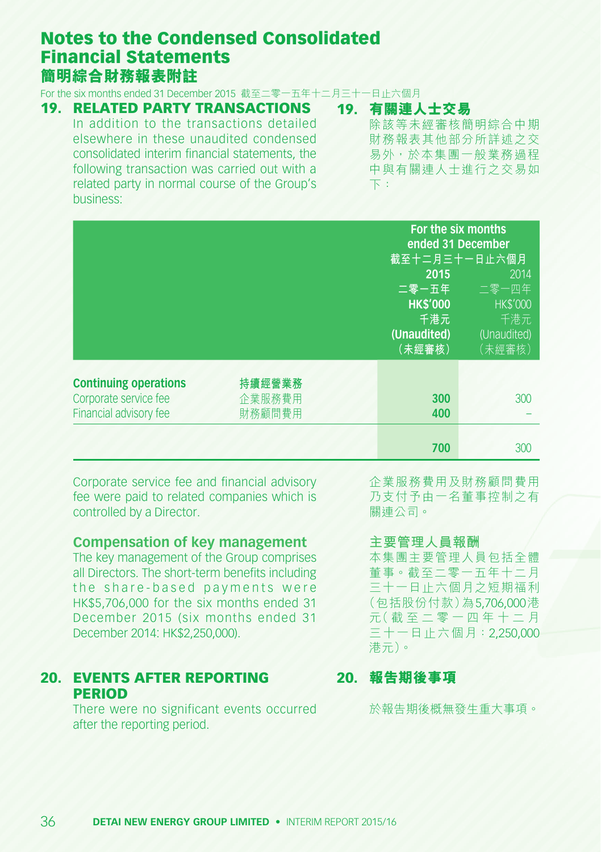For the six months ended 31 December 2015 截至二零一五年十二月三十一日止六個月

### 19. RELATED PARTY TRANSACTIONS

In addition to the transactions detailed elsewhere in these unaudited condensed consolidated interim financial statements, the following transaction was carried out with a related party in normal course of the Group's business:

19. **有關連人士交易** 除該等未經審核簡明綜合中期 財務報表其他部分所詳述之交 易外,於本集團一般業務過程 中與有關連人士進行之交易如 下:

|                                                                                 |                            | For the six months<br>ended 31 December<br>截至十二月三十一日止六個月<br>2015<br>二零一五年<br><b>HK\$'000</b><br>千港元<br>(Unaudited)<br>(未經審核) | 2014<br>二零一四年<br><b>HK\$'000</b><br>千港元<br>(Unaudited)<br>(未經審核) |
|---------------------------------------------------------------------------------|----------------------------|------------------------------------------------------------------------------------------------------------------------------|------------------------------------------------------------------|
| <b>Continuing operations</b><br>Corporate service fee<br>Financial advisory fee | 持續經營業務<br>企業服務費用<br>財務顧問費用 | 300<br>400                                                                                                                   | 300                                                              |
|                                                                                 |                            | 700                                                                                                                          | 300                                                              |

Corporate service fee and financial advisory fee were paid to related companies which is controlled by a Director.

## **Compensation of key management**

The key management of the Group comprises all Directors. The short-term benefits including the share-based payments were HK\$5,706,000 for the six months ended 31 December 2015 (six months ended 31 December 2014: HK\$2,250,000).

#### 20. EVENTS AFTER REPORTING **PERIOD**

There were no significant events occurred after the reporting period.

企業服務費用及財務顧問費用 乃支付予由一名董事控制之有 關連公司。

#### **主要管理人員報酬**

本集團主要管理人員包括全體 董事。截至二零一五年十二月 三十一日止六個月之短期福利 (包括股份付款)為5,706,000港 元( 截 至 二 零 一 四 年 十 二 月 三十一日止六個月:2,250,000 港元)。

#### 20. **報告期後事項**

於報告期後概無發生重大事項。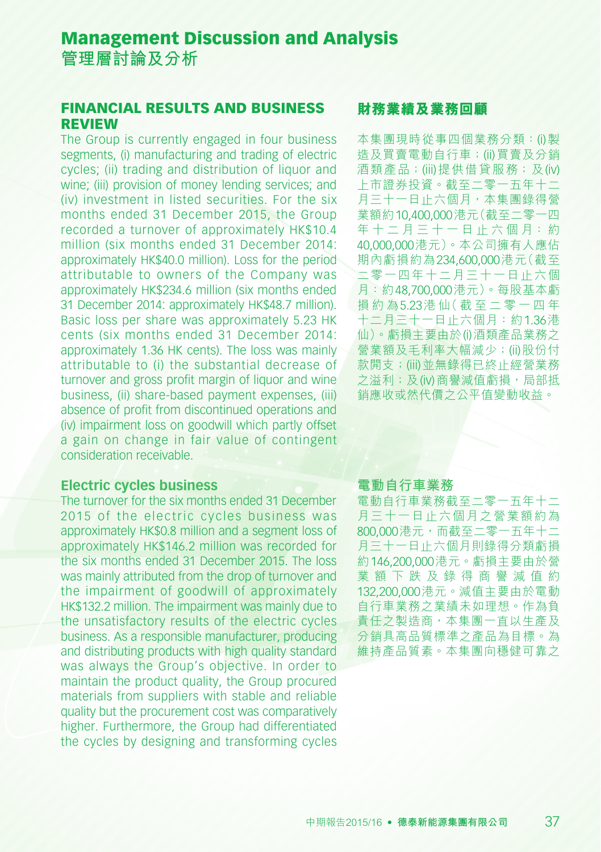#### FINANCIAL RESULTS AND BUSINESS REVIEW

The Group is currently engaged in four business segments, (i) manufacturing and trading of electric cycles; (ii) trading and distribution of liquor and wine; (iii) provision of money lending services; and (iv) investment in listed securities. For the six months ended 31 December 2015, the Group recorded a turnover of approximately HK\$10.4 million (six months ended 31 December 2014: approximately HK\$40.0 million). Loss for the period attributable to owners of the Company was approximately HK\$234.6 million (six months ended 31 December 2014: approximately HK\$48.7 million). Basic loss per share was approximately 5.23 HK cents (six months ended 31 December 2014: approximately 1.36 HK cents). The loss was mainly attributable to (i) the substantial decrease of turnover and gross profit margin of liquor and wine business, (ii) share-based payment expenses, (iii) absence of profit from discontinued operations and (iv) impairment loss on goodwill which partly offset a gain on change in fair value of contingent consideration receivable.

#### **Electric cycles business**

The turnover for the six months ended 31 December 2015 of the electric cycles business was approximately HK\$0.8 million and a segment loss of approximately HK\$146.2 million was recorded for the six months ended 31 December 2015. The loss was mainly attributed from the drop of turnover and the impairment of goodwill of approximately HK\$132.2 million. The impairment was mainly due to the unsatisfactory results of the electric cycles business. As a responsible manufacturer, producing and distributing products with high quality standard was always the Group's objective. In order to maintain the product quality, the Group procured materials from suppliers with stable and reliable quality but the procurement cost was comparatively higher. Furthermore, the Group had differentiated the cycles by designing and transforming cycles

#### **財務業績及業務回顧**

本集團現時從事四個業務分類:(i)製 造及買賣電動自行車;(ii)買賣及分銷 酒類產品;(iii)提供借貸服務;及(iv) 上市證券投資。截至二零一五年十二 月三十一日止六個月,本集團錄得營 業額約10,400,000港元(截至二零一四 年十二月三十一日止六個月:約 40,000,000港元)。本公司擁有人應佔 期內虧損約為234,600,000港元(截至 二零一四年十二月三十一日止六個 月:約48,700,000港元)。每股基本虧 損 約 為5.23港 仙( 截 至 二 零 一 四 年 十二月三十一日止六個月:約1.36港 仙)。虧損主要由於(i)酒類產品業務之 營業額及毛利率大幅減少;(ii)股份付 款開支;(iii)並無錄得已終止經營業務 之溢利;及(iv)商譽減值虧損,局部抵 銷應收或然代價之公平值變動收益。

#### **電動自行車業務**

電動自行車業務截至二零一五年十二 月三十一日止六個月之營業額約為 800,000港元,而截至二零一五年十二 月三十一日止六個月則錄得分類虧損 約146,200,000港元。虧損主要由於營 業 額 下 跌 及 錄 得 商 譽 減 值 約 132,200,000港元。減值主要由於電動 自行車業務之業績未如理想。作為負 責任之製造商,本集團一直以生產及 分銷具高品質標準之產品為目標。為 維持產品質素。本集團向穩健可靠之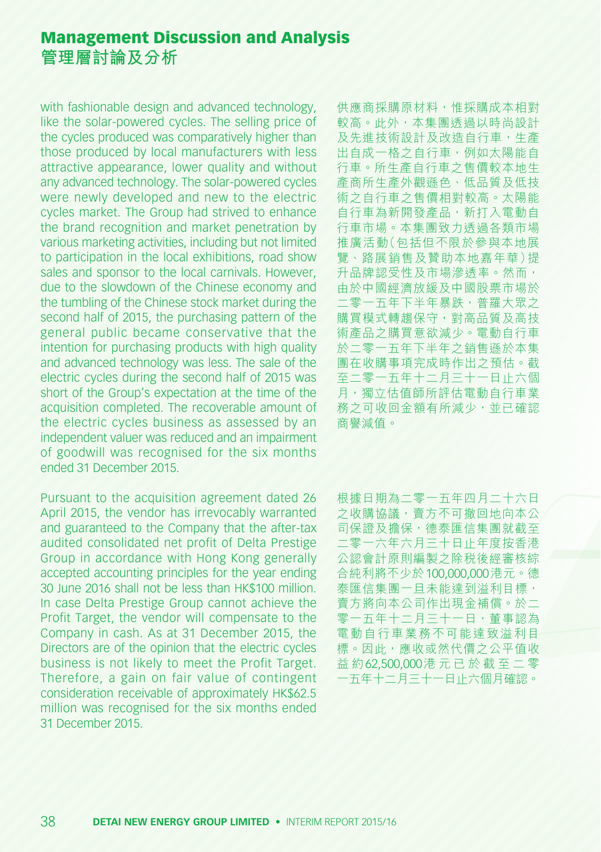with fashionable design and advanced technology, like the solar-powered cycles. The selling price of the cycles produced was comparatively higher than those produced by local manufacturers with less attractive appearance, lower quality and without any advanced technology. The solar-powered cycles were newly developed and new to the electric cycles market. The Group had strived to enhance the brand recognition and market penetration by various marketing activities, including but not limited to participation in the local exhibitions, road show sales and sponsor to the local carnivals. However, due to the slowdown of the Chinese economy and the tumbling of the Chinese stock market during the second half of 2015, the purchasing pattern of the general public became conservative that the intention for purchasing products with high quality and advanced technology was less. The sale of the electric cycles during the second half of 2015 was short of the Group's expectation at the time of the acquisition completed. The recoverable amount of the electric cycles business as assessed by an independent valuer was reduced and an impairment of goodwill was recognised for the six months ended 31 December 2015.

Pursuant to the acquisition agreement dated 26 April 2015, the vendor has irrevocably warranted and guaranteed to the Company that the after-tax audited consolidated net profit of Delta Prestige Group in accordance with Hong Kong generally accepted accounting principles for the year ending 30 June 2016 shall not be less than HK\$100 million. In case Delta Prestige Group cannot achieve the Profit Target, the vendor will compensate to the Company in cash. As at 31 December 2015, the Directors are of the opinion that the electric cycles business is not likely to meet the Profit Target. Therefore, a gain on fair value of contingent consideration receivable of approximately HK\$62.5 million was recognised for the six months ended 31 December 2015.

供應商採購原材料,惟採購成本相對 較高。此外,本集團透過以時尚設計 及先進技術設計及改造自行車,生產 出自成一格之自行車,例如太陽能自 行車。所生產自行車之售價較本地生 產商所生產外觀遜色、低品質及低技 術之自行車之售價相對較高。太陽能 自行車為新開發產品,新打入電動自 行車市場。本集團致力透過各類市場 推廣活動(包括但不限於參與本地展 覽、路展銷售及贊助本地嘉年華)提 升品牌認受性及市場滲透率。然而, 由於中國經濟放緩及中國股票市場於 二零一五年下半年暴跌,普羅大眾之 購買模式轉趨保守,對高品質及高技 術產品之購買意欲減少。電動自行車 於二零一五年下半年之銷售遜於本集 團在收購事項完成時作出之預估。截 至二零一五年十二月三十一日止六個 月,獨立估值師所評估電動自行車業 務之可收回金額有所減少,並已確認 商譽減值。

根據日期為二零一五年四月二十六日 **之收購協議,賣方不可撤回地向本公** 司保證及擔保,德泰匯信集團就截至 二零一六年六月三十日止年度按香港 公認會計原則編製之除稅後經審核綜 合純利將不少於100,000,000港元。德 泰匯信集團一旦未能達到溢利目標, 賣方將向本公司作出現金補償。於二 零一五年十二月三十一日,董事認為 電動自行車業務不可能達致溢利目 標。因此,應收或然代價之公平值收 益 約62,500,000港 元 已 於 截 至 二 零 一五年十二月三十一日止六個月確認。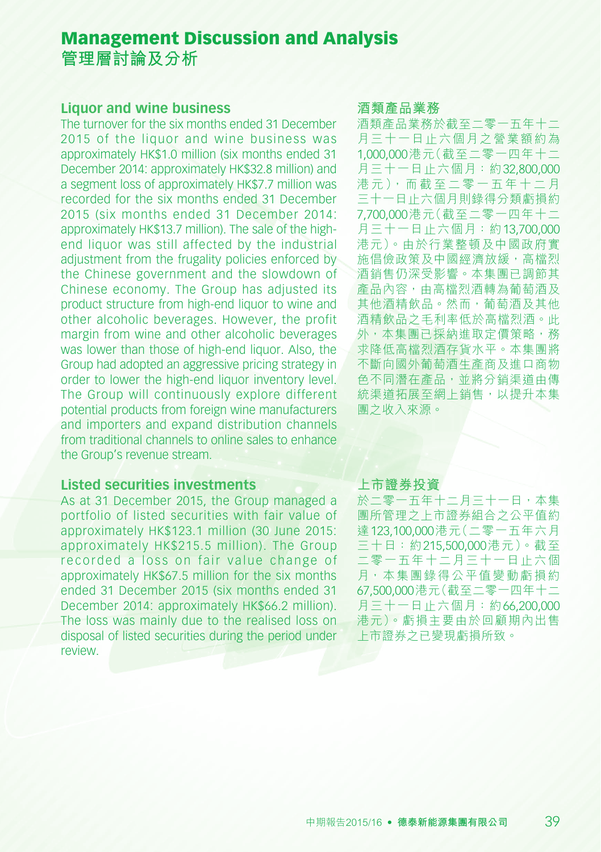#### **Liquor and wine business**

The turnover for the six months ended 31 December 2015 of the liquor and wine business was approximately HK\$1.0 million (six months ended 31 December 2014: approximately HK\$32.8 million) and a segment loss of approximately HK\$7.7 million was recorded for the six months ended 31 December 2015 (six months ended 31 December 2014: approximately HK\$13.7 million). The sale of the highend liquor was still affected by the industrial adjustment from the frugality policies enforced by the Chinese government and the slowdown of Chinese economy. The Group has adjusted its product structure from high-end liquor to wine and other alcoholic beverages. However, the profit margin from wine and other alcoholic beverages was lower than those of high-end liquor. Also, the Group had adopted an aggressive pricing strategy in order to lower the high-end liquor inventory level. The Group will continuously explore different potential products from foreign wine manufacturers and importers and expand distribution channels from traditional channels to online sales to enhance the Group's revenue stream.

### **Listed securities investments**

As at 31 December 2015, the Group managed a portfolio of listed securities with fair value of approximately HK\$123.1 million (30 June 2015: approximately HK\$215.5 million). The Group recorded a loss on fair value change of approximately HK\$67.5 million for the six months ended 31 December 2015 (six months ended 31 December 2014: approximately HK\$66.2 million). The loss was mainly due to the realised loss on disposal of listed securities during the period under review.

#### **酒類產品業務**

酒類產品業務於截至二零一五年十二 月三十一日止六個月之營業額約為 1,000,000港元(截至二零一四年十二 月三十一日止六個月:約32,800,000 港元),而截至二零一五年十二月 三十一日止六個月則錄得分類虧損約 7,700,000港元(截至二零一四年十二 月三十一日止六個月:約13,700,000 港元)。由於行業整頓及中國政府實 施倡儉政策及中國經濟放緩,高檔烈 酒銷售仍深受影響。本集團已調節其 產品內容,由高檔烈酒轉為葡萄酒及 其他酒精飲品。然而,葡萄酒及其他 酒精飲品之毛利率低於高檔烈酒。此 外,本集團已採納進取定價策略,務 求降低高檔烈酒存貨水平。本集團將 不斷向國外葡萄酒生產商及進口商物 色不同潛在產品,並將分銷渠道由傳 統渠道拓展至網上銷售,以提升本集 團之收入來源。

#### **上市證券投資**

於二零一五年十二月三十一日,本集 團所管理之上市證券組合之公平值約 達123,100,000港元(二零一五年六月 三十日:約215,500,000港元)。截至 二零一五年十二月三十一日止六個 月,本集團錄得公平值變動虧損約 67,500,000港元(截至二零一四年十二 月三十一日止六個月:約66,200,000 港元)。虧損主要由於回顧期內出售 上市證券之已變現虧損所致。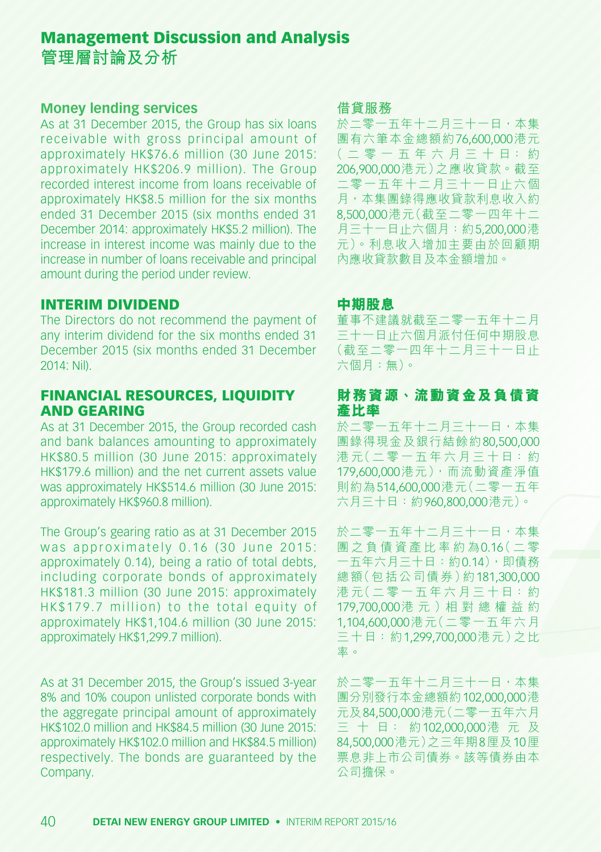#### **Money lending services**

As at 31 December 2015, the Group has six loans receivable with gross principal amount of approximately HK\$76.6 million (30 June 2015: approximately HK\$206.9 million). The Group recorded interest income from loans receivable of approximately HK\$8.5 million for the six months ended 31 December 2015 (six months ended 31 December 2014: approximately HK\$5.2 million). The increase in interest income was mainly due to the increase in number of loans receivable and principal amount during the period under review.

#### INTERIM DIVIDEND

The Directors do not recommend the payment of any interim dividend for the six months ended 31 December 2015 (six months ended 31 December 2014: Nil).

### FINANCIAL RESOURCES, LIQUIDITY AND GEARING

As at 31 December 2015, the Group recorded cash and bank balances amounting to approximately HK\$80.5 million (30 June 2015: approximately HK\$179.6 million) and the net current assets value was approximately HK\$514.6 million (30 June 2015: approximately HK\$960.8 million).

The Group's gearing ratio as at 31 December 2015 was approximately  $0.16$  (30 June 2015; approximately 0.14), being a ratio of total debts, including corporate bonds of approximately HK\$181.3 million (30 June 2015: approximately HK\$179.7 million) to the total equity of approximately HK\$1,104.6 million (30 June 2015: approximately HK\$1,299.7 million).

As at 31 December 2015, the Group's issued 3-year 8% and 10% coupon unlisted corporate bonds with the aggregate principal amount of approximately HK\$102.0 million and HK\$84.5 million (30 June 2015: approximately HK\$102.0 million and HK\$84.5 million) respectively. The bonds are guaranteed by the Company.

#### **借貸服務**

於二零一五年十二月三十一日,本集 團有六筆本金總額約76,600,000港元 ( 二 零 一 五 年 六 月 三 十 日: 約 206,900,000港元)之應收貸款。截至 二零一五年十二月三十一日止六個 月,本集團錄得應收貸款利息收入約 8,500,000港元(截至二零一四年十二 月三十一日止六個月:約5,200,000港 元)。利息收入增加主要由於回顧期 內應收貸款數目及本金額增加。

#### **中期股息**

董事不建議就截至二零一五年十二月 三十一日止六個月派付任何中期股息 (截至二零一四年十二月三十一日止 六個月:無)。

### **財務資源、流動資金及負債資 產比率**

於二零一五年十二月三十一日,本集 團錄得現金及銀行結餘約80,500,000 港 元(二 零 一 五 年 六 月 三 十 日:約 179,600,000港元),而流動資產淨值 則約為514,600,000港元(二零一五年 六月三十日:約960,800,000港元)。

於二零一五年十二月三十一日,本集 團 之 負 債 資 產 比 率 約 為0.16( 二 零 一五年六月三十日:約0.14),即債務 總額(包括公司債券)約181,300,000 港元(二零一五年六月三十日:約 179,700,000港 元 )相 對 總 權 益 約 1,104,600,000港元(二零一五年六月 三十日:約1,299,700,000港元)之比 率。

於二零一五年十二月三十一日,本集 團分別發行本金總額約102,000,000港 元及84,500,000港元(二零一五年六月 三 十 日: 約102,000,000港 元 及 84,500,000港元)之三年期8厘及10厘 票息非上市公司債券。該等債券由本 公司擔保。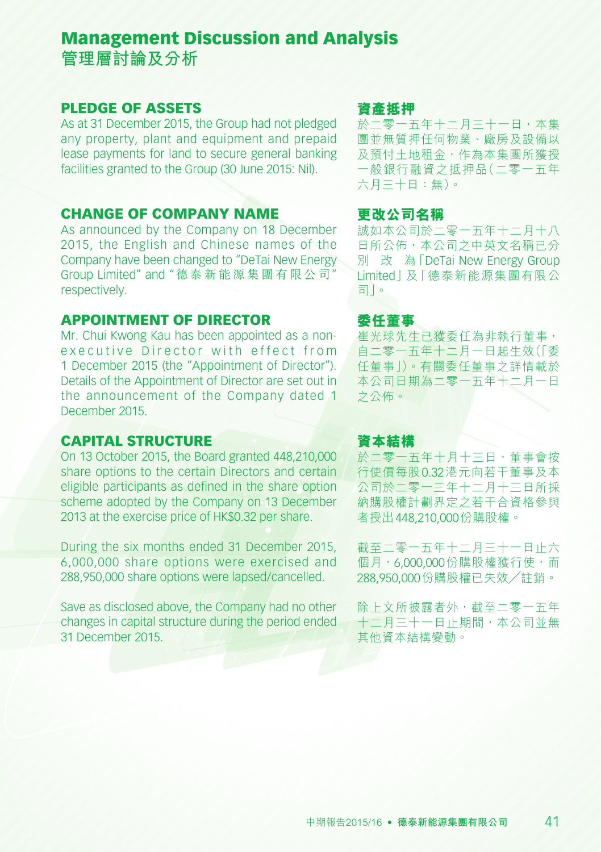#### PLEDGE OF ASSETS

As at 31 December 2015, the Group had not pledged any property, plant and equipment and prepaid lease payments for land to secure general banking facilities granted to the Group (30 June 2015: Nil).

#### CHANGE OF COMPANY NAME

As announced by the Company on 18 December 2015, the English and Chinese names of the Company have been changed to "DeTai New Energy Group Limited" and "德 泰 新 能 源 集 團 有 限 公 司" respectively

### APPOINTMENT OF DIRECTOR

Mr. Chui Kwong Kau has been appointed as a nonexecutive Director with effect from 1 December 2015 (the "Appointment of Director"). Details of the Appointment of Director are set out in the announcement of the Company dated 1 December 2015.

#### CAPITAL STRUCTURE

On 13 October 2015, the Board granted 448,210,000 share options to the certain Directors and certain eligible participants as defined in the share option scheme adopted by the Company on 13 December 2013 at the exercise price of HK\$0.32 per share.

During the six months ended 31 December 2015, 6,000,000 share options were exercised and 288,950,000 share options were lapsed/cancelled.

Save as disclosed above, the Company had no other changes in capital structure during the period ended 31 December 2015.

#### **資產抵押**

於二零一五年十二月三十一日,本集 團並無質押任何物業、廠房及設備以 及預付土地租金,作為本集團所獲授 一般銀行融資之抵押品(二零一五年 六月三十日:無)。

#### **更改公司名稱**

誠如本公司於二零一五年十二月十八 **日所公佈,本公司之中英文名稱已分** 別 改 為「DeTai New Energy Group Limited」及「德泰新能源集團有限公 司」。

### **委任董事**

崔光球先生已獲委任為非執行董事, 自二零一五年十二月一日起生效(「委 任董事」)。有關委任董事之詳情載於 本公司日期為二零一五年十二月一日 之公佈。

#### **資本結構**

於二零一五年十月十三日,董事會按 行使價每股0.32港元向若干董事及本 公司於二零一三年十二月十三日所採 納購股權計劃界定之若干合資格參與 者授出448,210,000份購股權。

截至二零一五年十二月三十一日止六 個月,6,000,000份購股權獲行使,而 288,950,000份購股權已失效╱註銷。

除上文所披露者外,截至二零一五年 十二月三十一日止期間,本公司並無 其他資本結構變動。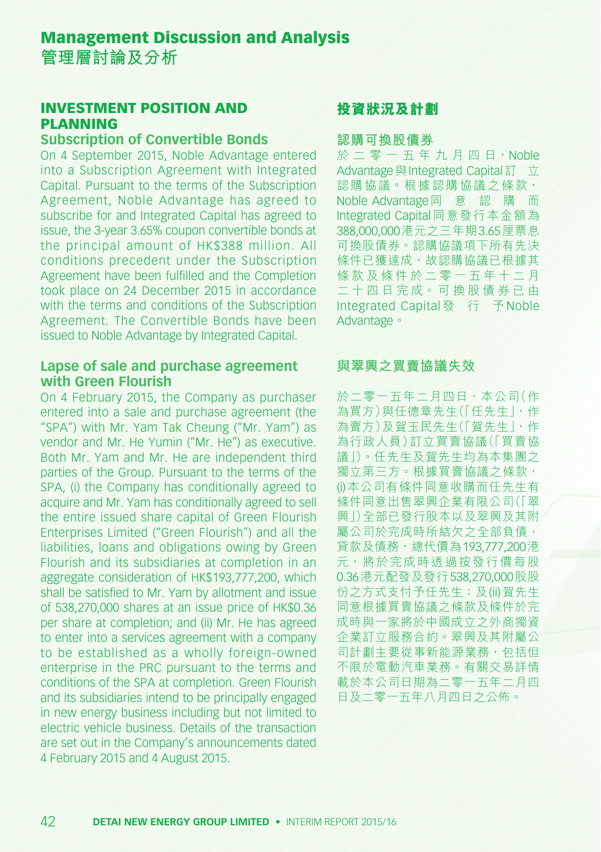#### INVESTMENT POSITION AND PLANNING

#### **Subscription of Convertible Bonds**

On 4 September 2015, Noble Advantage entered into a Subscription Agreement with Integrated Capital. Pursuant to the terms of the Subscription Agreement, Noble Advantage has agreed to subscribe for and Integrated Capital has agreed to issue, the 3-year 3.65% coupon convertible bonds at the principal amount of HK\$388 million. All conditions precedent under the Subscription Agreement have been fulfilled and the Completion took place on 24 December 2015 in accordance with the terms and conditions of the Subscription Agreement. The Convertible Bonds have been issued to Noble Advantage by Integrated Capital.

#### **Lapse of sale and purchase agreement with Green Flourish**

On 4 February 2015, the Company as purchaser entered into a sale and purchase agreement (the "SPA") with Mr. Yam Tak Cheung ("Mr. Yam") as vendor and Mr. He Yumin ("Mr. He") as executive. Both Mr. Yam and Mr. He are independent third parties of the Group. Pursuant to the terms of the SPA, (i) the Company has conditionally agreed to acquire and Mr. Yam has conditionally agreed to sell the entire issued share capital of Green Flourish Enterprises Limited ("Green Flourish") and all the liabilities, loans and obligations owing by Green Flourish and its subsidiaries at completion in an aggregate consideration of HK\$193,777,200, which shall be satisfied to Mr. Yam by allotment and issue of 538,270,000 shares at an issue price of HK\$0.36 per share at completion; and (ii) Mr. He has agreed to enter into a services agreement with a company to be established as a wholly foreign-owned enterprise in the PRC pursuant to the terms and conditions of the SPA at completion. Green Flourish and its subsidiaries intend to be principally engaged in new energy business including but not limited to electric vehicle business. Details of the transaction are set out in the Company's announcements dated 4 February 2015 and 4 August 2015.

### **投資狀況及計劃**

#### **認購可換股債券**

於 二 零 一 五 年 九 月 四 日 · Noble Advantage 與 Integrated Capital訂 立 認購協議。根據認購協議之條款, Noble Advantage同 意 認 購 而 Integrated Capital同意發行本金額為 388,000,000港元之三年期3.65厘票息 可換股債券。認購協議項下所有先決 條件已獲達成,故認購協議已根據其 條款及條件於二零一五年十二月 二 十 四 日 完 成。 可 換 股 債 券 已 由 Integrated Capital 發 行 予 Noble Advantage。

### **與翠興之買賣協議失效**

於二零一五年二月四日,本公司(作 為買方)與任德章先生(「任先生」,作 為賣方)及賀玉民先生(「賀先生」,作 為行政人員)訂立買賣協議(「買賣協 議」)。任先生及賀先生均為本集團之 獨立第三方。根據買賣協議之條款, (i)本公司有條件同意收購而任先生有 條件同意出售翠興企業有限公司(「翠 興」)全部已發行股本以及翠興及其附 屬公司於完成時所結欠之全部負債、 貸款及債務,總代價為193,777,200港 元,將於完成時透過按發行價每股 0.36港元配發及發行538,270,000股股 份之方式支付予任先生;及(ii)賀先生 同意根據買賣協議之條款及條件於完 成時與一家將於中國成立之外商獨資 企業訂立服務合約。翠興及其附屬公 司計劃主要從事新能源業務,包括但 不限於電動汽車業務。有關交易詳情 載於本公司日期為二零一五年二月四 日及二零一五年八月四日之公佈。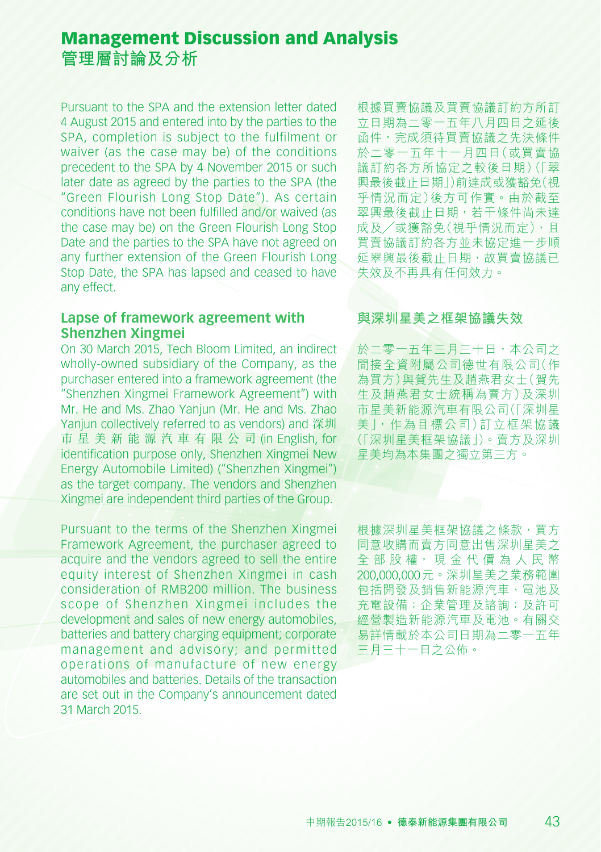Pursuant to the SPA and the extension letter dated 4 August 2015 and entered into by the parties to the SPA, completion is subject to the fulfilment or waiver (as the case may be) of the conditions precedent to the SPA by 4 November 2015 or such later date as agreed by the parties to the SPA (the "Green Flourish Long Stop Date"). As certain conditions have not been fulfilled and/or waived (as the case may be) on the Green Flourish Long Stop Date and the parties to the SPA have not agreed on any further extension of the Green Flourish Long Stop Date, the SPA has lapsed and ceased to have any effect.

#### **Lapse of framework agreement with Shenzhen Xingmei**

On 30 March 2015, Tech Bloom Limited, an indirect wholly-owned subsidiary of the Company, as the purchaser entered into a framework agreement (the "Shenzhen Xingmei Framework Agreement") with Mr. He and Ms. Zhao Yanjun (Mr. He and Ms. Zhao Yanjun collectively referred to as vendors) and 深圳 市 星 美 新 能 源 汽 車 有 限 公 司 (in English, for identification purpose only, Shenzhen Xingmei New Energy Automobile Limited) ("Shenzhen Xingmei") as the target company. The vendors and Shenzhen Xingmei are independent third parties of the Group.

Pursuant to the terms of the Shenzhen Xingmei Framework Agreement, the purchaser agreed to acquire and the vendors agreed to sell the entire equity interest of Shenzhen Xingmei in cash consideration of RMB200 million. The business scope of Shenzhen Xingmei includes the development and sales of new energy automobiles, batteries and battery charging equipment; corporate management and advisory; and permitted operations of manufacture of new energy automobiles and batteries. Details of the transaction are set out in the Company's announcement dated 31 March 2015.

根據買賣協議及買賣協議訂約方所訂 立日期為二零一五年八月四日之延後 函件,完成須待買賣協議之先決條件 於二零一五年十一月四日(或買賣協 議訂約各方所協定之較後日期)(「翠 興最後截止日期」)前達成或獲豁免(視 乎情況而定)後方可作實。由於截至 翠興最後截止日期,若干條件尚未達 成及/或獲豁免(視乎情況而定),且 買賣協議訂約各方並未協定進一步順 延翠興最後截止日期,故買賣協議已 失效及不再具有任何效力。

#### **與深圳星美之框架協議失效**

於二零一五年三月三十日,本公司之 間接全資附屬公司德世有限公司(作 為買方)與賀先生及趙燕君女士(賀先 生及趙燕君女士統稱為賣方)及深圳 市星美新能源汽車有限公司(「深圳星 美」,作為目標公司)訂立框架協議 (「深圳星美框架協議」)。賣方及深圳 星美均為本集團之獨立第三方。

根據深圳星美框架協議之條款,買方 同意收購而賣方同意出售深圳星美之 全部股權, 現金代價為人民幣 200,000,000元。深圳星美之業務範圍 包括開發及銷售新能源汽車、電池及 充電設備;企業管理及諮詢;及許可 經營製造新能源汽車及電池。有關交 易詳情載於本公司日期為二零一五年 三月三十一日之公佈。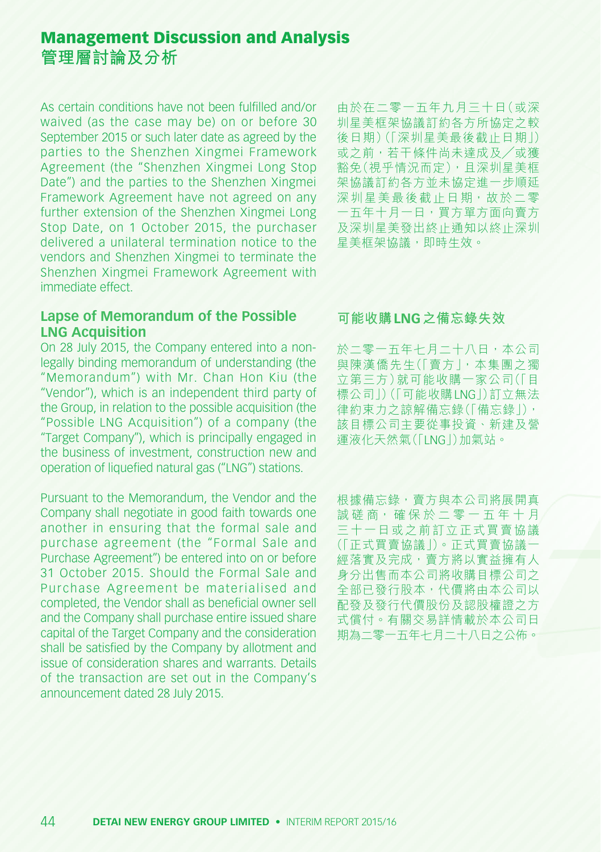As certain conditions have not been fulfilled and/or waived (as the case may be) on or before 30 September 2015 or such later date as agreed by the parties to the Shenzhen Xingmei Framework Agreement (the "Shenzhen Xingmei Long Stop Date") and the parties to the Shenzhen Xingmei Framework Agreement have not agreed on any further extension of the Shenzhen Xingmei Long Stop Date, on 1 October 2015, the purchaser delivered a unilateral termination notice to the vendors and Shenzhen Xingmei to terminate the Shenzhen Xingmei Framework Agreement with immediate effect.

#### **Lapse of Memorandum of the Possible LNG Acquisition**

On 28 July 2015, the Company entered into a nonlegally binding memorandum of understanding (the "Memorandum") with Mr. Chan Hon Kiu (the "Vendor"), which is an independent third party of the Group, in relation to the possible acquisition (the "Possible LNG Acquisition") of a company (the "Target Company"), which is principally engaged in the business of investment, construction new and operation of liquefied natural gas ("LNG") stations.

Pursuant to the Memorandum, the Vendor and the Company shall negotiate in good faith towards one another in ensuring that the formal sale and purchase agreement (the "Formal Sale and Purchase Agreement") be entered into on or before 31 October 2015. Should the Formal Sale and Purchase Agreement be materialised and completed, the Vendor shall as beneficial owner sell and the Company shall purchase entire issued share capital of the Target Company and the consideration shall be satisfied by the Company by allotment and issue of consideration shares and warrants. Details of the transaction are set out in the Company's announcement dated 28 July 2015.

由於在二零一五年九月三十日(或深 圳星美框架協議訂約各方所協定之較 後日期)(「深圳星美最後截止日期」) 或之前,若干條件尚未達成及╱或獲 豁免(視乎情況而定),且深圳星美框 架協議訂約各方並未協定進一步順延 深圳星美最後截止日期,故於二零 一五年十月一日,買方單方面向賣方 及深圳星美發出終止通知以終止深圳 星美框架協議,即時生效。

#### **可能收購LNG之備忘錄失效**

於二零一五年七月二十八日,本公司 與陳漢僑先生(「賣方」,本集團之獨 立第三方)就可能收購一家公司(「目 標公司」)(「可能收購LNG」)訂立無法 律約束力之諒解備忘錄(「備忘錄」), 該目標公司主要從事投資、新建及營 運液化天然氣(「LNG」)加氣站。

根據備忘錄,賣方與本公司將展開真 誠磋商,確保於二零一五年十月 三十一日或之前訂立正式買賣協議 (「正式買賣協議」)。正式買賣協議一 經落實及完成,賣方將以實益擁有人 身分出售而本公司將收購目標公司之 全部已發行股本,代價將由本公司以 配發及發行代價股份及認股權證之方 式償付。有關交易詳情載於本公司日 期為二零一五年七月二十八日之公佈。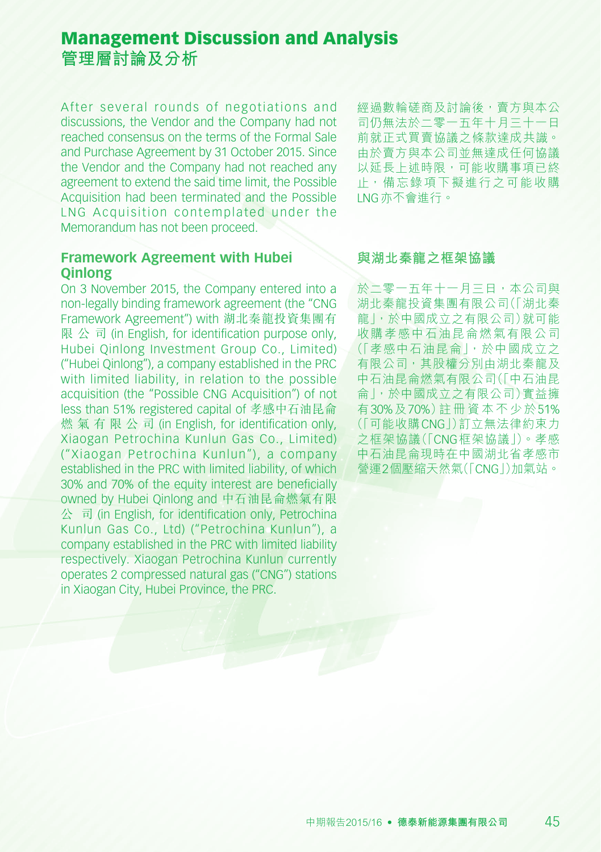After several rounds of negotiations and discussions, the Vendor and the Company had not reached consensus on the terms of the Formal Sale and Purchase Agreement by 31 October 2015. Since the Vendor and the Company had not reached any agreement to extend the said time limit, the Possible Acquisition had been terminated and the Possible LNG Acquisition contemplated under the Memorandum has not been proceed.

#### **Framework Agreement with Hubei Qinlong**

On 3 November 2015, the Company entered into a non-legally binding framework agreement (the "CNG Framework Agreement") with 湖北秦龍投資集團有 限 公 司 (in English, for identification purpose only, Hubei Qinlong Investment Group Co., Limited) ("Hubei Qinlong"), a company established in the PRC with limited liability, in relation to the possible acquisition (the "Possible CNG Acquisition") of not less than 51% registered capital of 孝感中石油昆侖 燃 氣 有 限 公 司 (in English, for identification only, Xiaogan Petrochina Kunlun Gas Co., Limited) ("Xiaogan Petrochina Kunlun"), a company established in the PRC with limited liability, of which 30% and 70% of the equity interest are beneficially owned by Hubei Qinlong and 中石油昆侖燃氣有限 公 司 (in English, for identification only, Petrochina Kunlun Gas Co., Ltd) ("Petrochina Kunlun"), a company established in the PRC with limited liability respectively. Xiaogan Petrochina Kunlun currently operates 2 compressed natural gas ("CNG") stations in Xiaogan City, Hubei Province, the PRC.

經過數輪磋商及討論後,賣方與本公 司仍無法於二零一五年十月三十一日 前就正式買賣協議之條款達成共識。 由於賣方與本公司並無達成任何協議 以延長上述時限,可能收購事項已終 止,備忘錄項下擬進行之可能收購 LNG亦不會進行。

#### **與湖北秦龍之框架協議**

於二零一五年十一月三日,本公司與 湖北秦龍投資集團有限公司(「湖北秦 龍」,於中國成立之有限公司)就可能 收購孝感中石油昆侖燃氣有限公司 (「孝感中石油昆侖」,於中國成立之 有限公司,其股權分別由湖北秦龍及 中石油昆侖燃氣有限公司(「中石油昆 侖」,於中國成立之有限公司)實益擁 有30%及70%)註冊資本不少於51% (「可能收購CNG」)訂立無法律約束力 之框架協議(「CNG框架協議」)。孝感 中石油昆侖現時在中國湖北省孝感市 營運2個壓縮天然氣(「CNG」)加氣站。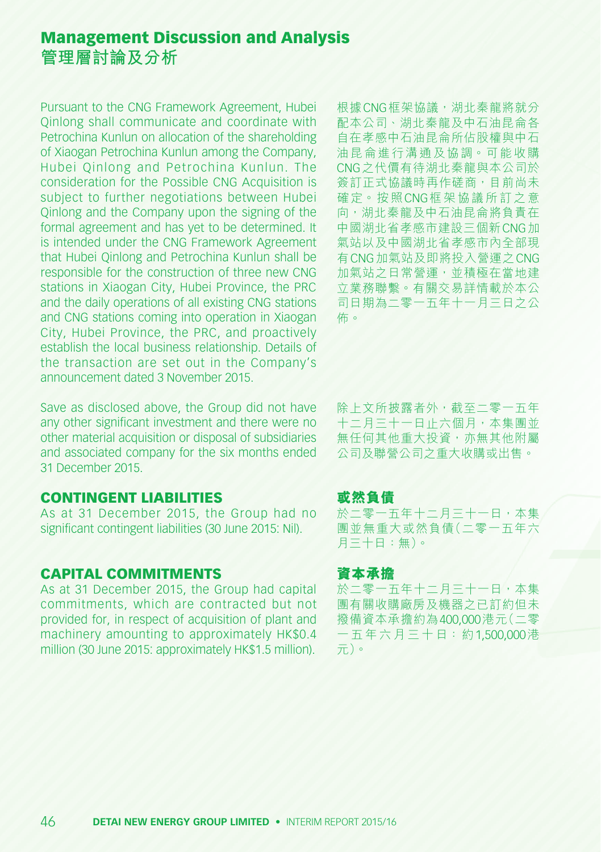Pursuant to the CNG Framework Agreement, Hubei Qinlong shall communicate and coordinate with Petrochina Kunlun on allocation of the shareholding of Xiaogan Petrochina Kunlun among the Company, Hubei Qinlong and Petrochina Kunlun. The consideration for the Possible CNG Acquisition is subject to further negotiations between Hubei Qinlong and the Company upon the signing of the formal agreement and has yet to be determined. It is intended under the CNG Framework Agreement that Hubei Qinlong and Petrochina Kunlun shall be responsible for the construction of three new CNG stations in Xiaogan City, Hubei Province, the PRC and the daily operations of all existing CNG stations and CNG stations coming into operation in Xiaogan City, Hubei Province, the PRC, and proactively establish the local business relationship. Details of the transaction are set out in the Company's announcement dated 3 November 2015.

Save as disclosed above, the Group did not have any other significant investment and there were no other material acquisition or disposal of subsidiaries and associated company for the six months ended 31 December 2015.

### CONTINGENT LIABILITIES

As at 31 December 2015, the Group had no significant contingent liabilities (30 June 2015: Nil).

### CAPITAL COMMITMENTS

As at 31 December 2015, the Group had capital commitments, which are contracted but not provided for, in respect of acquisition of plant and machinery amounting to approximately HK\$0.4 million (30 June 2015: approximately HK\$1.5 million). 根據CNG框架協議,湖北秦龍將就分 配本公司、湖北秦龍及中石油昆侖各 自在孝感中石油昆侖所佔股權與中石 油昆侖進行溝通及協調。可能收購 CNG之代價有待湖北秦龍與本公司於 簽訂正式協議時再作磋商,目前尚未 確定。按照CNG框架協議所訂之意 向,湖北秦龍及中石油昆侖將負責在 中國湖北省孝感市建設三個新CNG加 氣站以及中國湖北省孝感市內全部現 有CNG加氣站及即將投入營運之CNG 加氣站之日常營運,並積極在當地建 立業務聯繫。有關交易詳情載於本公 司日期為二零一五年十一月三日之公 佈。

除上文所披露者外,截至二零一五年 十二月三十一日止六個月,本集團並 無任何其他重大投資,亦無其他附屬 公司及聯營公司之重大收購或出售。

#### **或然負債**

於二零一五年十二月三十一日,本集 團並無重大或然負債(二零一五年六 月三十日:無)。

#### **資本承擔**

於二零一五年十二月三十一日,本集 團有關收購廠房及機器之已訂約但未 撥備資本承擔約為400,000港元(二零 一五年六月三十日:約1,500,000港 元)。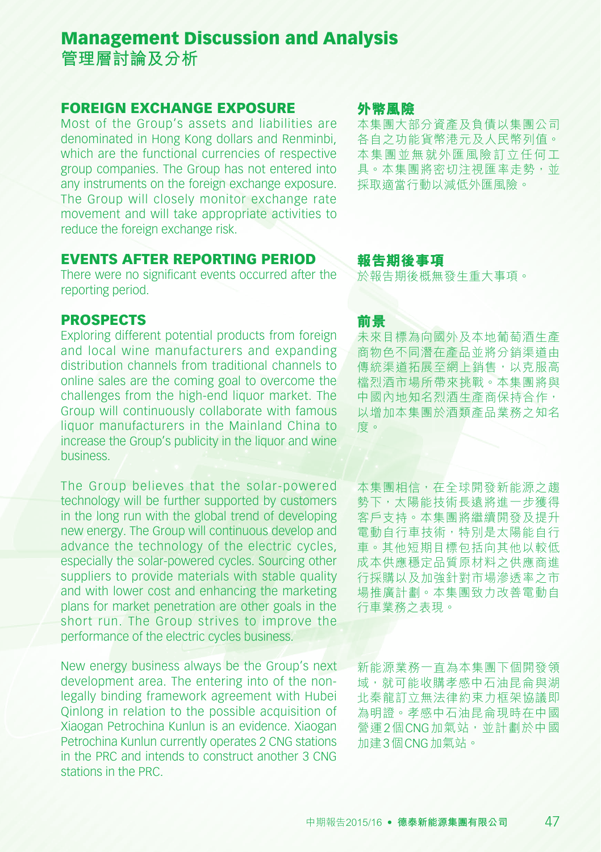### FOREIGN EXCHANGE EXPOSURE

Most of the Group's assets and liabilities are denominated in Hong Kong dollars and Renminbi, which are the functional currencies of respective group companies. The Group has not entered into any instruments on the foreign exchange exposure. The Group will closely monitor exchange rate movement and will take appropriate activities to reduce the foreign exchange risk.

### EVENTS AFTER REPORTING PERIOD

There were no significant events occurred after the reporting period.

#### PROSPECTS

Exploring different potential products from foreign and local wine manufacturers and expanding distribution channels from traditional channels to online sales are the coming goal to overcome the challenges from the high-end liquor market. The Group will continuously collaborate with famous liquor manufacturers in the Mainland China to increase the Group's publicity in the liquor and wine business.

The Group believes that the solar-powered technology will be further supported by customers in the long run with the global trend of developing new energy. The Group will continuous develop and advance the technology of the electric cycles, especially the solar-powered cycles. Sourcing other suppliers to provide materials with stable quality and with lower cost and enhancing the marketing plans for market penetration are other goals in the short run. The Group strives to improve the performance of the electric cycles business.

New energy business always be the Group's next development area. The entering into of the nonlegally binding framework agreement with Hubei Qinlong in relation to the possible acquisition of Xiaogan Petrochina Kunlun is an evidence. Xiaogan Petrochina Kunlun currently operates 2 CNG stations in the PRC and intends to construct another 3 CNG stations in the PRC.

#### **外幣風險**

本集團大部分資產及負債以集團公司 各自之功能貨幣港元及人民幣列值。 本集團並無就外匯風險訂立任何工 具。本集團將密切注視匯率走勢,並 採取適當行動以減低外匯風險。

#### **報告期後事項**

於報告期後概無發生重大事項。

#### **前景**

未來目標為向國外及本地葡萄酒生產 商物色不同潛在產品並將分銷渠道由 傳統渠道拓展至網上銷售,以克服高 檔烈酒市場所帶來挑戰。本集團將與 中國內地知名烈酒生產商保持合作, 以增加本集團於酒類產品業務之知名 度。

本集團相信,在全球開發新能源之趨 勢下,太陽能技術長遠將進一步獲得 客戶支持。本集團將繼續開發及提升 電動自行車技術,特別是太陽能自行 車。其他短期目標包括向其他以較低 成本供應穩定品質原材料之供應商進 行採購以及加強針對市場滲透率之市 場推廣計劃。本集團致力改善電動自 行車業務之表現。

新能源業務一直為本集團下個開發領 域,就可能收購孝感中石油昆侖與湖 北秦龍訂立無法律約束力框架協議即 為明證。孝感中石油昆侖現時在中國 營運2個CNG加氣站,並計劃於中國 加建3個CNG加氣站。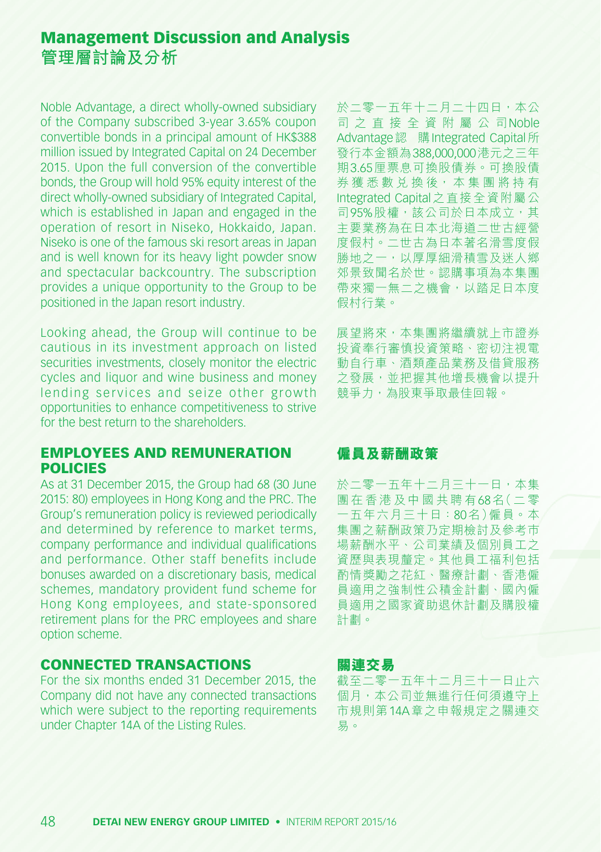Noble Advantage, a direct wholly-owned subsidiary of the Company subscribed 3-year 3.65% coupon convertible bonds in a principal amount of HK\$388 million issued by Integrated Capital on 24 December 2015. Upon the full conversion of the convertible bonds, the Group will hold 95% equity interest of the direct wholly-owned subsidiary of Integrated Capital, which is established in Japan and engaged in the operation of resort in Niseko, Hokkaido, Japan. Niseko is one of the famous ski resort areas in Japan and is well known for its heavy light powder snow and spectacular backcountry. The subscription provides a unique opportunity to the Group to be positioned in the Japan resort industry.

Looking ahead, the Group will continue to be cautious in its investment approach on listed securities investments, closely monitor the electric cycles and liquor and wine business and money lending services and seize other growth opportunities to enhance competitiveness to strive for the best return to the shareholders.

#### EMPLOYEES AND REMUNERATION **POLICIES**

As at 31 December 2015, the Group had 68 (30 June 2015: 80) employees in Hong Kong and the PRC. The Group's remuneration policy is reviewed periodically and determined by reference to market terms, company performance and individual qualifications and performance. Other staff benefits include bonuses awarded on a discretionary basis, medical schemes, mandatory provident fund scheme for Hong Kong employees, and state-sponsored retirement plans for the PRC employees and share option scheme.

#### CONNECTED TRANSACTIONS

For the six months ended 31 December 2015, the Company did not have any connected transactions which were subject to the reporting requirements under Chapter 14A of the Listing Rules.

於二零一五年十二月二十四日,本公 司 之 直 接 全 資 附 屬 公 司Noble Advantage 認 購 Integrated Capital 所 發行本金額為388,000,000港元之三年 期3.65厘票息可換股債券。可換股債 券 獲 悉 數 兌 換 後, 本 集 團 將 持 有 Integrated Capital之直接全資附屬公 司95%股權,該公司於日本成立,其 主要業務為在日本北海道二世古經營 度假村。二世古為日本著名滑雪度假 勝地之一,以厚厚細滑積雪及迷人鄉 郊景致聞名於世。認購事項為本集團 帶來獨一無二之機會,以踏足日本度 假村行業。

展望將來,本集團將繼續就上市證券 投資奉行審慎投資策略、密切注視電 動自行車、酒類產品業務及借貸服務 之發展, 並把握其他增長機會以提升 競爭力,為股東爭取最佳回報。

### **僱員及薪酬政策**

於二零一五年十二月三十一日,本集 團在香港及中國共聘有68名(二零 一五年六月三十日:80名)僱員。本 集團之薪酬政策乃定期檢討及參考市 場薪酬水平、公司業績及個別員工之 資歷與表現釐定。其他員工福利包括 酌情獎勵之花紅、醫療計劃、香港僱 員適用之強制性公積金計劃、國內僱 員適用之國家資助退休計劃及購股權 計劃。

#### **關連交易**

截至二零一五年十二月三十一日止六 個月,本公司並無進行任何須遵守上 市規則第14A章之申報規定之關連交 易。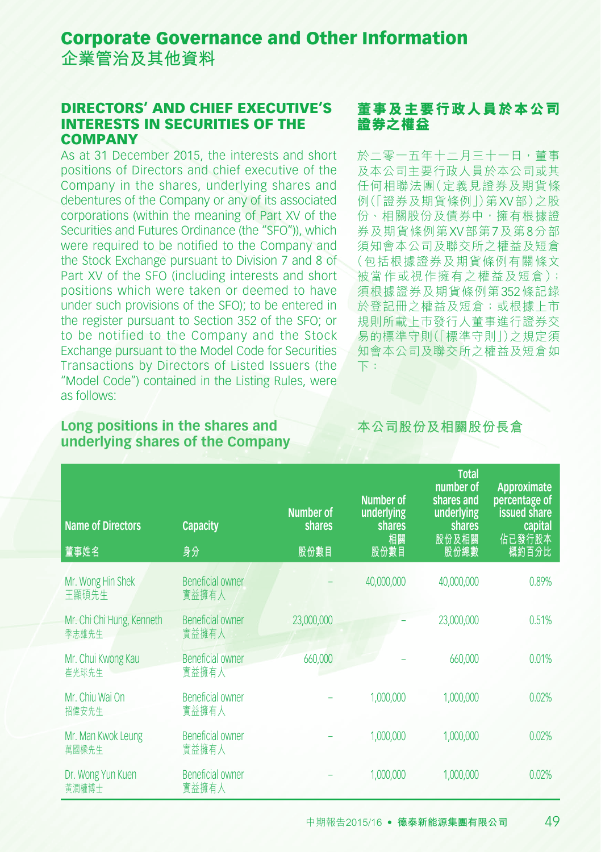**企業管治及其他資料**

#### DIRECTORS' AND CHIEF EXECUTIVE'S INTERESTS IN SECURITIES OF THE **COMPANY**

As at 31 December 2015, the interests and short positions of Directors and chief executive of the Company in the shares, underlying shares and debentures of the Company or any of its associated corporations (within the meaning of Part XV of the Securities and Futures Ordinance (the "SFO")), which were required to be notified to the Company and the Stock Exchange pursuant to Division 7 and 8 of Part XV of the SFO (including interests and short positions which were taken or deemed to have under such provisions of the SFO); to be entered in the register pursuant to Section 352 of the SFO; or to be notified to the Company and the Stock Exchange pursuant to the Model Code for Securities Transactions by Directors of Listed Issuers (the "Model Code") contained in the Listing Rules, were as follows:

### **董事及主要行政人員於本公司 證券之權益**

於二零一五年十二月三十一日,董事 及本公司主要行政人員於本公司或其 任何相聯法團(定義見證券及期貨條 例(「證券及期貨條例」)第XV部)之股 份、相關股份及債券中,擁有根據證 券及期貨條例第XV部第7及第8分部 須知會本公司及聯交所之權益及短倉 (包括根據證券及期貨條例有關條文 被當作或視作擁有之權益及短倉); 須根據證券及期貨條例第352條記錄 於登記冊之權益及短倉;或根據上市 規則所載上巿發行人董事進行證券交 易的標準守則(「標準守則」)之規定須 知會本公司及聯交所之權益及短倉如 下:

#### **Long positions in the shares and underlying shares of the Company**

**本公司股份及相關股份長倉**

| <b>Name of Directors</b><br>董事姓名   | <b>Capacity</b><br>身分            | Number of<br><b>shares</b><br>股份數目 | Number of<br>underlying<br><b>shares</b><br>相關<br>股份數目 | <b>Total</b><br>number of<br>shares and<br>underlying<br>shares<br>股份及相關<br>股份總數 | Approximate<br>percentage of<br><b>issued share</b><br>capital<br>佔已發行股本<br>概約百分比 |
|------------------------------------|----------------------------------|------------------------------------|--------------------------------------------------------|----------------------------------------------------------------------------------|-----------------------------------------------------------------------------------|
| Mr. Wong Hin Shek<br>王顯碩先生         | <b>Beneficial owner</b><br>實益擁有人 |                                    | 40,000,000                                             | 40,000,000                                                                       | 0.89%                                                                             |
| Mr. Chi Chi Hung, Kenneth<br>季志雄先生 | <b>Beneficial owner</b><br>實益擁有人 | 23,000,000                         |                                                        | 23,000,000                                                                       | 0.51%                                                                             |
| Mr. Chui Kwong Kau<br>崔光球先生        | <b>Beneficial owner</b><br>實益擁有人 | 660,000                            |                                                        | 660,000                                                                          | 0.01%                                                                             |
| Mr. Chiu Wai On<br>招偉安先生           | Beneficial owner<br>實益擁有人        |                                    | 1,000,000                                              | 1,000,000                                                                        | 0.02%                                                                             |
| Mr. Man Kwok Leung<br>萬國樑先生        | <b>Beneficial owner</b><br>實益擁有人 |                                    | 1,000,000                                              | 1,000,000                                                                        | 0.02%                                                                             |
| Dr. Wong Yun Kuen<br>黃潤權博士         | <b>Beneficial owner</b><br>實益擁有人 |                                    | 1,000,000                                              | 1,000,000                                                                        | 0.02%                                                                             |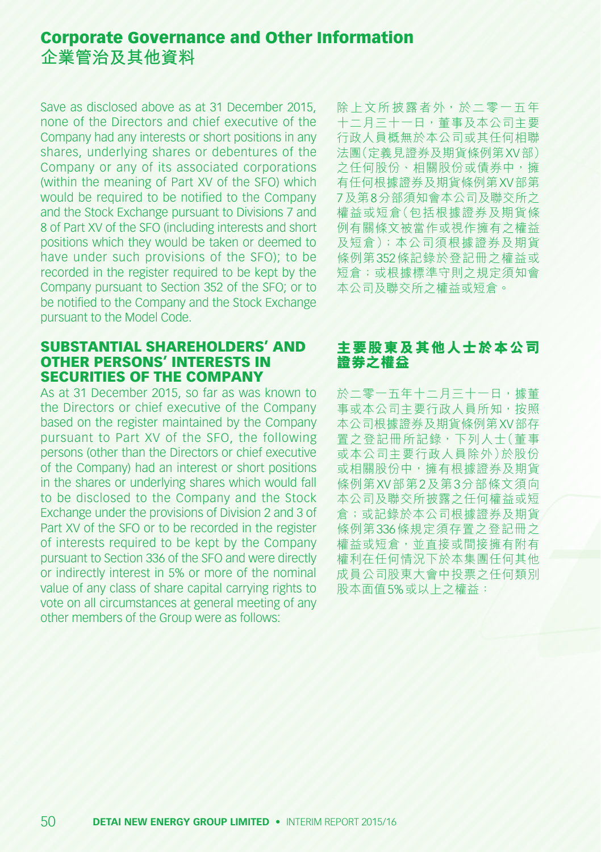Save as disclosed above as at 31 December 2015, none of the Directors and chief executive of the Company had any interests or short positions in any shares, underlying shares or debentures of the Company or any of its associated corporations (within the meaning of Part XV of the SFO) which would be required to be notified to the Company and the Stock Exchange pursuant to Divisions 7 and 8 of Part XV of the SFO (including interests and short positions which they would be taken or deemed to have under such provisions of the SFO); to be recorded in the register required to be kept by the Company pursuant to Section 352 of the SFO; or to be notified to the Company and the Stock Exchange pursuant to the Model Code.

#### SUBSTANTIAL SHAREHOLDERS' AND OTHER PERSONS' INTERESTS IN SECURITIES OF THE COMPANY

As at 31 December 2015, so far as was known to the Directors or chief executive of the Company based on the register maintained by the Company pursuant to Part XV of the SFO, the following persons (other than the Directors or chief executive of the Company) had an interest or short positions in the shares or underlying shares which would fall to be disclosed to the Company and the Stock Exchange under the provisions of Division 2 and 3 of Part XV of the SFO or to be recorded in the register of interests required to be kept by the Company pursuant to Section 336 of the SFO and were directly or indirectly interest in 5% or more of the nominal value of any class of share capital carrying rights to vote on all circumstances at general meeting of any other members of the Group were as follows:

除上文所披露者外,於二零一五年 十二月三十一日,董事及本公司主要 行政人員概無於本公司或其任何相聯 法團(定義見證券及期貨條例第XV部) 之任何股份、相關股份或債券中,擁 有任何根據證券及期貨條例第XV部第 7及第8分部須知會本公司及聯交所之 權益或短倉(包括根據證券及期貨條 例有關條文被當作或視作擁有之權益 及短倉);本公司須根據證券及期貨 條例第352條記錄於登記冊之權益或 短倉;或根據標準守則之規定須知會 本公司及聯交所之權益或短倉。

#### **主要股東及其他人士於本公司 證券之權益**

於二零一五年十二月三十一日,據董 事或本公司主要行政人員所知,按照 本公司根據證券及期貨條例第XV部存 置之登記冊所記錄,下列人士(董事 或本公司主要行政人員除外)於股份 或相關股份中,擁有根據證券及期貨 條例第XV部第2及第3分部條文須向 本公司及聯交所披露之任何權益或短 倉;或記錄於本公司根據證券及期貨 條例第336條規定須存置之登記冊之 權益或短倉,並直接或間接擁有附有 權利在任何情況下於本集團任何其他 成員公司股東大會中投票之任何類別 股本面值5%或以上之權益: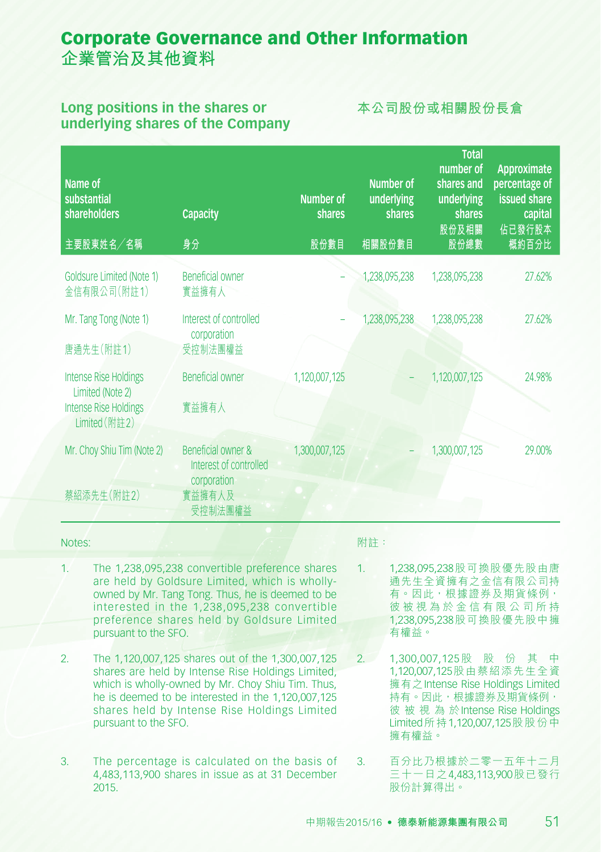#### **Long positions in the shares or underlying shares of the Company**

### **本公司股份或相關股份長倉**

| Name of<br>substantial<br>shareholders<br>主要股東姓名/名稱                                               | <b>Capacity</b><br>身分                                                            | <b>Number of</b><br>shares<br>股份數目 | Number of<br>underlying<br><b>shares</b><br>相關股份數目 | <b>Total</b><br>number of<br>shares and<br>underlying<br>shares<br>股份及相關<br>股份總數 | Approximate<br>percentage of<br>issued share<br>capital<br>佔已發行股本<br>概約百分比 |
|---------------------------------------------------------------------------------------------------|----------------------------------------------------------------------------------|------------------------------------|----------------------------------------------------|----------------------------------------------------------------------------------|----------------------------------------------------------------------------|
| Goldsure Limited (Note 1)<br>金信有限公司(附註1)                                                          | <b>Beneficial owner</b><br>實益擁有人                                                 |                                    | 1,238,095,238                                      | 1,238,095,238                                                                    | 27.62%                                                                     |
| Mr. Tang Tong (Note 1)<br>唐通先生(附註1)                                                               | Interest of controlled<br>corporation<br>受控制法團權益                                 |                                    | 1,238,095,238                                      | 1,238,095,238                                                                    | 27.62%                                                                     |
| <b>Intense Rise Holdings</b><br>Limited (Note 2)<br><b>Intense Rise Holdings</b><br>Limited (附註2) | <b>Beneficial owner</b><br>實益擁有人                                                 | 1,120,007,125                      |                                                    | 1,120,007,125                                                                    | 24.98%                                                                     |
| Mr. Choy Shiu Tim (Note 2)<br>蔡紹添先生(附註2)                                                          | Beneficial owner &<br>Interest of controlled<br>corporation<br>實益擁有人及<br>受控制法團權益 | 1,300,007,125                      |                                                    | 1,300,007,125                                                                    | 29.00%                                                                     |

#### Notes:

- 1. The 1,238,095,238 convertible preference shares are held by Goldsure Limited, which is whollyowned by Mr. Tang Tong. Thus, he is deemed to be interested in the 1,238,095,238 convertible preference shares held by Goldsure Limited pursuant to the SFO.
- 2. The 1,120,007,125 shares out of the 1,300,007,125 shares are held by Intense Rise Holdings Limited, which is wholly-owned by Mr. Choy Shiu Tim. Thus, he is deemed to be interested in the 1,120,007,125 shares held by Intense Rise Holdings Limited pursuant to the SFO.
- 3. The percentage is calculated on the basis of 4,483,113,900 shares in issue as at 31 December 2015.

#### 附註:

- 1. 1,238,095,238股可換股優先股由唐 通先生全資擁有之金信有限公司持 有。因此,根據證券及期貨條例, 彼 被 視 為 於 金 信 有 限 公 司 所 持 1,238,095,238股可換股優先股中擁 有權益。
- 2. 1,300,007,125 股 股 份 其 中 1,120,007,125股由蔡紹添先生全資 擁有之Intense Rise Holdings Limited 持有。因此,根據證券及期貨條例, 彼 被 視 為 於Intense Rise Holdings Limited所持1,120,007,125股股份中 擁有權益。
- 3. 百分比乃根據於二零一五年十二月 三十一日之4,483,113,900股已發行 股份計算得出。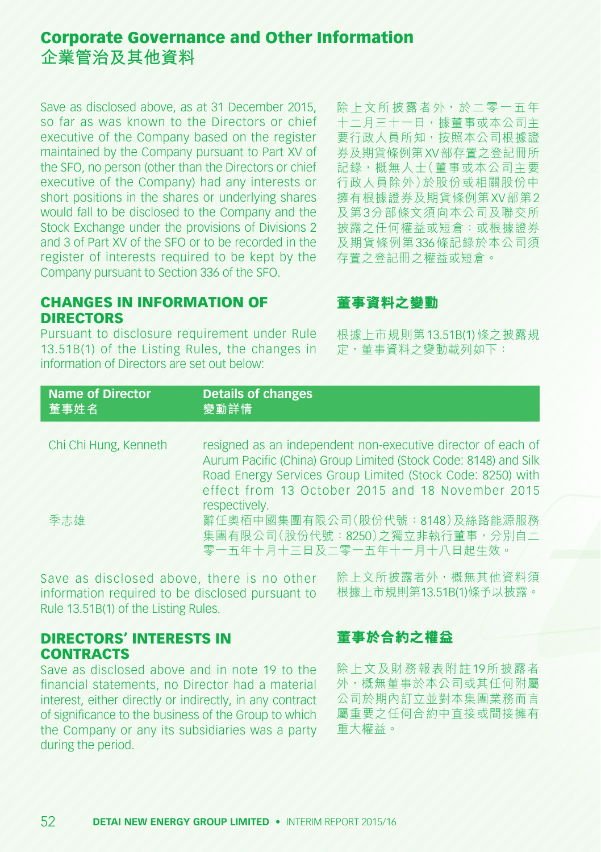Save as disclosed above, as at 31 December 2015, so far as was known to the Directors or chief executive of the Company based on the register maintained by the Company pursuant to Part XV of the SFO, no person (other than the Directors or chief executive of the Company) had any interests or short positions in the shares or underlying shares would fall to be disclosed to the Company and the Stock Exchange under the provisions of Divisions 2 and 3 of Part XV of the SFO or to be recorded in the register of interests required to be kept by the Company pursuant to Section 336 of the SFO.

除上文所披露者外,於二零一五年 十二月三十一日,據董事或本公司主 要行政人員所知,按照本公司根據證 券及期貨條例第XV部存置之登記冊所 記錄,概無人士(董事或本公司主要 行政人員除外)於股份或相關股份中 擁有根據證券及期貨條例第XV部第2 及第3分部條文須向本公司及聯交所 披露之任何權益或短倉;或根據證券 及期貨條例第336條記錄於本公司須 存置之登記冊之權益或短倉。

### CHANGES IN INFORMATION OF **DIRECTORS**

Pursuant to disclosure requirement under Rule 13.51B(1) of the Listing Rules, the changes in information of Directors are set out below:

### **董事資料之變動**

根據上市規則第13.51B(1)條之披露規 定,董事資料之變動載列如下:

| <b>Name of Director</b>      | <b>Details of changes</b>                                                                                                                                                                                                                                                                                                                                             |
|------------------------------|-----------------------------------------------------------------------------------------------------------------------------------------------------------------------------------------------------------------------------------------------------------------------------------------------------------------------------------------------------------------------|
| 董事姓名                         | 變動詳情                                                                                                                                                                                                                                                                                                                                                                  |
| Chi Chi Hung, Kenneth<br>季志雄 | resigned as an independent non-executive director of each of<br>Aurum Pacific (China) Group Limited (Stock Code: 8148) and Silk<br>Road Energy Services Group Limited (Stock Code: 8250) with<br>effect from 13 October 2015 and 18 November 2015<br>respectively.<br>辭任奧栢中國集團有限公司(股份代號:8148)及絲路能源服務<br>集團有限公司(股份代號: 8250)之獨立非執行董事, 分別自二<br>零一五年十月十三日及二零一五年十一月十八日起生效。 |

Save as disclosed above, there is no other information required to be disclosed pursuant to Rule 13.51B(1) of the Listing Rules.

除上文所披露者外,概無其他資料須 根據上市規則第13.51B(1)條予以披露。

### DIRECTORS' INTERESTS IN CONTRACTS

Save as disclosed above and in note 19 to the financial statements, no Director had a material interest, either directly or indirectly, in any contract of significance to the business of the Group to which the Company or any its subsidiaries was a party during the period.

### **董事於合約之權益**

除上文及財務報表附註19所披露者 外,概無董事於本公司或其任何附屬 公司於期內訂立並對本集團業務而言 屬重要之任何合約中直接或間接擁有 重大權益。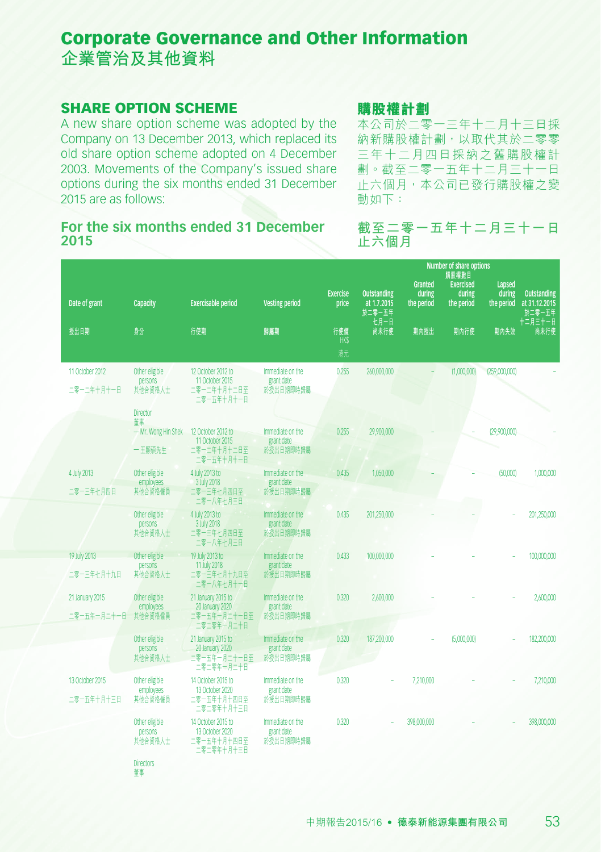#### SHARE OPTION SCHEME

董事

A new share option scheme was adopted by the Company on 13 December 2013, which replaced its old share option scheme adopted on 4 December 2003. Movements of the Company's issued share options during the six months ended 31 December 2015 are as follows:

#### **For the six months ended 31 December 2015**

#### **購股權計劃**

本公司於二零一三年十二月十三日採 納新購股權計劃,以取代其於二零零 三年十二月四日採納之舊購股權計 劃。截至二零一五年十二月三十一日 止六個月,本公司已發行購股權之變 動如下:

#### **截至二零一五年十二月三十一日 止六個月**

| Date of grant                  | <b>Capacity</b>                                         | <b>Exercisable period</b>                                           | <b>Vesting period</b>                       | <b>Exercise</b><br>price | <b>Outstanding</b><br>at 1.7.2015<br>於二零一五年 | <b>Granted</b><br>during<br>the period | Number of share options<br>購股權數目<br><b>Exercised</b><br>during<br>the period | Lapsed<br>during<br>the period | <b>Outstanding</b><br>at 31.12.2015<br>於二零一五年 |
|--------------------------------|---------------------------------------------------------|---------------------------------------------------------------------|---------------------------------------------|--------------------------|---------------------------------------------|----------------------------------------|------------------------------------------------------------------------------|--------------------------------|-----------------------------------------------|
| 授出日期                           | 身分                                                      | 行使期                                                                 | 歸屬期                                         | 行使價<br><b>HK\$</b><br>港元 | 七月一日<br>尚未行使                                | 期內授出                                   | 期內行使                                                                         | 期內失效                           | 十二月三十一日<br>尚未行使                               |
| 11 October 2012<br>二零一二年十月十一日  | Other eligible<br>persons<br>其他合資格人士<br><b>Director</b> | 12 October 2012 to<br>11 October 2015<br>二零一二年十月十二日至<br>二零一五年十月十一日  | Immediate on the<br>grant date<br>於授出日期即時歸屬 | 0.255                    | 260,000,000                                 |                                        | (1,000,000)                                                                  | (259,000,000)                  |                                               |
|                                | 董事<br>- Mr. Wong Hin Shek<br>一王顯碩先生                     | 12 October 2012 to<br>11 October 2015<br>二零一二年十月十二日至<br>二零一五年十月十一日  | Immediate on the<br>grant date<br>於授出日期即時歸屬 | 0.255                    | 29,900,000                                  |                                        |                                                                              | (29,900,000)                   |                                               |
| 4 July 2013<br>二零一三年七月四日       | Other eligible<br>employees<br>其他合資格僱員                  | 4 July 2013 to<br>3 July 2018<br>二零一三年七月四日至<br>二零一八年七月三日            | Immediate on the<br>grant date<br>於授出日期即時歸屬 | 0.435                    | 1,050,000                                   |                                        |                                                                              | (50,000)                       | 1,000,000                                     |
|                                | Other eligible<br>persons<br>其他合資格人士                    | 4 July 2013 to<br>3 July 2018<br>二零一三年七月四日至<br>二零一八年七月三日            | Immediate on the<br>grant date<br>於授出日期即時歸屬 | 0.435                    | 201,250,000                                 |                                        |                                                                              |                                | 201,250,000                                   |
| 19 July 2013<br>二零一三年七月十九日     | Other eligible<br>persons<br>其他合資格人士                    | 19 July 2013 to<br>11 July 2018<br>二零一三年七月十九日至<br>二零一八年七月十一日        | Immediate on the<br>grant date<br>於授出日期即時歸屬 | 0.433                    | 100,000,000                                 |                                        |                                                                              |                                | 100,000,000                                   |
| 21 January 2015<br>二零一五年一月二十一日 | Other eligible<br>employees<br>其他合資格僱員                  | 21 January 2015 to<br>20 January 2020<br>二零一五年一月二十一日至<br>二零二零年一月二十日 | Immediate on the<br>grant date<br>於授出日期即時歸屬 | 0.320                    | 2,600,000                                   |                                        |                                                                              |                                | 2,600,000                                     |
|                                | Other eligible<br>persons<br>其他合資格人士                    | 21 January 2015 to<br>20 January 2020<br>二零一五年一月二十一日至<br>二零二零年一月二十日 | Immediate on the<br>grant date<br>於授出日期即時歸屬 | 0.320                    | 187,200,000                                 |                                        | (5,000,000)                                                                  |                                | 182,200,000                                   |
| 13 October 2015<br>二零一五年十月十三日  | Other eligible<br>employees<br>其他合資格僱員                  | 14 October 2015 to<br>13 October 2020<br>二零一五年十月十四日至<br>二零二零年十月十三日  | Immediate on the<br>grant date<br>於授出日期即時歸屬 | 0.320                    |                                             | 7,210,000                              |                                                                              |                                | 7,210,000                                     |
|                                | Other eligible<br>persons<br>其他合資格人士                    | 14 October 2015 to<br>13 October 2020<br>二零一五年十月十四日至<br>二零二零年十月十三日  | Immediate on the<br>grant date<br>於授出日期即時歸屬 | 0.320                    |                                             | 398,000,000                            |                                                                              |                                | 398,000,000                                   |
|                                | <b>Directors</b>                                        |                                                                     |                                             |                          |                                             |                                        |                                                                              |                                |                                               |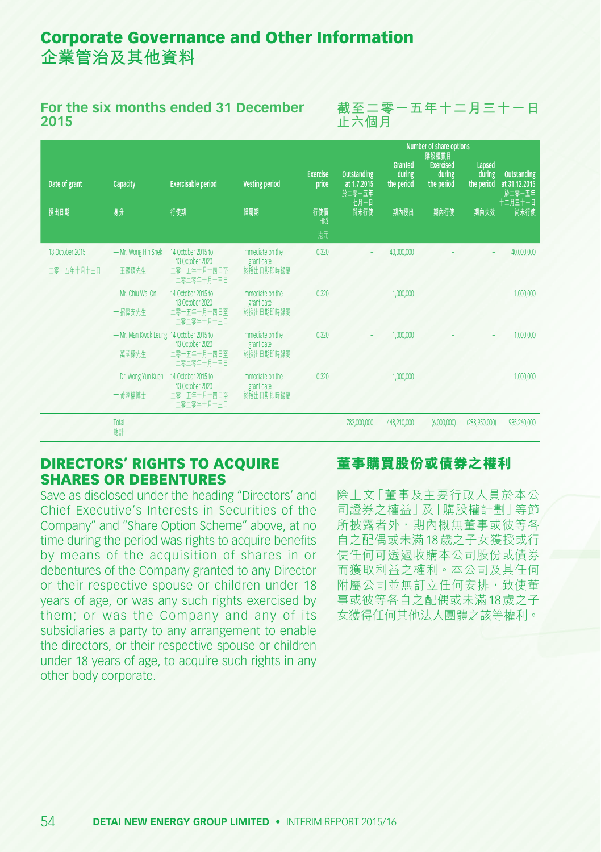#### **For the six months ended 31 December 2015**

**截至二零一五年十二月三十一日 止六個月**

|                 |                                         |                                       |                                |                          |                                                     |                                        | Number of share options<br>購股權數目         |                                |                                                          |
|-----------------|-----------------------------------------|---------------------------------------|--------------------------------|--------------------------|-----------------------------------------------------|----------------------------------------|------------------------------------------|--------------------------------|----------------------------------------------------------|
| Date of grant   | Capacity                                | <b>Exercisable period</b>             | <b>Vesting period</b>          | <b>Exercise</b><br>price | <b>Outstanding</b><br>at 1.7.2015<br>於二零一五年<br>七月一日 | <b>Granted</b><br>during<br>the period | <b>Exercised</b><br>during<br>the period | Lapsed<br>during<br>the period | <b>Outstanding</b><br>at 31.12.2015<br>於二零一五年<br>十二月三十一日 |
| 授出日期            | 身分                                      | 行使期                                   | 歸屬期                            | 行使價<br><b>HKS</b>        | 尚未行使                                                | 期內授出                                   | 期內行使                                     | 期内失效                           | 尚未行使                                                     |
|                 |                                         |                                       |                                | 港元                       |                                                     |                                        |                                          |                                |                                                          |
| 13 October 2015 | - Mr. Wong Hin Shek                     | 14 October 2015 to<br>13 October 2020 | Immediate on the<br>grant date | 0.320                    |                                                     | 40,000,000                             |                                          |                                | 40,000,000                                               |
| 二零一五年十月十三日      | 一王顯碩先生                                  | 二零一五年十月十四日至<br>二零二零年十月十三日             | 於授出日期即時歸屬                      |                          |                                                     |                                        |                                          |                                |                                                          |
|                 | - Mr. Chiu Wai On                       | 14 October 2015 to<br>13 October 2020 | Immediate on the<br>grant date | 0.320                    |                                                     | 1,000,000                              |                                          |                                | 1,000,000                                                |
|                 | 一招偉安先生                                  | 二零一五年十月十四日至<br>二零二零年十月十三日             | 於授出日期即時歸屬                      |                          |                                                     |                                        |                                          |                                |                                                          |
|                 | - Mr. Man Kwok Leung 14 October 2015 to | 13 October 2020                       | Immediate on the<br>grant date | 0.320                    |                                                     | 1,000,000                              |                                          |                                | 1,000,000                                                |
|                 | 一萬國樑先生                                  | 二零一五年十月十四日至<br>二零二零年十月十三日             | 於授出日期即時歸屬                      |                          |                                                     |                                        |                                          |                                |                                                          |
|                 | - Dr. Wong Yun Kuen                     | 14 October 2015 to<br>13 October 2020 | Immediate on the<br>grant date | 0.320                    |                                                     | 1,000,000                              |                                          |                                | 1,000,000                                                |
|                 | 一黃潤權博士                                  | 二零一五年十月十四日至<br>二零二零年十月十三日             | 於授出日期即時歸屬                      |                          |                                                     |                                        |                                          |                                |                                                          |
|                 | Total<br>總計                             |                                       |                                |                          | 782,000,000                                         | 448,210,000                            | (6,000,000)                              | (288,950,000)                  | 935,260,000                                              |

#### DIRECTORS' RIGHTS TO ACQUIRE SHARES OR DEBENTURES

Save as disclosed under the heading "Directors' and Chief Executive's Interests in Securities of the Company" and "Share Option Scheme" above, at no time during the period was rights to acquire benefits by means of the acquisition of shares in or debentures of the Company granted to any Director or their respective spouse or children under 18 years of age, or was any such rights exercised by them; or was the Company and any of its subsidiaries a party to any arrangement to enable the directors, or their respective spouse or children under 18 years of age, to acquire such rights in any other body corporate.

#### **董事**購置股份或債券之權利

除上文「董事及主要行政人員於本公 司證券之權益」及「購股權計劃」等節 所披露者外,期內概無董事或彼等各 自之配偶或未滿18歲之子女獲授或行 使任何可透過收購本公司股份或債券 而獲取利益之權利。本公司及其任何 附屬公司並無訂立任何安排,致使董 事或彼等各自之配偶或未滿18歲之子 女獲得任何其他法人團體之該等權利。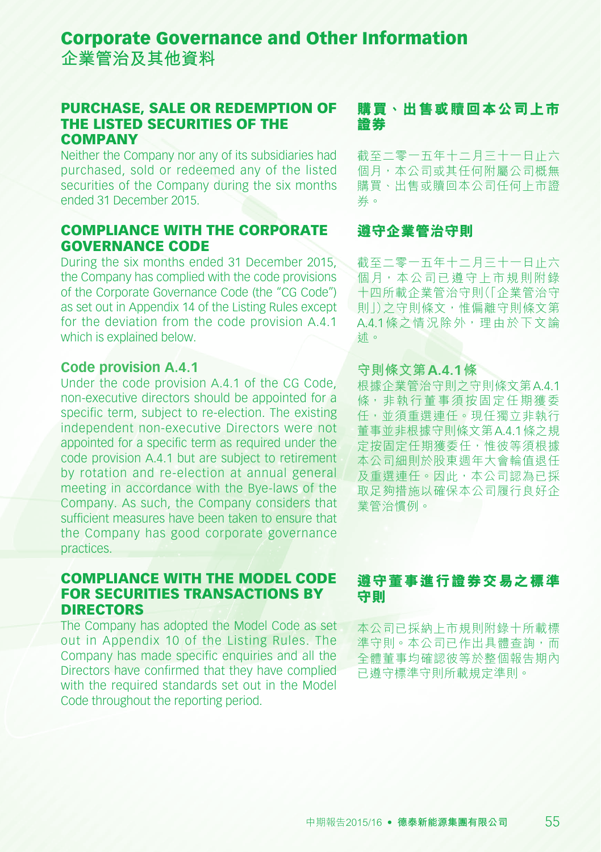**企業管治及其他資料**

#### PURCHASE, SALE OR REDEMPTION OF THE LISTED SECURITIES OF THE **COMPANY**

Neither the Company nor any of its subsidiaries had purchased, sold or redeemed any of the listed securities of the Company during the six months ended 31 December 2015.

#### COMPLIANCE WITH THE CORPORATE GOVERNANCE CODE

During the six months ended 31 December 2015, the Company has complied with the code provisions of the Corporate Governance Code (the "CG Code") as set out in Appendix 14 of the Listing Rules except for the deviation from the code provision A.4.1 which is explained below.

#### **Code provision A.4.1**

Under the code provision A.4.1 of the CG Code, non-executive directors should be appointed for a specific term, subject to re-election. The existing independent non-executive Directors were not appointed for a specific term as required under the code provision A.4.1 but are subject to retirement by rotation and re-election at annual general meeting in accordance with the Bye-laws of the Company. As such, the Company considers that sufficient measures have been taken to ensure that the Company has good corporate governance practices.

#### COMPLIANCE WITH THE MODEL CODE FOR SECURITIES TRANSACTIONS BY DIRECTORS

The Company has adopted the Model Code as set out in Appendix 10 of the Listing Rules. The Company has made specific enquiries and all the Directors have confirmed that they have complied with the required standards set out in the Model Code throughout the reporting period.

### **購買、出售或贖回本公司上市 證券**

截至二零一五年十二月三十一日止六 個月,本公司或其任何附屬公司概無 購買、出售或贖回本公司任何上市證 券。

#### **遵守企業管治守則**

截至二零一五年十二月三十一日止六 個月,本公司已遵守上市規則附錄 十四所載企業管治守則(「企業管治守 則」)之守則條文,惟偏離守則條文第 A.4.1條之情況除外,理由於下文論 述。

#### **守則條文第A.4.1條**

根據企業管治守則之守則條文第A.4.1 條,非執行董事須按固定任期獲委 任,並須重選連任。現任獨立非執行 董事並非根據守則條文第A.4.1條之規 定按固定任期獲委任,惟彼等須根據 本公司細則於股東週年大會輪值退任 及重選連任。因此,本公司認為已採 取足夠措施以確保本公司履行良好企 業管治慣例。

### **遵守董事進行證券交易之標準 守則**

本公司已採納上市規則附錄十所載標 進守則。本公司已作出具體杳詢,而 全體董事均確認彼等於整個報告期內 已遵守標準守則所載規定準則。